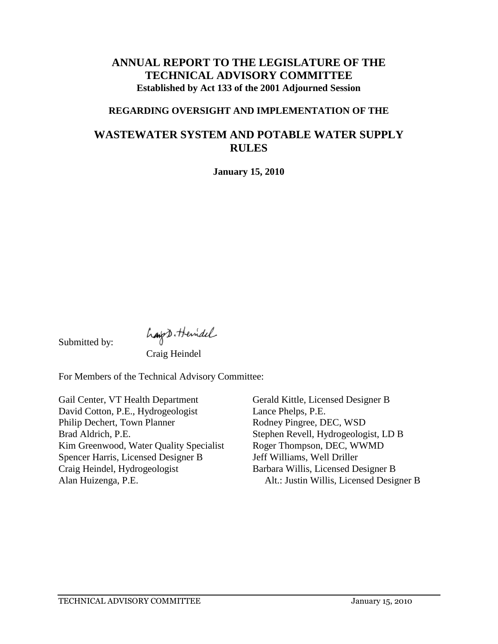# **ANNUAL REPORT TO THE LEGISLATURE OF THE TECHNICAL ADVISORY COMMITTEE Established by Act 133 of the 2001 Adjourned Session**

#### **REGARDING OVERSIGHT AND IMPLEMENTATION OF THE**

# **WASTEWATER SYSTEM AND POTABLE WATER SUPPLY RULES**

**January 15, 2010**

Submitted by:

hapt. Hemidel

For Members of the Technical Advisory Committee:

Gail Center, VT Health Department David Cotton, P.E., Hydrogeologist Philip Dechert, Town Planner Brad Aldrich, P.E. Kim Greenwood, Water Quality Specialist Spencer Harris, Licensed Designer B Craig Heindel, Hydrogeologist Alan Huizenga, P.E.

Gerald Kittle, Licensed Designer B Lance Phelps, P.E. Rodney Pingree, DEC, WSD Stephen Revell, Hydrogeologist, LD B Roger Thompson, DEC, WWMD Jeff Williams, Well Driller Barbara Willis, Licensed Designer B Alt.: Justin Willis, Licensed Designer B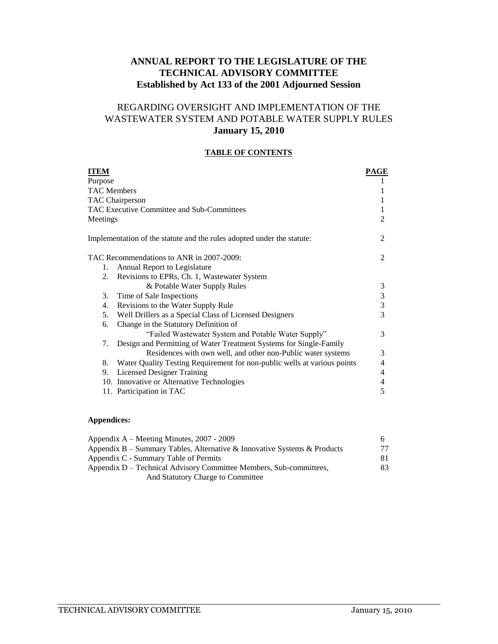### **ANNUAL REPORT TO THE LEGISLATURE OF THE TECHNICAL ADVISORY COMMITTEE Established by Act 133 of the 2001 Adjourned Session**

### REGARDING OVERSIGHT AND IMPLEMENTATION OF THE WASTEWATER SYSTEM AND POTABLE WATER SUPPLY RULES **January 15, 2010**

#### **TABLE OF CONTENTS**

| ITEM     |                                                                          | PAGE |
|----------|--------------------------------------------------------------------------|------|
| Purpose  |                                                                          |      |
|          | <b>TAC Members</b>                                                       | 1    |
|          | <b>TAC Chairperson</b>                                                   | 1    |
|          | TAC Executive Committee and Sub-Committees                               | 1    |
| Meetings |                                                                          | 2    |
|          | Implementation of the statute and the rules adopted under the statute:   | 2    |
|          | TAC Recommendations to ANR in 2007-2009:                                 | 2    |
| 1.       | Annual Report to Legislature                                             |      |
| 2.       | Revisions to EPRs, Ch. 1, Wastewater System                              |      |
|          | & Potable Water Supply Rules                                             | 3    |
| 3.       | Time of Sale Inspections                                                 | 3    |
| 4.       | Revisions to the Water Supply Rule                                       | 3    |
| 5.       | Well Drillers as a Special Class of Licensed Designers                   | 3    |
| 6.       | Change in the Statutory Definition of                                    |      |
|          | "Failed Wastewater System and Potable Water Supply"                      | 3    |
| 7.       | Design and Permitting of Water Treatment Systems for Single-Family       |      |
|          | Residences with own well, and other non-Public water systems             | 3    |
| 8.       | Water Quality Testing Requirement for non-public wells at various points | 4    |
| 9.       | <b>Licensed Designer Training</b>                                        | 4    |
|          | 10. Innovative or Alternative Technologies                               | 4    |
|          | 11. Participation in TAC                                                 | 5    |
|          |                                                                          |      |

#### **Appendices:**

| Appendix A – Meeting Minutes, 2007 - 2009                                |     |
|--------------------------------------------------------------------------|-----|
| Appendix B – Summary Tables, Alternative & Innovative Systems & Products | 77  |
| Appendix C - Summary Table of Permits                                    | 81. |
| Appendix D – Technical Advisory Committee Members, Sub-committees,       | 83. |
| And Statutory Charge to Committee                                        |     |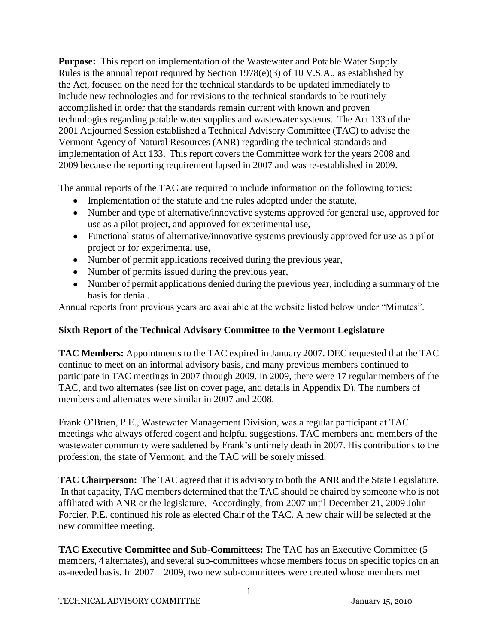**Purpose:** This report on implementation of the Wastewater and Potable Water Supply Rules is the annual report required by Section 1978(e)(3) of 10 V.S.A., as established by the Act, focused on the need for the technical standards to be updated immediately to include new technologies and for revisions to the technical standards to be routinely accomplished in order that the standards remain current with known and proven technologies regarding potable water supplies and wastewater systems. The Act 133 of the 2001 Adjourned Session established a Technical Advisory Committee (TAC) to advise the Vermont Agency of Natural Resources (ANR) regarding the technical standards and implementation of Act 133. This report covers the Committee work for the years 2008 and 2009 because the reporting requirement lapsed in 2007 and was re-established in 2009.

The annual reports of the TAC are required to include information on the following topics:

- Implementation of the statute and the rules adopted under the statute,
- Number and type of alternative/innovative systems approved for general use, approved for use as a pilot project, and approved for experimental use,
- Functional status of alternative/innovative systems previously approved for use as a pilot project or for experimental use,
- Number of permit applications received during the previous year,
- Number of permits issued during the previous year,
- Number of permit applications denied during the previous year, including a summary of the basis for denial.

Annual reports from previous years are available at the website listed below under "Minutes".

# **Sixth Report of the Technical Advisory Committee to the Vermont Legislature**

**TAC Members:** Appointments to the TAC expired in January 2007. DEC requested that the TAC continue to meet on an informal advisory basis, and many previous members continued to participate in TAC meetings in 2007 through 2009. In 2009, there were 17 regular members of the TAC, and two alternates (see list on cover page, and details in Appendix D). The numbers of members and alternates were similar in 2007 and 2008.

Frank O'Brien, P.E., Wastewater Management Division, was a regular participant at TAC meetings who always offered cogent and helpful suggestions. TAC members and members of the wastewater community were saddened by Frank's untimely death in 2007. His contributions to the profession, the state of Vermont, and the TAC will be sorely missed.

**TAC Chairperson:** The TAC agreed that it is advisory to both the ANR and the State Legislature. In that capacity, TAC members determined that the TAC should be chaired by someone who is not affiliated with ANR or the legislature. Accordingly, from 2007 until December 21, 2009 John Forcier, P.E. continued his role as elected Chair of the TAC. A new chair will be selected at the new committee meeting.

**TAC Executive Committee and Sub-Committees:** The TAC has an Executive Committee (5 members, 4 alternates), and several sub-committees whose members focus on specific topics on an as-needed basis. In 2007 – 2009, two new sub-committees were created whose members met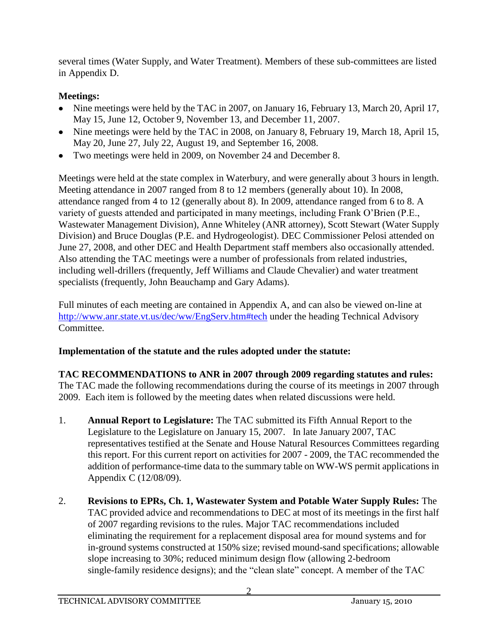several times (Water Supply, and Water Treatment). Members of these sub-committees are listed in Appendix D.

# **Meetings:**

- Nine meetings were held by the TAC in 2007, on January 16, February 13, March 20, April 17, May 15, June 12, October 9, November 13, and December 11, 2007.
- Nine meetings were held by the TAC in 2008, on January 8, February 19, March 18, April 15, May 20, June 27, July 22, August 19, and September 16, 2008.
- Two meetings were held in 2009, on November 24 and December 8.

Meetings were held at the state complex in Waterbury, and were generally about 3 hours in length. Meeting attendance in 2007 ranged from 8 to 12 members (generally about 10). In 2008, attendance ranged from 4 to 12 (generally about 8). In 2009, attendance ranged from 6 to 8. A variety of guests attended and participated in many meetings, including Frank O'Brien (P.E., Wastewater Management Division), Anne Whiteley (ANR attorney), Scott Stewart (Water Supply Division) and Bruce Douglas (P.E. and Hydrogeologist). DEC Commissioner Pelosi attended on June 27, 2008, and other DEC and Health Department staff members also occasionally attended. Also attending the TAC meetings were a number of professionals from related industries, including well-drillers (frequently, Jeff Williams and Claude Chevalier) and water treatment specialists (frequently, John Beauchamp and Gary Adams).

Full minutes of each meeting are contained in Appendix A, and can also be viewed on-line at <http://www.anr.state.vt.us/dec/ww/EngServ.htm#tech> under the heading Technical Advisory Committee.

# **Implementation of the statute and the rules adopted under the statute:**

**TAC RECOMMENDATIONS to ANR in 2007 through 2009 regarding statutes and rules:** The TAC made the following recommendations during the course of its meetings in 2007 through 2009. Each item is followed by the meeting dates when related discussions were held.

- 1. **Annual Report to Legislature:** The TAC submitted its Fifth Annual Report to the Legislature to the Legislature on January 15, 2007. In late January 2007, TAC representatives testified at the Senate and House Natural Resources Committees regarding this report. For this current report on activities for 2007 - 2009, the TAC recommended the addition of performance-time data to the summary table on WW-WS permit applications in Appendix C (12/08/09).
- 2. **Revisions to EPRs, Ch. 1, Wastewater System and Potable Water Supply Rules:** The TAC provided advice and recommendations to DEC at most of its meetings in the first half of 2007 regarding revisions to the rules. Major TAC recommendations included eliminating the requirement for a replacement disposal area for mound systems and for in-ground systems constructed at 150% size; revised mound-sand specifications; allowable slope increasing to 30%; reduced minimum design flow (allowing 2-bedroom single-family residence designs); and the "clean slate" concept. A member of the TAC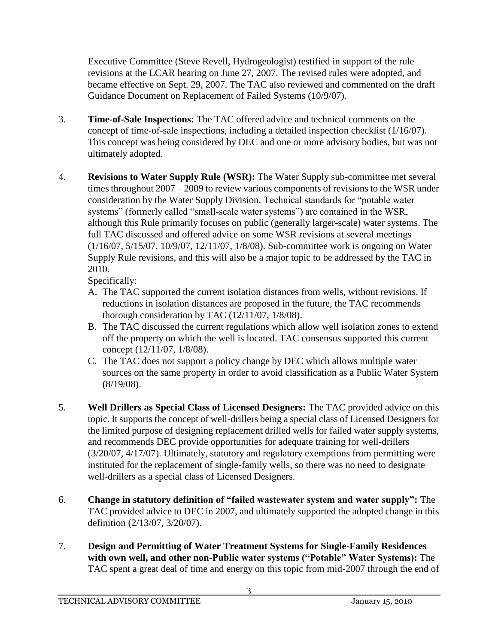Executive Committee (Steve Revell, Hydrogeologist) testified in support of the rule revisions at the LCAR hearing on June 27, 2007. The revised rules were adopted, and became effective on Sept. 29, 2007. The TAC also reviewed and commented on the draft Guidance Document on Replacement of Failed Systems (10/9/07).

- 3. **Time-of-Sale Inspections:** The TAC offered advice and technical comments on the concept of time-of-sale inspections, including a detailed inspection checklist (1/16/07). This concept was being considered by DEC and one or more advisory bodies, but was not ultimately adopted.
- 4. **Revisions to Water Supply Rule (WSR):** The Water Supply sub-committee met several times throughout 2007 – 2009 to review various components of revisions to the WSR under consideration by the Water Supply Division. Technical standards for "potable water systems" (formerly called "small-scale water systems") are contained in the WSR, although this Rule primarily focuses on public (generally larger-scale) water systems. The full TAC discussed and offered advice on some WSR revisions at several meetings (1/16/07, 5/15/07, 10/9/07, 12/11/07, 1/8/08). Sub-committee work is ongoing on Water Supply Rule revisions, and this will also be a major topic to be addressed by the TAC in 2010.

Specifically:

- A. The TAC supported the current isolation distances from wells, without revisions. If reductions in isolation distances are proposed in the future, the TAC recommends thorough consideration by TAC (12/11/07, 1/8/08).
- B. The TAC discussed the current regulations which allow well isolation zones to extend off the property on which the well is located. TAC consensus supported this current concept (12/11/07, 1/8/08).
- C. The TAC does not support a policy change by DEC which allows multiple water sources on the same property in order to avoid classification as a Public Water System (8/19/08).
- 5. **Well Drillers as Special Class of Licensed Designers:** The TAC provided advice on this topic. It supports the concept of well-drillers being a special class of Licensed Designers for the limited purpose of designing replacement drilled wells for failed water supply systems, and recommends DEC provide opportunities for adequate training for well-drillers (3/20/07, 4/17/07). Ultimately, statutory and regulatory exemptions from permitting were instituted for the replacement of single-family wells, so there was no need to designate well-drillers as a special class of Licensed Designers.
- 6. **Change in statutory definition of "failed wastewater system and water supply":** The TAC provided advice to DEC in 2007, and ultimately supported the adopted change in this definition (2/13/07, 3/20/07).
- 7. **Design and Permitting of Water Treatment Systems for Single-Family Residences with own well, and other non-Public water systems ("Potable" Water Systems):** The TAC spent a great deal of time and energy on this topic from mid-2007 through the end of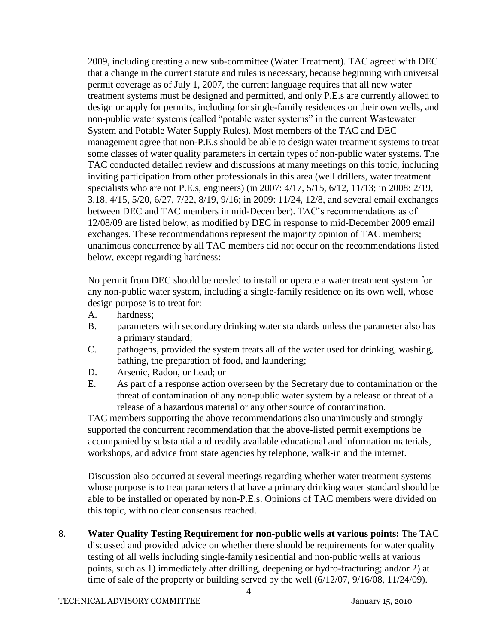2009, including creating a new sub-committee (Water Treatment). TAC agreed with DEC that a change in the current statute and rules is necessary, because beginning with universal permit coverage as of July 1, 2007, the current language requires that all new water treatment systems must be designed and permitted, and only P.E.s are currently allowed to design or apply for permits, including for single-family residences on their own wells, and non-public water systems (called "potable water systems" in the current Wastewater System and Potable Water Supply Rules). Most members of the TAC and DEC management agree that non-P.E.s should be able to design water treatment systems to treat some classes of water quality parameters in certain types of non-public water systems. The TAC conducted detailed review and discussions at many meetings on this topic, including inviting participation from other professionals in this area (well drillers, water treatment specialists who are not P.E.s, engineers) (in 2007: 4/17, 5/15, 6/12, 11/13; in 2008: 2/19, 3,18, 4/15, 5/20, 6/27, 7/22, 8/19, 9/16; in 2009: 11/24, 12/8, and several email exchanges between DEC and TAC members in mid-December). TAC's recommendations as of 12/08/09 are listed below, as modified by DEC in response to mid-December 2009 email exchanges. These recommendations represent the majority opinion of TAC members; unanimous concurrence by all TAC members did not occur on the recommendations listed below, except regarding hardness:

No permit from DEC should be needed to install or operate a water treatment system for any non-public water system, including a single-family residence on its own well, whose design purpose is to treat for:

- A. hardness;
- B. parameters with secondary drinking water standards unless the parameter also has a primary standard;
- C. pathogens, provided the system treats all of the water used for drinking, washing, bathing, the preparation of food, and laundering;
- D. Arsenic, Radon, or Lead; or
- E. As part of a response action overseen by the Secretary due to contamination or the threat of contamination of any non-public water system by a release or threat of a release of a hazardous material or any other source of contamination.

TAC members supporting the above recommendations also unanimously and strongly supported the concurrent recommendation that the above-listed permit exemptions be accompanied by substantial and readily available educational and information materials, workshops, and advice from state agencies by telephone, walk-in and the internet.

Discussion also occurred at several meetings regarding whether water treatment systems whose purpose is to treat parameters that have a primary drinking water standard should be able to be installed or operated by non-P.E.s. Opinions of TAC members were divided on this topic, with no clear consensus reached.

8. **Water Quality Testing Requirement for non-public wells at various points:** The TAC discussed and provided advice on whether there should be requirements for water quality testing of all wells including single-family residential and non-public wells at various points, such as 1) immediately after drilling, deepening or hydro-fracturing; and/or 2) at time of sale of the property or building served by the well (6/12/07, 9/16/08, 11/24/09).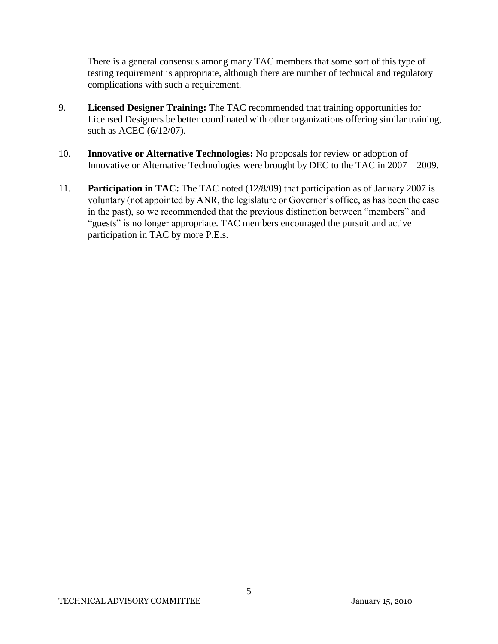There is a general consensus among many TAC members that some sort of this type of testing requirement is appropriate, although there are number of technical and regulatory complications with such a requirement.

- 9. **Licensed Designer Training:** The TAC recommended that training opportunities for Licensed Designers be better coordinated with other organizations offering similar training, such as ACEC (6/12/07).
- 10. **Innovative or Alternative Technologies:** No proposals for review or adoption of Innovative or Alternative Technologies were brought by DEC to the TAC in 2007 – 2009.
- 11. **Participation in TAC:** The TAC noted (12/8/09) that participation as of January 2007 is voluntary (not appointed by ANR, the legislature or Governor's office, as has been the case in the past), so we recommended that the previous distinction between "members" and "guests" is no longer appropriate. TAC members encouraged the pursuit and active participation in TAC by more P.E.s.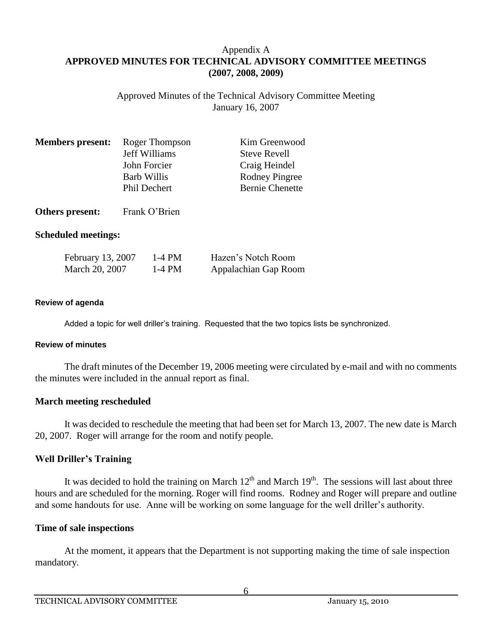### Appendix A **APPROVED MINUTES FOR TECHNICAL ADVISORY COMMITTEE MEETINGS (2007, 2008, 2009)**

Approved Minutes of the Technical Advisory Committee Meeting January 16, 2007

| <b>Members present:</b> | Roger Thompson       | Kim Greenwood          |
|-------------------------|----------------------|------------------------|
|                         | <b>Jeff Williams</b> | <b>Steve Revell</b>    |
|                         | John Forcier         | Craig Heindel          |
|                         | <b>Barb Willis</b>   | Rodney Pingree         |
|                         | <b>Phil Dechert</b>  | <b>Bernie Chenette</b> |
|                         |                      |                        |

**Others present:** Frank O'Brien

#### **Scheduled meetings:**

| February 13, 2007 | 1-4 PM | Hazen's Notch Room   |
|-------------------|--------|----------------------|
| March 20, 2007    | 1-4 PM | Appalachian Gap Room |

#### **Review of agenda**

Added a topic for well driller's training. Requested that the two topics lists be synchronized.

#### **Review of minutes**

The draft minutes of the December 19, 2006 meeting were circulated by e-mail and with no comments the minutes were included in the annual report as final.

#### **March meeting rescheduled**

It was decided to reschedule the meeting that had been set for March 13, 2007. The new date is March 20, 2007. Roger will arrange for the room and notify people.

#### **Well Driller's Training**

It was decided to hold the training on March  $12<sup>th</sup>$  and March  $19<sup>th</sup>$ . The sessions will last about three hours and are scheduled for the morning. Roger will find rooms. Rodney and Roger will prepare and outline and some handouts for use. Anne will be working on some language for the well driller's authority.

#### **Time of sale inspections**

At the moment, it appears that the Department is not supporting making the time of sale inspection mandatory.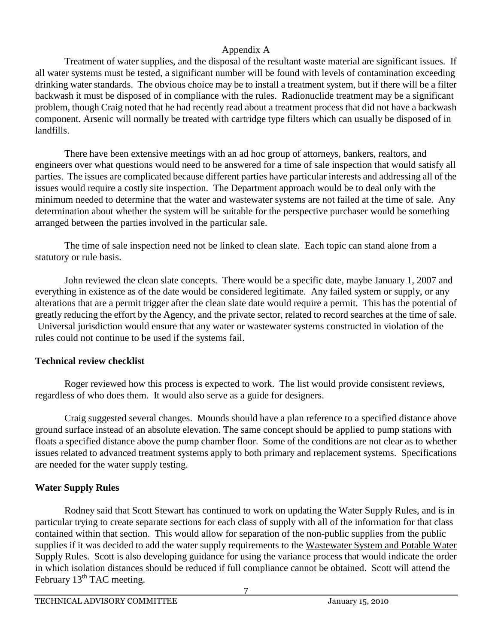Treatment of water supplies, and the disposal of the resultant waste material are significant issues. If all water systems must be tested, a significant number will be found with levels of contamination exceeding drinking water standards. The obvious choice may be to install a treatment system, but if there will be a filter backwash it must be disposed of in compliance with the rules. Radionuclide treatment may be a significant problem, though Craig noted that he had recently read about a treatment process that did not have a backwash component. Arsenic will normally be treated with cartridge type filters which can usually be disposed of in landfills.

There have been extensive meetings with an ad hoc group of attorneys, bankers, realtors, and engineers over what questions would need to be answered for a time of sale inspection that would satisfy all parties. The issues are complicated because different parties have particular interests and addressing all of the issues would require a costly site inspection. The Department approach would be to deal only with the minimum needed to determine that the water and wastewater systems are not failed at the time of sale. Any determination about whether the system will be suitable for the perspective purchaser would be something arranged between the parties involved in the particular sale.

The time of sale inspection need not be linked to clean slate. Each topic can stand alone from a statutory or rule basis.

John reviewed the clean slate concepts. There would be a specific date, maybe January 1, 2007 and everything in existence as of the date would be considered legitimate. Any failed system or supply, or any alterations that are a permit trigger after the clean slate date would require a permit. This has the potential of greatly reducing the effort by the Agency, and the private sector, related to record searches at the time of sale. Universal jurisdiction would ensure that any water or wastewater systems constructed in violation of the rules could not continue to be used if the systems fail.

# **Technical review checklist**

Roger reviewed how this process is expected to work. The list would provide consistent reviews, regardless of who does them. It would also serve as a guide for designers.

Craig suggested several changes. Mounds should have a plan reference to a specified distance above ground surface instead of an absolute elevation. The same concept should be applied to pump stations with floats a specified distance above the pump chamber floor. Some of the conditions are not clear as to whether issues related to advanced treatment systems apply to both primary and replacement systems. Specifications are needed for the water supply testing.

# **Water Supply Rules**

Rodney said that Scott Stewart has continued to work on updating the Water Supply Rules, and is in particular trying to create separate sections for each class of supply with all of the information for that class contained within that section. This would allow for separation of the non-public supplies from the public supplies if it was decided to add the water supply requirements to the Wastewater System and Potable Water Supply Rules.Scott is also developing guidance for using the variance process that would indicate the order in which isolation distances should be reduced if full compliance cannot be obtained. Scott will attend the February  $13<sup>th</sup> TAC$  meeting.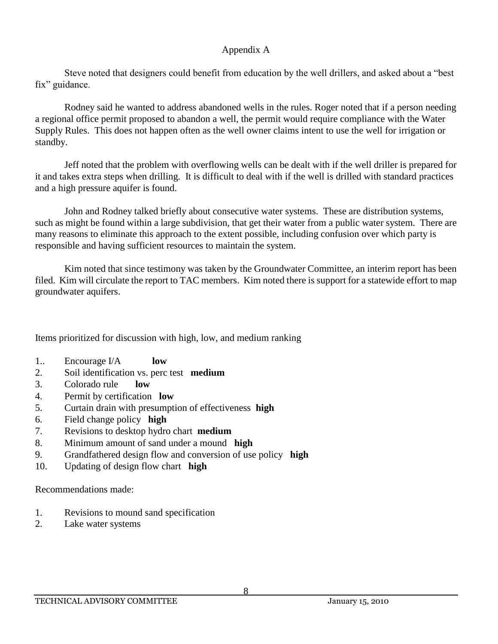Steve noted that designers could benefit from education by the well drillers, and asked about a "best fix" guidance.

Rodney said he wanted to address abandoned wells in the rules. Roger noted that if a person needing a regional office permit proposed to abandon a well, the permit would require compliance with the Water Supply Rules. This does not happen often as the well owner claims intent to use the well for irrigation or standby.

Jeff noted that the problem with overflowing wells can be dealt with if the well driller is prepared for it and takes extra steps when drilling. It is difficult to deal with if the well is drilled with standard practices and a high pressure aquifer is found.

John and Rodney talked briefly about consecutive water systems. These are distribution systems, such as might be found within a large subdivision, that get their water from a public water system. There are many reasons to eliminate this approach to the extent possible, including confusion over which party is responsible and having sufficient resources to maintain the system.

Kim noted that since testimony was taken by the Groundwater Committee, an interim report has been filed. Kim will circulate the report to TAC members. Kim noted there is support for a statewide effort to map groundwater aquifers.

Items prioritized for discussion with high, low, and medium ranking

- 1.. Encourage I/A **low**
- 2. Soil identification vs. perc test **medium**
- 3. Colorado rule **low**
- 4. Permit by certification **low**
- 5. Curtain drain with presumption of effectiveness **high**
- 6. Field change policy **high**
- 7. Revisions to desktop hydro chart **medium**
- 8. Minimum amount of sand under a mound **high**
- 9. Grandfathered design flow and conversion of use policy **high**
- 10. Updating of design flow chart **high**

Recommendations made:

- 1. Revisions to mound sand specification
- 2. Lake water systems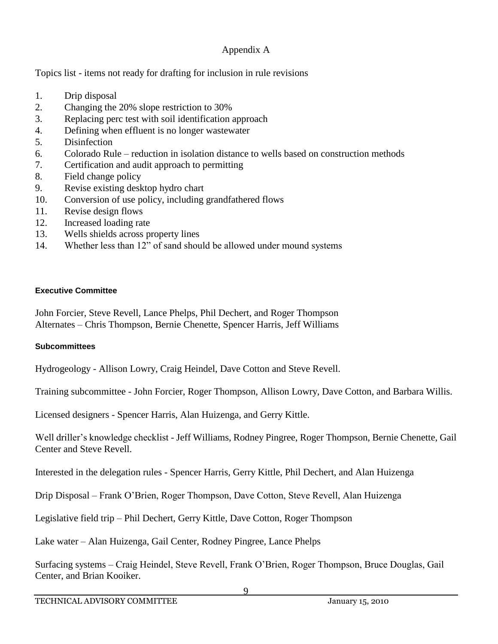Topics list - items not ready for drafting for inclusion in rule revisions

- 1. Drip disposal
- 2. Changing the 20% slope restriction to 30%
- 3. Replacing perc test with soil identification approach
- 4. Defining when effluent is no longer wastewater
- 5. Disinfection
- 6. Colorado Rule reduction in isolation distance to wells based on construction methods
- 7. Certification and audit approach to permitting
- 8. Field change policy
- 9. Revise existing desktop hydro chart
- 10. Conversion of use policy, including grandfathered flows
- 11. Revise design flows
- 12. Increased loading rate
- 13. Wells shields across property lines
- 14. Whether less than 12" of sand should be allowed under mound systems

### **Executive Committee**

John Forcier, Steve Revell, Lance Phelps, Phil Dechert, and Roger Thompson Alternates – Chris Thompson, Bernie Chenette, Spencer Harris, Jeff Williams

### **Subcommittees**

Hydrogeology - Allison Lowry, Craig Heindel, Dave Cotton and Steve Revell.

Training subcommittee - John Forcier, Roger Thompson, Allison Lowry, Dave Cotton, and Barbara Willis.

Licensed designers - Spencer Harris, Alan Huizenga, and Gerry Kittle.

Well driller's knowledge checklist - Jeff Williams, Rodney Pingree, Roger Thompson, Bernie Chenette, Gail Center and Steve Revell.

Interested in the delegation rules - Spencer Harris, Gerry Kittle, Phil Dechert, and Alan Huizenga

Drip Disposal – Frank O'Brien, Roger Thompson, Dave Cotton, Steve Revell, Alan Huizenga

Legislative field trip – Phil Dechert, Gerry Kittle, Dave Cotton, Roger Thompson

Lake water – Alan Huizenga, Gail Center, Rodney Pingree, Lance Phelps

Surfacing systems – Craig Heindel, Steve Revell, Frank O'Brien, Roger Thompson, Bruce Douglas, Gail Center, and Brian Kooiker.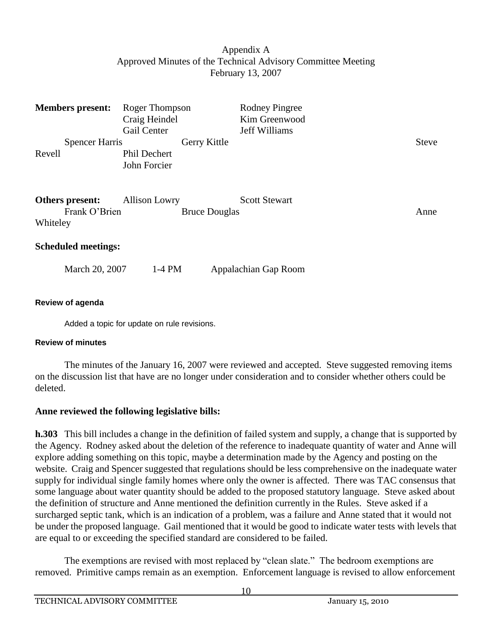### Appendix A Approved Minutes of the Technical Advisory Committee Meeting February 13, 2007

| <b>Members present:</b>    | Roger Thompson<br>Craig Heindel |                      | <b>Rodney Pingree</b><br>Kim Greenwood |              |
|----------------------------|---------------------------------|----------------------|----------------------------------------|--------------|
|                            | Gail Center                     |                      | Jeff Williams                          |              |
| <b>Spencer Harris</b>      |                                 | Gerry Kittle         |                                        | <b>Steve</b> |
| Revell                     | Phil Dechert                    |                      |                                        |              |
|                            | John Forcier                    |                      |                                        |              |
| Others present:            | <b>Allison Lowry</b>            |                      | <b>Scott Stewart</b>                   |              |
| Frank O'Brien              |                                 | <b>Bruce Douglas</b> |                                        | Anne         |
| Whiteley                   |                                 |                      |                                        |              |
| <b>Scheduled meetings:</b> |                                 |                      |                                        |              |
| March 20, 2007             | $1-4$ PM                        |                      | Appalachian Gap Room                   |              |
| Review of agenda           |                                 |                      |                                        |              |

Added a topic for update on rule revisions.

### **Review of minutes**

The minutes of the January 16, 2007 were reviewed and accepted. Steve suggested removing items on the discussion list that have are no longer under consideration and to consider whether others could be deleted.

# **Anne reviewed the following legislative bills:**

**h.303** This bill includes a change in the definition of failed system and supply, a change that is supported by the Agency. Rodney asked about the deletion of the reference to inadequate quantity of water and Anne will explore adding something on this topic, maybe a determination made by the Agency and posting on the website. Craig and Spencer suggested that regulations should be less comprehensive on the inadequate water supply for individual single family homes where only the owner is affected. There was TAC consensus that some language about water quantity should be added to the proposed statutory language. Steve asked about the definition of structure and Anne mentioned the definition currently in the Rules. Steve asked if a surcharged septic tank, which is an indication of a problem, was a failure and Anne stated that it would not be under the proposed language. Gail mentioned that it would be good to indicate water tests with levels that are equal to or exceeding the specified standard are considered to be failed.

The exemptions are revised with most replaced by "clean slate." The bedroom exemptions are removed. Primitive camps remain as an exemption. Enforcement language is revised to allow enforcement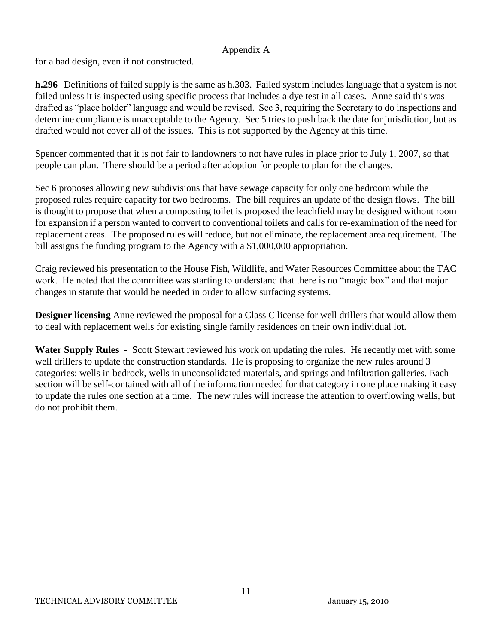for a bad design, even if not constructed.

**h.296** Definitions of failed supply is the same as h.303. Failed system includes language that a system is not failed unless it is inspected using specific process that includes a dye test in all cases. Anne said this was drafted as "place holder" language and would be revised. Sec 3, requiring the Secretary to do inspections and determine compliance is unacceptable to the Agency. Sec 5 tries to push back the date for jurisdiction, but as drafted would not cover all of the issues. This is not supported by the Agency at this time.

Spencer commented that it is not fair to landowners to not have rules in place prior to July 1, 2007, so that people can plan. There should be a period after adoption for people to plan for the changes.

Sec 6 proposes allowing new subdivisions that have sewage capacity for only one bedroom while the proposed rules require capacity for two bedrooms. The bill requires an update of the design flows. The bill is thought to propose that when a composting toilet is proposed the leachfield may be designed without room for expansion if a person wanted to convert to conventional toilets and calls for re-examination of the need for replacement areas. The proposed rules will reduce, but not eliminate, the replacement area requirement. The bill assigns the funding program to the Agency with a \$1,000,000 appropriation.

Craig reviewed his presentation to the House Fish, Wildlife, and Water Resources Committee about the TAC work. He noted that the committee was starting to understand that there is no "magic box" and that major changes in statute that would be needed in order to allow surfacing systems.

**Designer licensing** Anne reviewed the proposal for a Class C license for well drillers that would allow them to deal with replacement wells for existing single family residences on their own individual lot.

**Water Supply Rules -** Scott Stewart reviewed his work on updating the rules. He recently met with some well drillers to update the construction standards. He is proposing to organize the new rules around 3 categories: wells in bedrock, wells in unconsolidated materials, and springs and infiltration galleries. Each section will be self-contained with all of the information needed for that category in one place making it easy to update the rules one section at a time. The new rules will increase the attention to overflowing wells, but do not prohibit them.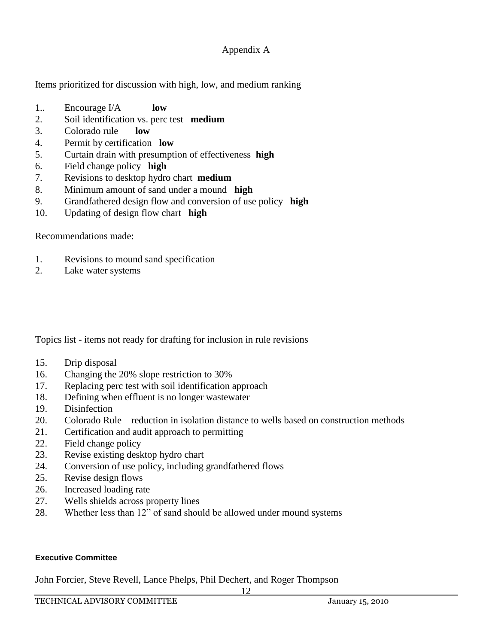Items prioritized for discussion with high, low, and medium ranking

- 1.. Encourage I/A **low**
- 2. Soil identification vs. perc test **medium**
- 3. Colorado rule **low**
- 4. Permit by certification **low**
- 5. Curtain drain with presumption of effectiveness **high**
- 6. Field change policy **high**
- 7. Revisions to desktop hydro chart **medium**
- 8. Minimum amount of sand under a mound **high**
- 9. Grandfathered design flow and conversion of use policy **high**
- 10. Updating of design flow chart **high**

### Recommendations made:

- 1. Revisions to mound sand specification
- 2. Lake water systems

Topics list - items not ready for drafting for inclusion in rule revisions

- 15. Drip disposal
- 16. Changing the 20% slope restriction to 30%
- 17. Replacing perc test with soil identification approach
- 18. Defining when effluent is no longer wastewater
- 19. Disinfection
- 20. Colorado Rule reduction in isolation distance to wells based on construction methods
- 21. Certification and audit approach to permitting
- 22. Field change policy
- 23. Revise existing desktop hydro chart
- 24. Conversion of use policy, including grandfathered flows
- 25. Revise design flows
- 26. Increased loading rate
- 27. Wells shields across property lines
- 28. Whether less than 12" of sand should be allowed under mound systems

#### **Executive Committee**

John Forcier, Steve Revell, Lance Phelps, Phil Dechert, and Roger Thompson

12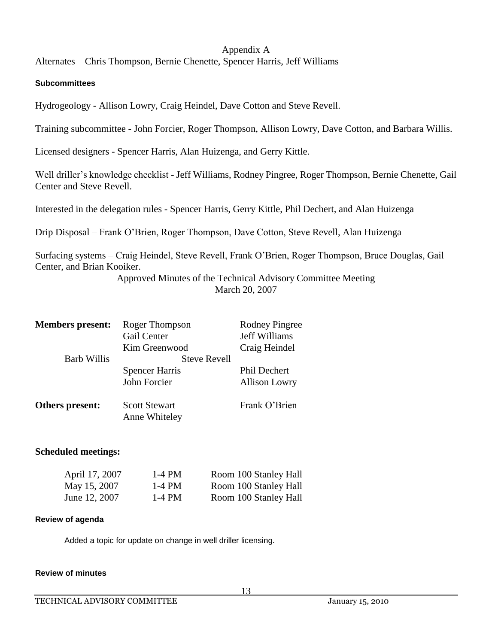Alternates – Chris Thompson, Bernie Chenette, Spencer Harris, Jeff Williams

#### **Subcommittees**

Hydrogeology - Allison Lowry, Craig Heindel, Dave Cotton and Steve Revell.

Training subcommittee - John Forcier, Roger Thompson, Allison Lowry, Dave Cotton, and Barbara Willis.

Licensed designers - Spencer Harris, Alan Huizenga, and Gerry Kittle.

Well driller's knowledge checklist - Jeff Williams, Rodney Pingree, Roger Thompson, Bernie Chenette, Gail Center and Steve Revell.

Interested in the delegation rules - Spencer Harris, Gerry Kittle, Phil Dechert, and Alan Huizenga

Drip Disposal – Frank O'Brien, Roger Thompson, Dave Cotton, Steve Revell, Alan Huizenga

Surfacing systems – Craig Heindel, Steve Revell, Frank O'Brien, Roger Thompson, Bruce Douglas, Gail Center, and Brian Kooiker.

Approved Minutes of the Technical Advisory Committee Meeting March 20, 2007

| <b>Members present:</b> | Roger Thompson        | <b>Rodney Pingree</b> |
|-------------------------|-----------------------|-----------------------|
|                         | Gail Center           | Jeff Williams         |
|                         | Kim Greenwood         | Craig Heindel         |
| <b>Barb Willis</b>      | <b>Steve Revell</b>   |                       |
|                         | <b>Spencer Harris</b> | Phil Dechert          |
|                         | John Forcier          | <b>Allison Lowry</b>  |
| Others present:         | <b>Scott Stewart</b>  | Frank O'Brien         |
|                         | Anne Whiteley         |                       |

### **Scheduled meetings:**

| April 17, 2007 | 1-4 PM | Room 100 Stanley Hall |
|----------------|--------|-----------------------|
| May 15, 2007   | 1-4 PM | Room 100 Stanley Hall |
| June 12, 2007  | 1-4 PM | Room 100 Stanley Hall |

#### **Review of agenda**

Added a topic for update on change in well driller licensing.

#### **Review of minutes**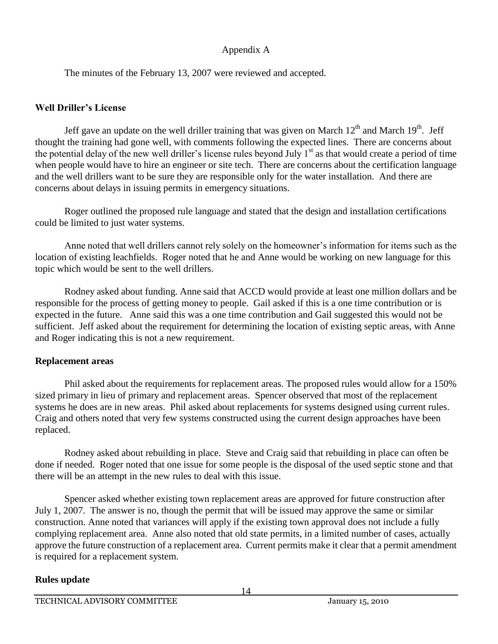The minutes of the February 13, 2007 were reviewed and accepted.

## **Well Driller's License**

Jeff gave an update on the well driller training that was given on March  $12<sup>th</sup>$  and March  $19<sup>th</sup>$ . Jeff thought the training had gone well, with comments following the expected lines. There are concerns about the potential delay of the new well driller's license rules beyond July  $1<sup>st</sup>$  as that would create a period of time when people would have to hire an engineer or site tech. There are concerns about the certification language and the well drillers want to be sure they are responsible only for the water installation. And there are concerns about delays in issuing permits in emergency situations.

Roger outlined the proposed rule language and stated that the design and installation certifications could be limited to just water systems.

Anne noted that well drillers cannot rely solely on the homeowner's information for items such as the location of existing leachfields. Roger noted that he and Anne would be working on new language for this topic which would be sent to the well drillers.

Rodney asked about funding. Anne said that ACCD would provide at least one million dollars and be responsible for the process of getting money to people. Gail asked if this is a one time contribution or is expected in the future. Anne said this was a one time contribution and Gail suggested this would not be sufficient. Jeff asked about the requirement for determining the location of existing septic areas, with Anne and Roger indicating this is not a new requirement.

# **Replacement areas**

Phil asked about the requirements for replacement areas. The proposed rules would allow for a 150% sized primary in lieu of primary and replacement areas. Spencer observed that most of the replacement systems he does are in new areas. Phil asked about replacements for systems designed using current rules. Craig and others noted that very few systems constructed using the current design approaches have been replaced.

Rodney asked about rebuilding in place. Steve and Craig said that rebuilding in place can often be done if needed. Roger noted that one issue for some people is the disposal of the used septic stone and that there will be an attempt in the new rules to deal with this issue.

Spencer asked whether existing town replacement areas are approved for future construction after July 1, 2007. The answer is no, though the permit that will be issued may approve the same or similar construction. Anne noted that variances will apply if the existing town approval does not include a fully complying replacement area. Anne also noted that old state permits, in a limited number of cases, actually approve the future construction of a replacement area. Current permits make it clear that a permit amendment is required for a replacement system.

# **Rules update**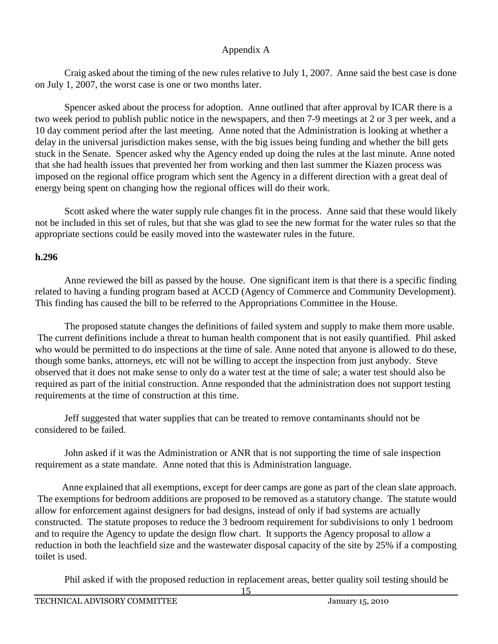Craig asked about the timing of the new rules relative to July 1, 2007. Anne said the best case is done on July 1, 2007, the worst case is one or two months later.

Spencer asked about the process for adoption. Anne outlined that after approval by ICAR there is a two week period to publish public notice in the newspapers, and then 7-9 meetings at 2 or 3 per week, and a 10 day comment period after the last meeting. Anne noted that the Administration is looking at whether a delay in the universal jurisdiction makes sense, with the big issues being funding and whether the bill gets stuck in the Senate. Spencer asked why the Agency ended up doing the rules at the last minute. Anne noted that she had health issues that prevented her from working and then last summer the Kiazen process was imposed on the regional office program which sent the Agency in a different direction with a great deal of energy being spent on changing how the regional offices will do their work.

Scott asked where the water supply rule changes fit in the process. Anne said that these would likely not be included in this set of rules, but that she was glad to see the new format for the water rules so that the appropriate sections could be easily moved into the wastewater rules in the future.

### **h.296**

Anne reviewed the bill as passed by the house. One significant item is that there is a specific finding related to having a funding program based at ACCD (Agency of Commerce and Community Development). This finding has caused the bill to be referred to the Appropriations Committee in the House.

The proposed statute changes the definitions of failed system and supply to make them more usable. The current definitions include a threat to human health component that is not easily quantified. Phil asked who would be permitted to do inspections at the time of sale. Anne noted that anyone is allowed to do these, though some banks, attorneys, etc will not be willing to accept the inspection from just anybody. Steve observed that it does not make sense to only do a water test at the time of sale; a water test should also be required as part of the initial construction. Anne responded that the administration does not support testing requirements at the time of construction at this time.

Jeff suggested that water supplies that can be treated to remove contaminants should not be considered to be failed.

John asked if it was the Administration or ANR that is not supporting the time of sale inspection requirement as a state mandate. Anne noted that this is Administration language.

Anne explained that all exemptions, except for deer camps are gone as part of the clean slate approach. The exemptions for bedroom additions are proposed to be removed as a statutory change. The statute would allow for enforcement against designers for bad designs, instead of only if bad systems are actually constructed. The statute proposes to reduce the 3 bedroom requirement for subdivisions to only 1 bedroom and to require the Agency to update the design flow chart. It supports the Agency proposal to allow a reduction in both the leachfield size and the wastewater disposal capacity of the site by 25% if a composting toilet is used.

Phil asked if with the proposed reduction in replacement areas, better quality soil testing should be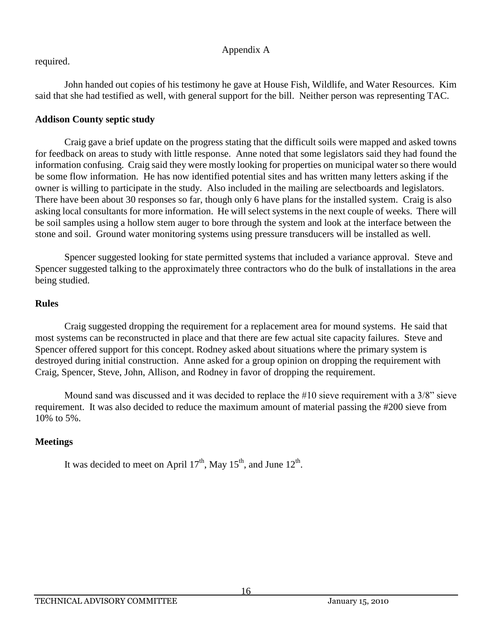# required.

John handed out copies of his testimony he gave at House Fish, Wildlife, and Water Resources. Kim said that she had testified as well, with general support for the bill. Neither person was representing TAC.

# **Addison County septic study**

Craig gave a brief update on the progress stating that the difficult soils were mapped and asked towns for feedback on areas to study with little response. Anne noted that some legislators said they had found the information confusing. Craig said they were mostly looking for properties on municipal water so there would be some flow information. He has now identified potential sites and has written many letters asking if the owner is willing to participate in the study. Also included in the mailing are selectboards and legislators. There have been about 30 responses so far, though only 6 have plans for the installed system. Craig is also asking local consultants for more information. He will select systems in the next couple of weeks. There will be soil samples using a hollow stem auger to bore through the system and look at the interface between the stone and soil. Ground water monitoring systems using pressure transducers will be installed as well.

Spencer suggested looking for state permitted systems that included a variance approval. Steve and Spencer suggested talking to the approximately three contractors who do the bulk of installations in the area being studied.

# **Rules**

Craig suggested dropping the requirement for a replacement area for mound systems. He said that most systems can be reconstructed in place and that there are few actual site capacity failures. Steve and Spencer offered support for this concept. Rodney asked about situations where the primary system is destroyed during initial construction. Anne asked for a group opinion on dropping the requirement with Craig, Spencer, Steve, John, Allison, and Rodney in favor of dropping the requirement.

Mound sand was discussed and it was decided to replace the #10 sieve requirement with a 3/8" sieve requirement. It was also decided to reduce the maximum amount of material passing the #200 sieve from 10% to 5%.

# **Meetings**

It was decided to meet on April  $17<sup>th</sup>$ , May  $15<sup>th</sup>$ , and June  $12<sup>th</sup>$ .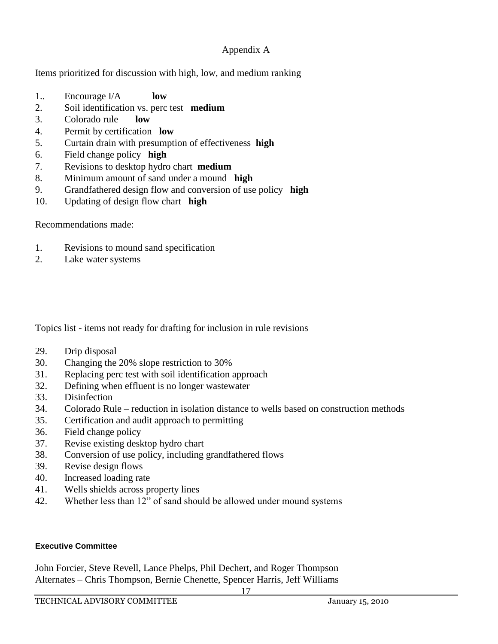Items prioritized for discussion with high, low, and medium ranking

- 1.. Encourage I/A **low**
- 2. Soil identification vs. perc test **medium**
- 3. Colorado rule **low**
- 4. Permit by certification **low**
- 5. Curtain drain with presumption of effectiveness **high**
- 6. Field change policy **high**
- 7. Revisions to desktop hydro chart **medium**
- 8. Minimum amount of sand under a mound **high**
- 9. Grandfathered design flow and conversion of use policy **high**
- 10. Updating of design flow chart **high**

Recommendations made:

- 1. Revisions to mound sand specification
- 2. Lake water systems

Topics list - items not ready for drafting for inclusion in rule revisions

- 29. Drip disposal
- 30. Changing the 20% slope restriction to 30%
- 31. Replacing perc test with soil identification approach
- 32. Defining when effluent is no longer wastewater
- 33. Disinfection
- 34. Colorado Rule reduction in isolation distance to wells based on construction methods
- 35. Certification and audit approach to permitting
- 36. Field change policy
- 37. Revise existing desktop hydro chart
- 38. Conversion of use policy, including grandfathered flows
- 39. Revise design flows
- 40. Increased loading rate
- 41. Wells shields across property lines
- 42. Whether less than 12" of sand should be allowed under mound systems

#### **Executive Committee**

John Forcier, Steve Revell, Lance Phelps, Phil Dechert, and Roger Thompson Alternates – Chris Thompson, Bernie Chenette, Spencer Harris, Jeff Williams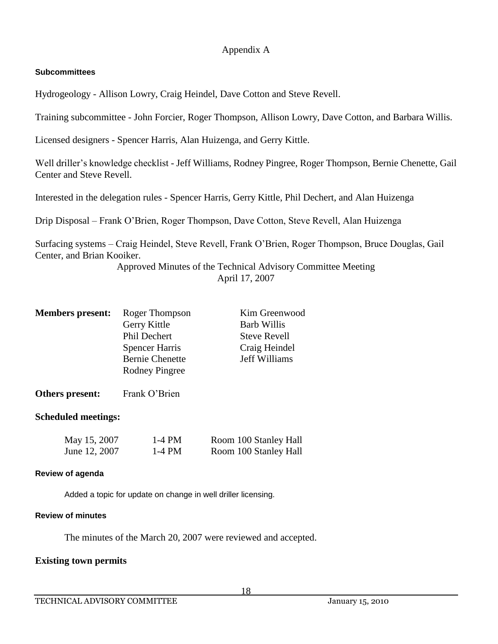#### **Subcommittees**

Hydrogeology - Allison Lowry, Craig Heindel, Dave Cotton and Steve Revell.

Training subcommittee - John Forcier, Roger Thompson, Allison Lowry, Dave Cotton, and Barbara Willis.

Licensed designers - Spencer Harris, Alan Huizenga, and Gerry Kittle.

Well driller's knowledge checklist - Jeff Williams, Rodney Pingree, Roger Thompson, Bernie Chenette, Gail Center and Steve Revell.

Interested in the delegation rules - Spencer Harris, Gerry Kittle, Phil Dechert, and Alan Huizenga

Drip Disposal – Frank O'Brien, Roger Thompson, Dave Cotton, Steve Revell, Alan Huizenga

Surfacing systems – Craig Heindel, Steve Revell, Frank O'Brien, Roger Thompson, Bruce Douglas, Gail Center, and Brian Kooiker.

> Approved Minutes of the Technical Advisory Committee Meeting April 17, 2007

| <b>Members present:</b> | Roger Thompson         | Kim Greenwood       |
|-------------------------|------------------------|---------------------|
|                         | Gerry Kittle           | <b>Barb Willis</b>  |
|                         | Phil Dechert           | <b>Steve Revell</b> |
|                         | <b>Spencer Harris</b>  | Craig Heindel       |
|                         | <b>Bernie Chenette</b> | Jeff Williams       |
|                         | <b>Rodney Pingree</b>  |                     |
|                         |                        |                     |

**Others present:** Frank O'Brien

#### **Scheduled meetings:**

| May 15, 2007  | 1-4 PM | Room 100 Stanley Hall |
|---------------|--------|-----------------------|
| June 12, 2007 | 1-4 PM | Room 100 Stanley Hall |

#### **Review of agenda**

Added a topic for update on change in well driller licensing.

#### **Review of minutes**

The minutes of the March 20, 2007 were reviewed and accepted.

### **Existing town permits**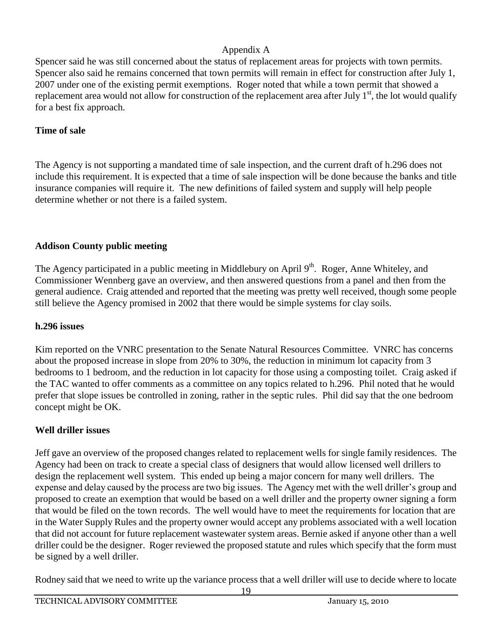Spencer said he was still concerned about the status of replacement areas for projects with town permits. Spencer also said he remains concerned that town permits will remain in effect for construction after July 1, 2007 under one of the existing permit exemptions. Roger noted that while a town permit that showed a replacement area would not allow for construction of the replacement area after July  $1<sup>st</sup>$ , the lot would qualify for a best fix approach.

### **Time of sale**

The Agency is not supporting a mandated time of sale inspection, and the current draft of h.296 does not include this requirement. It is expected that a time of sale inspection will be done because the banks and title insurance companies will require it. The new definitions of failed system and supply will help people determine whether or not there is a failed system.

# **Addison County public meeting**

The Agency participated in a public meeting in Middlebury on April  $9<sup>th</sup>$ . Roger, Anne Whiteley, and Commissioner Wennberg gave an overview, and then answered questions from a panel and then from the general audience. Craig attended and reported that the meeting was pretty well received, though some people still believe the Agency promised in 2002 that there would be simple systems for clay soils.

# **h.296 issues**

Kim reported on the VNRC presentation to the Senate Natural Resources Committee. VNRC has concerns about the proposed increase in slope from 20% to 30%, the reduction in minimum lot capacity from 3 bedrooms to 1 bedroom, and the reduction in lot capacity for those using a composting toilet. Craig asked if the TAC wanted to offer comments as a committee on any topics related to h.296. Phil noted that he would prefer that slope issues be controlled in zoning, rather in the septic rules. Phil did say that the one bedroom concept might be OK.

# **Well driller issues**

Jeff gave an overview of the proposed changes related to replacement wells for single family residences. The Agency had been on track to create a special class of designers that would allow licensed well drillers to design the replacement well system. This ended up being a major concern for many well drillers. The expense and delay caused by the process are two big issues. The Agency met with the well driller's group and proposed to create an exemption that would be based on a well driller and the property owner signing a form that would be filed on the town records. The well would have to meet the requirements for location that are in the Water Supply Rules and the property owner would accept any problems associated with a well location that did not account for future replacement wastewater system areas. Bernie asked if anyone other than a well driller could be the designer. Roger reviewed the proposed statute and rules which specify that the form must be signed by a well driller.

Rodney said that we need to write up the variance process that a well driller will use to decide where to locate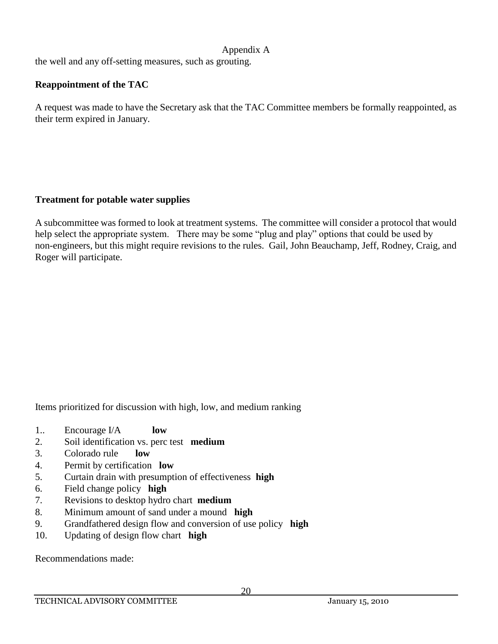the well and any off-setting measures, such as grouting.

# **Reappointment of the TAC**

A request was made to have the Secretary ask that the TAC Committee members be formally reappointed, as their term expired in January.

### **Treatment for potable water supplies**

A subcommittee was formed to look at treatment systems. The committee will consider a protocol that would help select the appropriate system. There may be some "plug and play" options that could be used by non-engineers, but this might require revisions to the rules. Gail, John Beauchamp, Jeff, Rodney, Craig, and Roger will participate.

Items prioritized for discussion with high, low, and medium ranking

- 1.. Encourage I/A **low**
- 2. Soil identification vs. perc test **medium**
- 3. Colorado rule **low**
- 4. Permit by certification **low**
- 5. Curtain drain with presumption of effectiveness **high**
- 6. Field change policy **high**
- 7. Revisions to desktop hydro chart **medium**
- 8. Minimum amount of sand under a mound **high**
- 9. Grandfathered design flow and conversion of use policy **high**
- 10. Updating of design flow chart **high**

Recommendations made: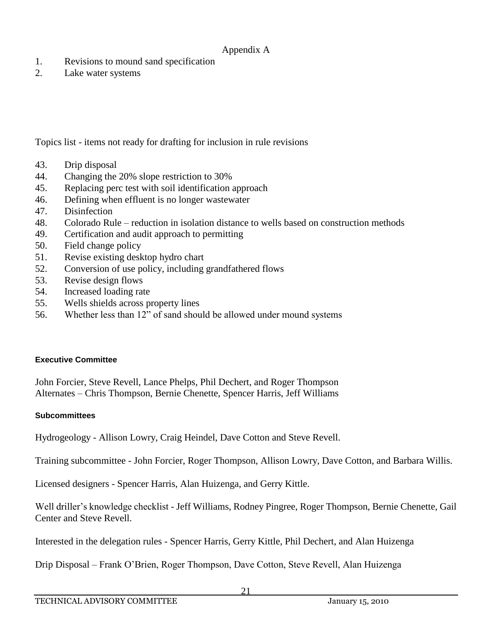- 1. Revisions to mound sand specification
- 2. Lake water systems

Topics list - items not ready for drafting for inclusion in rule revisions

- 43. Drip disposal
- 44. Changing the 20% slope restriction to 30%
- 45. Replacing perc test with soil identification approach
- 46. Defining when effluent is no longer wastewater
- 47. Disinfection
- 48. Colorado Rule reduction in isolation distance to wells based on construction methods
- 49. Certification and audit approach to permitting
- 50. Field change policy
- 51. Revise existing desktop hydro chart
- 52. Conversion of use policy, including grandfathered flows
- 53. Revise design flows
- 54. Increased loading rate
- 55. Wells shields across property lines
- 56. Whether less than 12" of sand should be allowed under mound systems

#### **Executive Committee**

John Forcier, Steve Revell, Lance Phelps, Phil Dechert, and Roger Thompson Alternates – Chris Thompson, Bernie Chenette, Spencer Harris, Jeff Williams

### **Subcommittees**

Hydrogeology - Allison Lowry, Craig Heindel, Dave Cotton and Steve Revell.

Training subcommittee - John Forcier, Roger Thompson, Allison Lowry, Dave Cotton, and Barbara Willis.

Licensed designers - Spencer Harris, Alan Huizenga, and Gerry Kittle.

Well driller's knowledge checklist - Jeff Williams, Rodney Pingree, Roger Thompson, Bernie Chenette, Gail Center and Steve Revell.

Interested in the delegation rules - Spencer Harris, Gerry Kittle, Phil Dechert, and Alan Huizenga

Drip Disposal – Frank O'Brien, Roger Thompson, Dave Cotton, Steve Revell, Alan Huizenga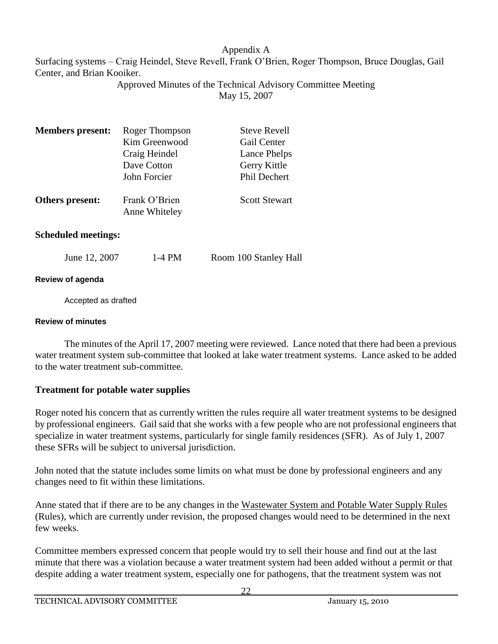Surfacing systems – Craig Heindel, Steve Revell, Frank O'Brien, Roger Thompson, Bruce Douglas, Gail Center, and Brian Kooiker.

Approved Minutes of the Technical Advisory Committee Meeting May 15, 2007

| <b>Members</b> present: | Roger Thompson                 | <b>Steve Revell</b>  |
|-------------------------|--------------------------------|----------------------|
|                         | Kim Greenwood                  | Gail Center          |
|                         | Craig Heindel                  | Lance Phelps         |
|                         | Dave Cotton                    | Gerry Kittle         |
|                         | John Forcier                   | Phil Dechert         |
| Others present:         | Frank O'Brien<br>Anne Whiteley | <b>Scott Stewart</b> |

### **Scheduled meetings:**

| June 12, 2007 | $1-4$ PM | Room 100 Stanley Hall |
|---------------|----------|-----------------------|
|---------------|----------|-----------------------|

### **Review of agenda**

Accepted as drafted

#### **Review of minutes**

The minutes of the April 17, 2007 meeting were reviewed. Lance noted that there had been a previous water treatment system sub-committee that looked at lake water treatment systems. Lance asked to be added to the water treatment sub-committee.

# **Treatment for potable water supplies**

Roger noted his concern that as currently written the rules require all water treatment systems to be designed by professional engineers. Gail said that she works with a few people who are not professional engineers that specialize in water treatment systems, particularly for single family residences (SFR). As of July 1, 2007 these SFRs will be subject to universal jurisdiction.

John noted that the statute includes some limits on what must be done by professional engineers and any changes need to fit within these limitations.

Anne stated that if there are to be any changes in the Wastewater System and Potable Water Supply Rules (Rules), which are currently under revision, the proposed changes would need to be determined in the next few weeks.

Committee members expressed concern that people would try to sell their house and find out at the last minute that there was a violation because a water treatment system had been added without a permit or that despite adding a water treatment system, especially one for pathogens, that the treatment system was not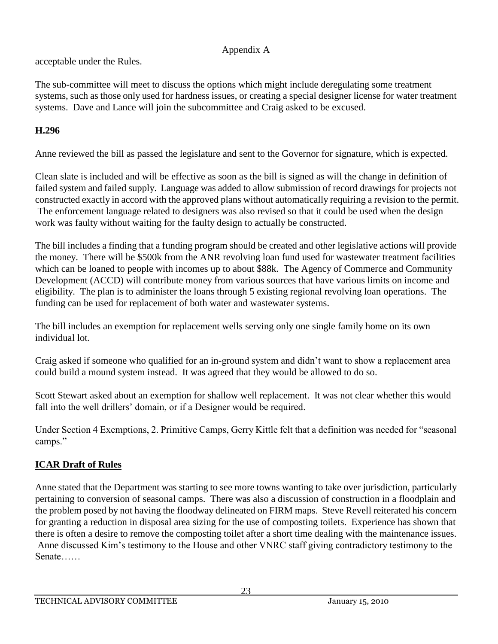acceptable under the Rules.

The sub-committee will meet to discuss the options which might include deregulating some treatment systems, such as those only used for hardness issues, or creating a special designer license for water treatment systems. Dave and Lance will join the subcommittee and Craig asked to be excused.

# **H.296**

Anne reviewed the bill as passed the legislature and sent to the Governor for signature, which is expected.

Clean slate is included and will be effective as soon as the bill is signed as will the change in definition of failed system and failed supply. Language was added to allow submission of record drawings for projects not constructed exactly in accord with the approved plans without automatically requiring a revision to the permit. The enforcement language related to designers was also revised so that it could be used when the design work was faulty without waiting for the faulty design to actually be constructed.

The bill includes a finding that a funding program should be created and other legislative actions will provide the money. There will be \$500k from the ANR revolving loan fund used for wastewater treatment facilities which can be loaned to people with incomes up to about \$88k. The Agency of Commerce and Community Development (ACCD) will contribute money from various sources that have various limits on income and eligibility. The plan is to administer the loans through 5 existing regional revolving loan operations. The funding can be used for replacement of both water and wastewater systems.

The bill includes an exemption for replacement wells serving only one single family home on its own individual lot.

Craig asked if someone who qualified for an in-ground system and didn't want to show a replacement area could build a mound system instead. It was agreed that they would be allowed to do so.

Scott Stewart asked about an exemption for shallow well replacement. It was not clear whether this would fall into the well drillers' domain, or if a Designer would be required.

Under Section 4 Exemptions, 2. Primitive Camps, Gerry Kittle felt that a definition was needed for "seasonal camps."

# **ICAR Draft of Rules**

Anne stated that the Department was starting to see more towns wanting to take over jurisdiction, particularly pertaining to conversion of seasonal camps. There was also a discussion of construction in a floodplain and the problem posed by not having the floodway delineated on FIRM maps. Steve Revell reiterated his concern for granting a reduction in disposal area sizing for the use of composting toilets. Experience has shown that there is often a desire to remove the composting toilet after a short time dealing with the maintenance issues. Anne discussed Kim's testimony to the House and other VNRC staff giving contradictory testimony to the Senate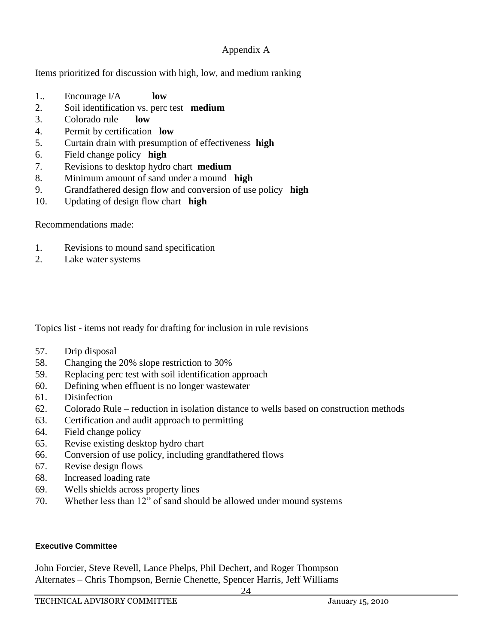Items prioritized for discussion with high, low, and medium ranking

- 1.. Encourage I/A **low**
- 2. Soil identification vs. perc test **medium**
- 3. Colorado rule **low**
- 4. Permit by certification **low**
- 5. Curtain drain with presumption of effectiveness **high**
- 6. Field change policy **high**
- 7. Revisions to desktop hydro chart **medium**
- 8. Minimum amount of sand under a mound **high**
- 9. Grandfathered design flow and conversion of use policy **high**
- 10. Updating of design flow chart **high**

Recommendations made:

- 1. Revisions to mound sand specification
- 2. Lake water systems

Topics list - items not ready for drafting for inclusion in rule revisions

- 57. Drip disposal
- 58. Changing the 20% slope restriction to 30%
- 59. Replacing perc test with soil identification approach
- 60. Defining when effluent is no longer wastewater
- 61. Disinfection
- 62. Colorado Rule reduction in isolation distance to wells based on construction methods
- 63. Certification and audit approach to permitting
- 64. Field change policy
- 65. Revise existing desktop hydro chart
- 66. Conversion of use policy, including grandfathered flows
- 67. Revise design flows
- 68. Increased loading rate
- 69. Wells shields across property lines
- 70. Whether less than 12" of sand should be allowed under mound systems

#### **Executive Committee**

John Forcier, Steve Revell, Lance Phelps, Phil Dechert, and Roger Thompson Alternates – Chris Thompson, Bernie Chenette, Spencer Harris, Jeff Williams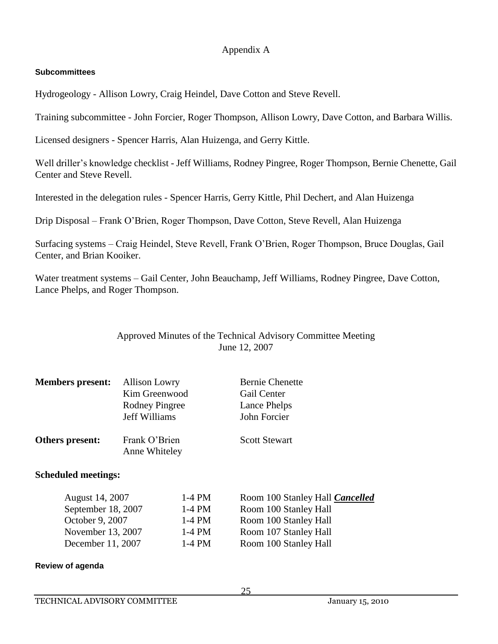#### **Subcommittees**

Hydrogeology - Allison Lowry, Craig Heindel, Dave Cotton and Steve Revell.

Training subcommittee - John Forcier, Roger Thompson, Allison Lowry, Dave Cotton, and Barbara Willis.

Licensed designers - Spencer Harris, Alan Huizenga, and Gerry Kittle.

Well driller's knowledge checklist - Jeff Williams, Rodney Pingree, Roger Thompson, Bernie Chenette, Gail Center and Steve Revell.

Interested in the delegation rules - Spencer Harris, Gerry Kittle, Phil Dechert, and Alan Huizenga

Drip Disposal – Frank O'Brien, Roger Thompson, Dave Cotton, Steve Revell, Alan Huizenga

Surfacing systems – Craig Heindel, Steve Revell, Frank O'Brien, Roger Thompson, Bruce Douglas, Gail Center, and Brian Kooiker.

Water treatment systems – Gail Center, John Beauchamp, Jeff Williams, Rodney Pingree, Dave Cotton, Lance Phelps, and Roger Thompson.

### Approved Minutes of the Technical Advisory Committee Meeting June 12, 2007

| <b>Members present:</b>    | <b>Allison Lowry</b><br>Kim Greenwood<br><b>Rodney Pingree</b><br><b>Jeff Williams</b> | <b>Bernie Chenette</b><br>Gail Center<br>Lance Phelps<br>John Forcier |
|----------------------------|----------------------------------------------------------------------------------------|-----------------------------------------------------------------------|
| Others present:            | Frank O'Brien<br>Anne Whiteley                                                         | <b>Scott Stewart</b>                                                  |
| <b>Scheduled meetings:</b> |                                                                                        |                                                                       |

| August 14, 2007    | 1-4 PM | Room 100 Stanley Hall <b>Cancelled</b> |
|--------------------|--------|----------------------------------------|
| September 18, 2007 | 1-4 PM | Room 100 Stanley Hall                  |
| October 9, 2007    | 1-4 PM | Room 100 Stanley Hall                  |
| November 13, 2007  | 1-4 PM | Room 107 Stanley Hall                  |
| December 11, 2007  | 1-4 PM | Room 100 Stanley Hall                  |
|                    |        |                                        |

#### **Review of agenda**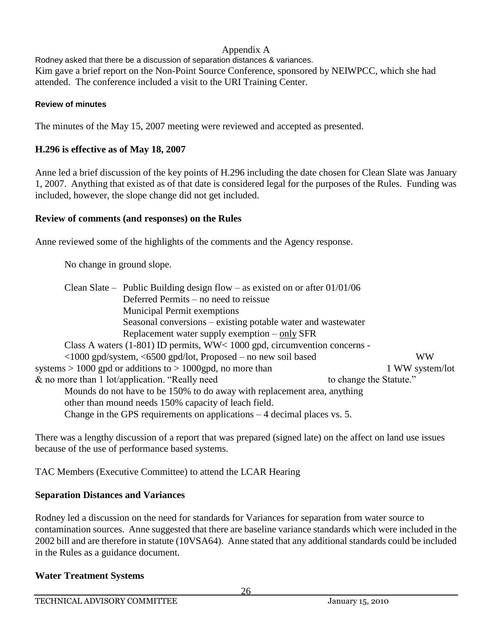Rodney asked that there be a discussion of separation distances & variances. Kim gave a brief report on the Non-Point Source Conference, sponsored by NEIWPCC, which she had attended. The conference included a visit to the URI Training Center.

#### **Review of minutes**

The minutes of the May 15, 2007 meeting were reviewed and accepted as presented.

### **H.296 is effective as of May 18, 2007**

Anne led a brief discussion of the key points of H.296 including the date chosen for Clean Slate was January 1, 2007. Anything that existed as of that date is considered legal for the purposes of the Rules. Funding was included, however, the slope change did not get included.

### **Review of comments (and responses) on the Rules**

Anne reviewed some of the highlights of the comments and the Agency response.

No change in ground slope.

| Clean Slate – Public Building design flow – as existed on or after $01/01/06$ |                         |  |
|-------------------------------------------------------------------------------|-------------------------|--|
| Deferred Permits – no need to reissue                                         |                         |  |
| <b>Municipal Permit exemptions</b>                                            |                         |  |
| Seasonal conversions – existing potable water and wastewater                  |                         |  |
| Replacement water supply exemption $-\text{only}$ SFR                         |                         |  |
| Class A waters $(1-801)$ ID permits, WW< 1000 gpd, circumvention concerns -   |                         |  |
| <1000 gpd/system, <6500 gpd/lot, Proposed - no new soil based                 | <b>WW</b>               |  |
| systems $> 1000$ gpd or additions to $> 1000$ gpd, no more than               | 1 WW system/lot         |  |
| & no more than 1 lot/application. "Really need                                | to change the Statute." |  |
| Mounds do not have to be 150% to do away with replacement area, anything      |                         |  |
| other than mound needs 150% capacity of leach field.                          |                         |  |
| Change in the GPS requirements on applications $-4$ decimal places vs. 5.     |                         |  |

There was a lengthy discussion of a report that was prepared (signed late) on the affect on land use issues because of the use of performance based systems.

TAC Members (Executive Committee) to attend the LCAR Hearing

### **Separation Distances and Variances**

Rodney led a discussion on the need for standards for Variances for separation from water source to contamination sources. Anne suggested that there are baseline variance standards which were included in the 2002 bill and are therefore in statute (10VSA64). Anne stated that any additional standards could be included in the Rules as a guidance document.

# **Water Treatment Systems**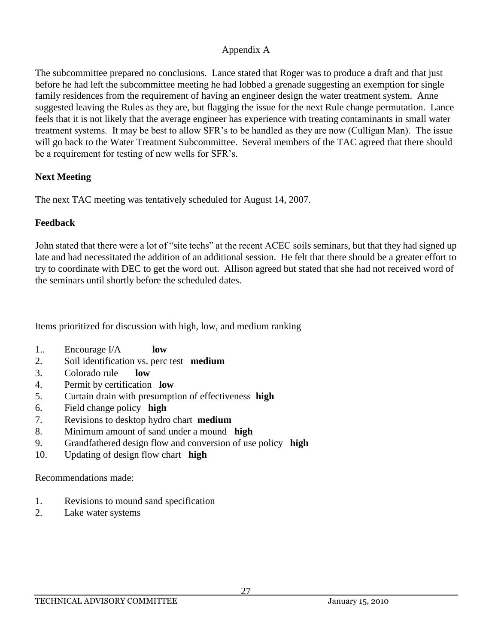The subcommittee prepared no conclusions. Lance stated that Roger was to produce a draft and that just before he had left the subcommittee meeting he had lobbed a grenade suggesting an exemption for single family residences from the requirement of having an engineer design the water treatment system. Anne suggested leaving the Rules as they are, but flagging the issue for the next Rule change permutation. Lance feels that it is not likely that the average engineer has experience with treating contaminants in small water treatment systems. It may be best to allow SFR's to be handled as they are now (Culligan Man). The issue will go back to the Water Treatment Subcommittee. Several members of the TAC agreed that there should be a requirement for testing of new wells for SFR's.

# **Next Meeting**

The next TAC meeting was tentatively scheduled for August 14, 2007.

# **Feedback**

John stated that there were a lot of "site techs" at the recent ACEC soils seminars, but that they had signed up late and had necessitated the addition of an additional session. He felt that there should be a greater effort to try to coordinate with DEC to get the word out. Allison agreed but stated that she had not received word of the seminars until shortly before the scheduled dates.

Items prioritized for discussion with high, low, and medium ranking

- 1.. Encourage I/A **low**
- 2. Soil identification vs. perc test **medium**
- 3. Colorado rule **low**
- 4. Permit by certification **low**
- 5. Curtain drain with presumption of effectiveness **high**
- 6. Field change policy **high**
- 7. Revisions to desktop hydro chart **medium**
- 8. Minimum amount of sand under a mound **high**
- 9. Grandfathered design flow and conversion of use policy **high**
- 10. Updating of design flow chart **high**

Recommendations made:

- 1. Revisions to mound sand specification
- 2. Lake water systems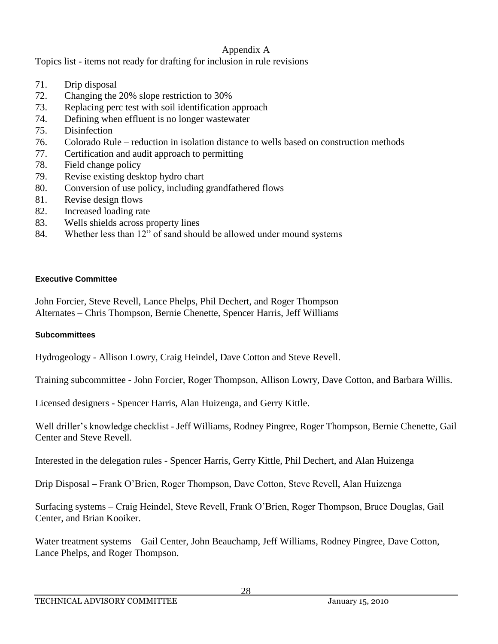Topics list - items not ready for drafting for inclusion in rule revisions

- 71. Drip disposal
- 72. Changing the 20% slope restriction to 30%
- 73. Replacing perc test with soil identification approach
- 74. Defining when effluent is no longer wastewater
- 75. Disinfection
- 76. Colorado Rule reduction in isolation distance to wells based on construction methods
- 77. Certification and audit approach to permitting
- 78. Field change policy
- 79. Revise existing desktop hydro chart
- 80. Conversion of use policy, including grandfathered flows
- 81. Revise design flows
- 82. Increased loading rate
- 83. Wells shields across property lines
- 84. Whether less than 12" of sand should be allowed under mound systems

### **Executive Committee**

John Forcier, Steve Revell, Lance Phelps, Phil Dechert, and Roger Thompson Alternates – Chris Thompson, Bernie Chenette, Spencer Harris, Jeff Williams

### **Subcommittees**

Hydrogeology - Allison Lowry, Craig Heindel, Dave Cotton and Steve Revell.

Training subcommittee - John Forcier, Roger Thompson, Allison Lowry, Dave Cotton, and Barbara Willis.

Licensed designers - Spencer Harris, Alan Huizenga, and Gerry Kittle.

Well driller's knowledge checklist - Jeff Williams, Rodney Pingree, Roger Thompson, Bernie Chenette, Gail Center and Steve Revell.

Interested in the delegation rules - Spencer Harris, Gerry Kittle, Phil Dechert, and Alan Huizenga

Drip Disposal – Frank O'Brien, Roger Thompson, Dave Cotton, Steve Revell, Alan Huizenga

Surfacing systems – Craig Heindel, Steve Revell, Frank O'Brien, Roger Thompson, Bruce Douglas, Gail Center, and Brian Kooiker.

Water treatment systems – Gail Center, John Beauchamp, Jeff Williams, Rodney Pingree, Dave Cotton, Lance Phelps, and Roger Thompson.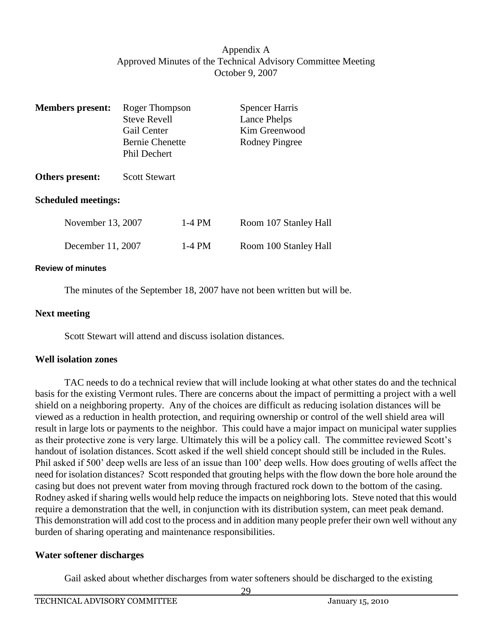### Appendix A Approved Minutes of the Technical Advisory Committee Meeting October 9, 2007

| <b>Members</b> present:    | Roger Thompson<br><b>Steve Revell</b><br>Gail Center<br><b>Bernie Chenette</b><br>Phil Dechert |          | <b>Spencer Harris</b><br>Lance Phelps<br>Kim Greenwood<br>Rodney Pingree |
|----------------------------|------------------------------------------------------------------------------------------------|----------|--------------------------------------------------------------------------|
| Others present:            | <b>Scott Stewart</b>                                                                           |          |                                                                          |
| <b>Scheduled meetings:</b> |                                                                                                |          |                                                                          |
| November 13, 2007          |                                                                                                | $1-4$ PM | Room 107 Stanley Hall                                                    |
| December 11, 2007          |                                                                                                | $1-4$ PM | Room 100 Stanley Hall                                                    |

#### **Review of minutes**

The minutes of the September 18, 2007 have not been written but will be.

#### **Next meeting**

Scott Stewart will attend and discuss isolation distances.

#### **Well isolation zones**

TAC needs to do a technical review that will include looking at what other states do and the technical basis for the existing Vermont rules. There are concerns about the impact of permitting a project with a well shield on a neighboring property. Any of the choices are difficult as reducing isolation distances will be viewed as a reduction in health protection, and requiring ownership or control of the well shield area will result in large lots or payments to the neighbor. This could have a major impact on municipal water supplies as their protective zone is very large. Ultimately this will be a policy call. The committee reviewed Scott's handout of isolation distances. Scott asked if the well shield concept should still be included in the Rules. Phil asked if 500' deep wells are less of an issue than 100' deep wells. How does grouting of wells affect the need for isolation distances? Scott responded that grouting helps with the flow down the bore hole around the casing but does not prevent water from moving through fractured rock down to the bottom of the casing. Rodney asked if sharing wells would help reduce the impacts on neighboring lots. Steve noted that this would require a demonstration that the well, in conjunction with its distribution system, can meet peak demand. This demonstration will add cost to the process and in addition many people prefer their own well without any burden of sharing operating and maintenance responsibilities.

#### **Water softener discharges**

Gail asked about whether discharges from water softeners should be discharged to the existing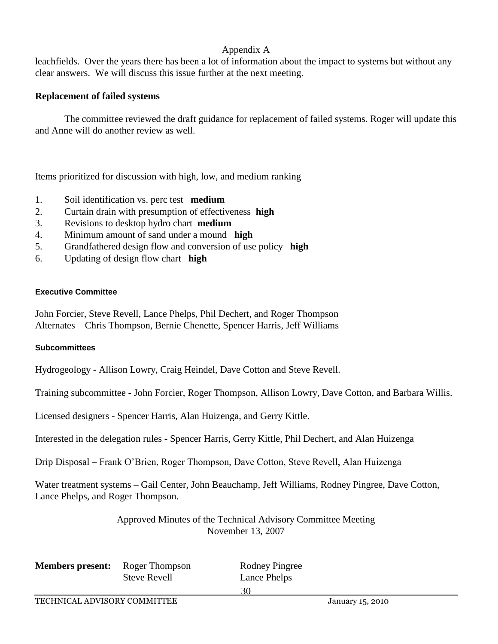leachfields. Over the years there has been a lot of information about the impact to systems but without any clear answers. We will discuss this issue further at the next meeting.

### **Replacement of failed systems**

The committee reviewed the draft guidance for replacement of failed systems. Roger will update this and Anne will do another review as well.

Items prioritized for discussion with high, low, and medium ranking

- 1. Soil identification vs. perc test **medium**
- 2. Curtain drain with presumption of effectiveness **high**
- 3. Revisions to desktop hydro chart **medium**
- 4. Minimum amount of sand under a mound **high**
- 5. Grandfathered design flow and conversion of use policy **high**
- 6. Updating of design flow chart **high**

#### **Executive Committee**

John Forcier, Steve Revell, Lance Phelps, Phil Dechert, and Roger Thompson Alternates – Chris Thompson, Bernie Chenette, Spencer Harris, Jeff Williams

### **Subcommittees**

Hydrogeology - Allison Lowry, Craig Heindel, Dave Cotton and Steve Revell.

Training subcommittee - John Forcier, Roger Thompson, Allison Lowry, Dave Cotton, and Barbara Willis.

Licensed designers - Spencer Harris, Alan Huizenga, and Gerry Kittle.

Interested in the delegation rules - Spencer Harris, Gerry Kittle, Phil Dechert, and Alan Huizenga

Drip Disposal – Frank O'Brien, Roger Thompson, Dave Cotton, Steve Revell, Alan Huizenga

Water treatment systems – Gail Center, John Beauchamp, Jeff Williams, Rodney Pingree, Dave Cotton, Lance Phelps, and Roger Thompson.

> Approved Minutes of the Technical Advisory Committee Meeting November 13, 2007

| <b>Members present:</b> Roger Thompso |                     |
|---------------------------------------|---------------------|
|                                       | <b>Steve Revell</b> |

**Members Present:** Rodney Pingree Lance Phelps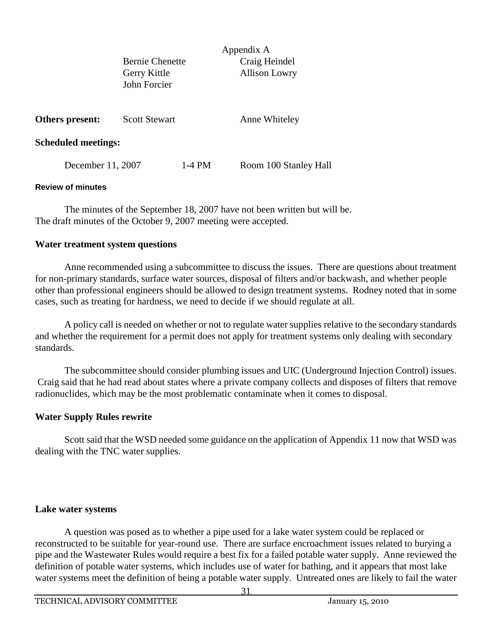| <b>Bernie Chenette</b> |  |
|------------------------|--|
| Gerry Kittle           |  |
| John Forcier           |  |

Appendix A Craig Heindel Allison Lowry

| Others present: | <b>Scott Stewart</b> | Anne Whiteley |
|-----------------|----------------------|---------------|
|                 |                      |               |

#### **Scheduled meetings:**

December 11, 2007 1-4 PM Room 100 Stanley Hall

#### **Review of minutes**

The minutes of the September 18, 2007 have not been written but will be. The draft minutes of the October 9, 2007 meeting were accepted.

### **Water treatment system questions**

Anne recommended using a subcommittee to discuss the issues. There are questions about treatment for non-primary standards, surface water sources, disposal of filters and/or backwash, and whether people other than professional engineers should be allowed to design treatment systems. Rodney noted that in some cases, such as treating for hardness, we need to decide if we should regulate at all.

A policy call is needed on whether or not to regulate water supplies relative to the secondary standards and whether the requirement for a permit does not apply for treatment systems only dealing with secondary standards.

The subcommittee should consider plumbing issues and UIC (Underground Injection Control) issues. Craig said that he had read about states where a private company collects and disposes of filters that remove radionuclides, which may be the most problematic contaminate when it comes to disposal.

### **Water Supply Rules rewrite**

Scott said that the WSD needed some guidance on the application of Appendix 11 now that WSD was dealing with the TNC water supplies.

### **Lake water systems**

A question was posed as to whether a pipe used for a lake water system could be replaced or reconstructed to be suitable for year-round use. There are surface encroachment issues related to burying a pipe and the Wastewater Rules would require a best fix for a failed potable water supply. Anne reviewed the definition of potable water systems, which includes use of water for bathing, and it appears that most lake water systems meet the definition of being a potable water supply. Untreated ones are likely to fail the water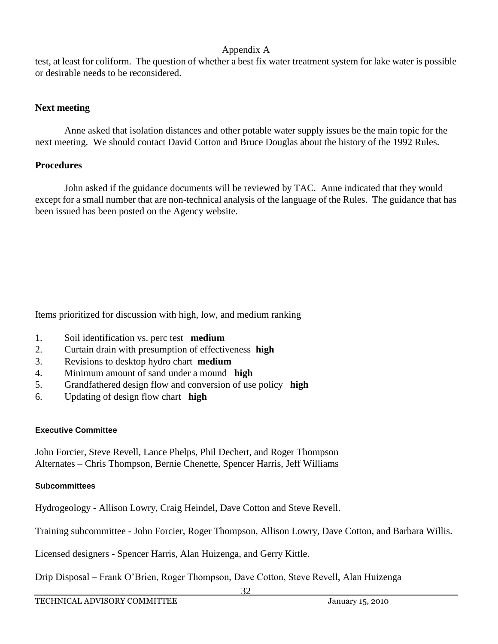test, at least for coliform. The question of whether a best fix water treatment system for lake water is possible or desirable needs to be reconsidered.

### **Next meeting**

Anne asked that isolation distances and other potable water supply issues be the main topic for the next meeting. We should contact David Cotton and Bruce Douglas about the history of the 1992 Rules.

### **Procedures**

John asked if the guidance documents will be reviewed by TAC. Anne indicated that they would except for a small number that are non-technical analysis of the language of the Rules. The guidance that has been issued has been posted on the Agency website.

Items prioritized for discussion with high, low, and medium ranking

- 1. Soil identification vs. perc test **medium**
- 2. Curtain drain with presumption of effectiveness **high**
- 3. Revisions to desktop hydro chart **medium**
- 4. Minimum amount of sand under a mound **high**
- 5. Grandfathered design flow and conversion of use policy **high**
- 6. Updating of design flow chart **high**

### **Executive Committee**

John Forcier, Steve Revell, Lance Phelps, Phil Dechert, and Roger Thompson Alternates – Chris Thompson, Bernie Chenette, Spencer Harris, Jeff Williams

### **Subcommittees**

Hydrogeology - Allison Lowry, Craig Heindel, Dave Cotton and Steve Revell.

Training subcommittee - John Forcier, Roger Thompson, Allison Lowry, Dave Cotton, and Barbara Willis.

Licensed designers - Spencer Harris, Alan Huizenga, and Gerry Kittle.

Drip Disposal – Frank O'Brien, Roger Thompson, Dave Cotton, Steve Revell, Alan Huizenga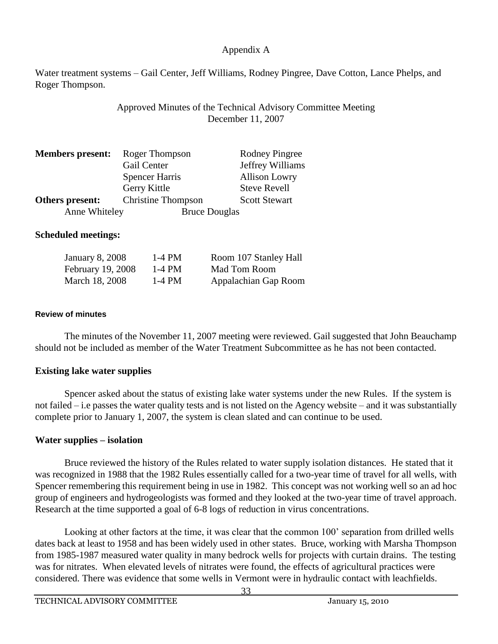Water treatment systems – Gail Center, Jeff Williams, Rodney Pingree, Dave Cotton, Lance Phelps, and Roger Thompson.

> Approved Minutes of the Technical Advisory Committee Meeting December 11, 2007

| <b>Members present:</b> | Roger Thompson            | <b>Rodney Pingree</b> |
|-------------------------|---------------------------|-----------------------|
|                         | Gail Center               | Jeffrey Williams      |
|                         | <b>Spencer Harris</b>     | <b>Allison Lowry</b>  |
|                         | Gerry Kittle              | <b>Steve Revell</b>   |
| Others present:         | <b>Christine Thompson</b> | <b>Scott Stewart</b>  |
| Anne Whiteley           | <b>Bruce Douglas</b>      |                       |

### **Scheduled meetings:**

| <b>January 8, 2008</b> | 1-4 PM | Room 107 Stanley Hall |
|------------------------|--------|-----------------------|
| February 19, 2008      | 1-4 PM | Mad Tom Room          |
| March 18, 2008         | 1-4 PM | Appalachian Gap Room  |

#### **Review of minutes**

The minutes of the November 11, 2007 meeting were reviewed. Gail suggested that John Beauchamp should not be included as member of the Water Treatment Subcommittee as he has not been contacted.

### **Existing lake water supplies**

Spencer asked about the status of existing lake water systems under the new Rules. If the system is not failed – i.e passes the water quality tests and is not listed on the Agency website – and it was substantially complete prior to January 1, 2007, the system is clean slated and can continue to be used.

#### **Water supplies – isolation**

Bruce reviewed the history of the Rules related to water supply isolation distances. He stated that it was recognized in 1988 that the 1982 Rules essentially called for a two-year time of travel for all wells, with Spencer remembering this requirement being in use in 1982. This concept was not working well so an ad hoc group of engineers and hydrogeologists was formed and they looked at the two-year time of travel approach. Research at the time supported a goal of 6-8 logs of reduction in virus concentrations.

Looking at other factors at the time, it was clear that the common 100' separation from drilled wells dates back at least to 1958 and has been widely used in other states. Bruce, working with Marsha Thompson from 1985-1987 measured water quality in many bedrock wells for projects with curtain drains. The testing was for nitrates. When elevated levels of nitrates were found, the effects of agricultural practices were considered. There was evidence that some wells in Vermont were in hydraulic contact with leachfields.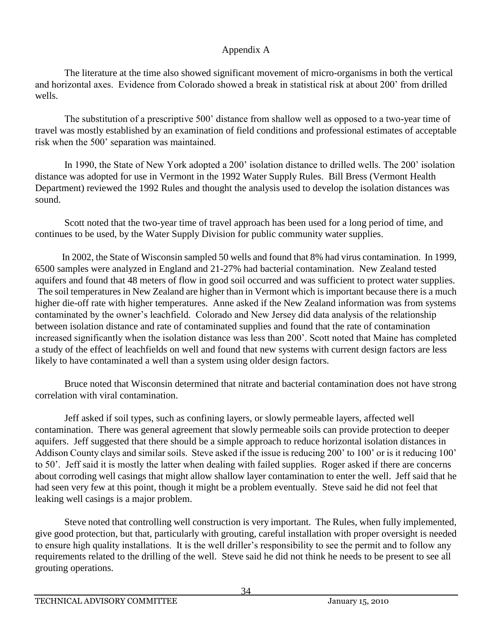The literature at the time also showed significant movement of micro-organisms in both the vertical and horizontal axes. Evidence from Colorado showed a break in statistical risk at about 200' from drilled wells.

The substitution of a prescriptive 500' distance from shallow well as opposed to a two-year time of travel was mostly established by an examination of field conditions and professional estimates of acceptable risk when the 500' separation was maintained.

In 1990, the State of New York adopted a 200' isolation distance to drilled wells. The 200' isolation distance was adopted for use in Vermont in the 1992 Water Supply Rules. Bill Bress (Vermont Health Department) reviewed the 1992 Rules and thought the analysis used to develop the isolation distances was sound.

Scott noted that the two-year time of travel approach has been used for a long period of time, and continues to be used, by the Water Supply Division for public community water supplies.

In 2002, the State of Wisconsin sampled 50 wells and found that 8% had virus contamination. In 1999, 6500 samples were analyzed in England and 21-27% had bacterial contamination. New Zealand tested aquifers and found that 48 meters of flow in good soil occurred and was sufficient to protect water supplies. The soil temperatures in New Zealand are higher than in Vermont which is important because there is a much higher die-off rate with higher temperatures. Anne asked if the New Zealand information was from systems contaminated by the owner's leachfield. Colorado and New Jersey did data analysis of the relationship between isolation distance and rate of contaminated supplies and found that the rate of contamination increased significantly when the isolation distance was less than 200'. Scott noted that Maine has completed a study of the effect of leachfields on well and found that new systems with current design factors are less likely to have contaminated a well than a system using older design factors.

Bruce noted that Wisconsin determined that nitrate and bacterial contamination does not have strong correlation with viral contamination.

Jeff asked if soil types, such as confining layers, or slowly permeable layers, affected well contamination. There was general agreement that slowly permeable soils can provide protection to deeper aquifers. Jeff suggested that there should be a simple approach to reduce horizontal isolation distances in Addison County clays and similar soils. Steve asked if the issue is reducing 200' to 100' or is it reducing 100' to 50'. Jeff said it is mostly the latter when dealing with failed supplies. Roger asked if there are concerns about corroding well casings that might allow shallow layer contamination to enter the well. Jeff said that he had seen very few at this point, though it might be a problem eventually. Steve said he did not feel that leaking well casings is a major problem.

Steve noted that controlling well construction is very important. The Rules, when fully implemented, give good protection, but that, particularly with grouting, careful installation with proper oversight is needed to ensure high quality installations. It is the well driller's responsibility to see the permit and to follow any requirements related to the drilling of the well. Steve said he did not think he needs to be present to see all grouting operations.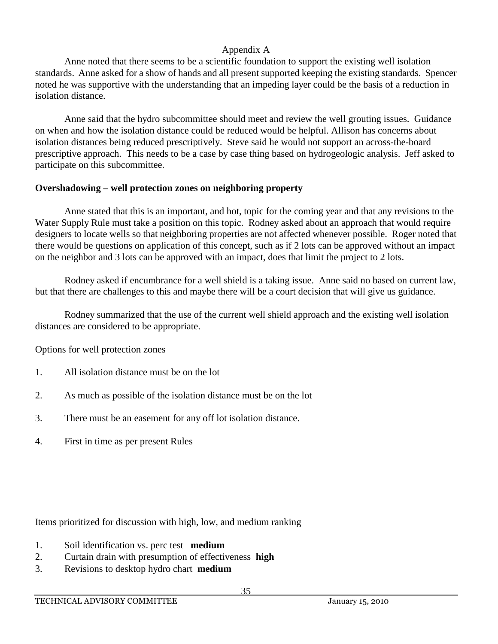Anne noted that there seems to be a scientific foundation to support the existing well isolation standards. Anne asked for a show of hands and all present supported keeping the existing standards. Spencer noted he was supportive with the understanding that an impeding layer could be the basis of a reduction in isolation distance.

Anne said that the hydro subcommittee should meet and review the well grouting issues. Guidance on when and how the isolation distance could be reduced would be helpful. Allison has concerns about isolation distances being reduced prescriptively. Steve said he would not support an across-the-board prescriptive approach. This needs to be a case by case thing based on hydrogeologic analysis. Jeff asked to participate on this subcommittee.

# **Overshadowing – well protection zones on neighboring property**

Anne stated that this is an important, and hot, topic for the coming year and that any revisions to the Water Supply Rule must take a position on this topic. Rodney asked about an approach that would require designers to locate wells so that neighboring properties are not affected whenever possible. Roger noted that there would be questions on application of this concept, such as if 2 lots can be approved without an impact on the neighbor and 3 lots can be approved with an impact, does that limit the project to 2 lots.

Rodney asked if encumbrance for a well shield is a taking issue. Anne said no based on current law, but that there are challenges to this and maybe there will be a court decision that will give us guidance.

Rodney summarized that the use of the current well shield approach and the existing well isolation distances are considered to be appropriate.

# Options for well protection zones

- 1. All isolation distance must be on the lot
- 2. As much as possible of the isolation distance must be on the lot
- 3. There must be an easement for any off lot isolation distance.
- 4. First in time as per present Rules

Items prioritized for discussion with high, low, and medium ranking

- 1. Soil identification vs. perc test **medium**
- 2. Curtain drain with presumption of effectiveness **high**
- 3. Revisions to desktop hydro chart **medium**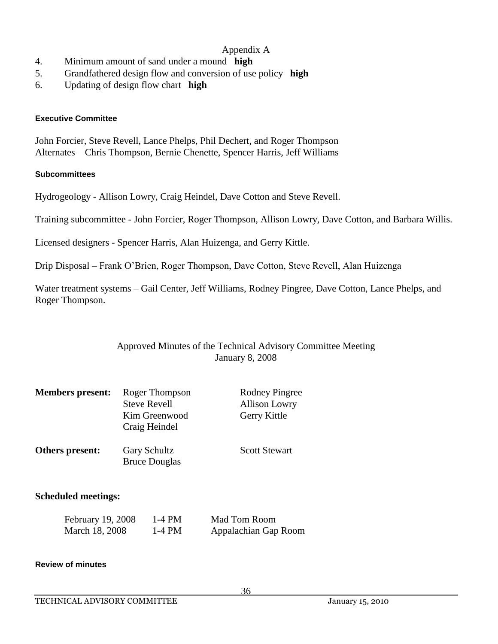- 4. Minimum amount of sand under a mound **high**
- 5. Grandfathered design flow and conversion of use policy **high**
- 6. Updating of design flow chart **high**

#### **Executive Committee**

John Forcier, Steve Revell, Lance Phelps, Phil Dechert, and Roger Thompson Alternates – Chris Thompson, Bernie Chenette, Spencer Harris, Jeff Williams

#### **Subcommittees**

Hydrogeology - Allison Lowry, Craig Heindel, Dave Cotton and Steve Revell.

Training subcommittee - John Forcier, Roger Thompson, Allison Lowry, Dave Cotton, and Barbara Willis.

Licensed designers - Spencer Harris, Alan Huizenga, and Gerry Kittle.

Drip Disposal – Frank O'Brien, Roger Thompson, Dave Cotton, Steve Revell, Alan Huizenga

Water treatment systems – Gail Center, Jeff Williams, Rodney Pingree, Dave Cotton, Lance Phelps, and Roger Thompson.

#### Approved Minutes of the Technical Advisory Committee Meeting January 8, 2008

| <b>Members present:</b> | Roger Thompson<br><b>Steve Revell</b><br>Kim Greenwood<br>Craig Heindel | <b>Rodney Pingree</b><br><b>Allison Lowry</b><br>Gerry Kittle |
|-------------------------|-------------------------------------------------------------------------|---------------------------------------------------------------|
| Others present:         | <b>Gary Schultz</b><br><b>Bruce Douglas</b>                             | <b>Scott Stewart</b>                                          |

#### **Scheduled meetings:**

| February 19, 2008 | 1-4 PM | Mad Tom Room         |
|-------------------|--------|----------------------|
| March 18, 2008    | 1-4 PM | Appalachian Gap Room |

#### **Review of minutes**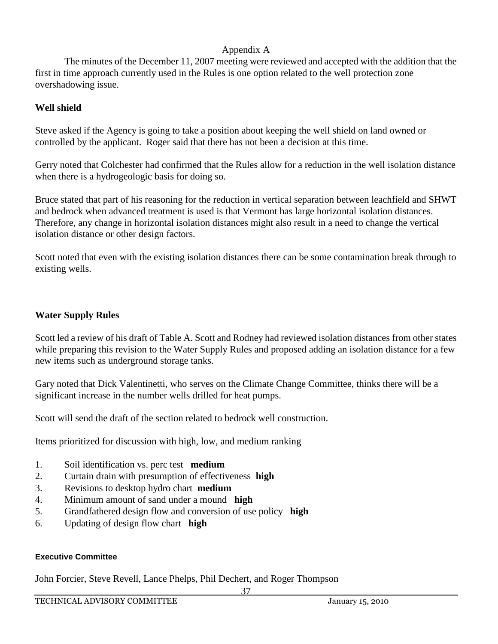The minutes of the December 11, 2007 meeting were reviewed and accepted with the addition that the first in time approach currently used in the Rules is one option related to the well protection zone overshadowing issue.

# **Well shield**

Steve asked if the Agency is going to take a position about keeping the well shield on land owned or controlled by the applicant. Roger said that there has not been a decision at this time.

Gerry noted that Colchester had confirmed that the Rules allow for a reduction in the well isolation distance when there is a hydrogeologic basis for doing so.

Bruce stated that part of his reasoning for the reduction in vertical separation between leachfield and SHWT and bedrock when advanced treatment is used is that Vermont has large horizontal isolation distances. Therefore, any change in horizontal isolation distances might also result in a need to change the vertical isolation distance or other design factors.

Scott noted that even with the existing isolation distances there can be some contamination break through to existing wells.

# **Water Supply Rules**

Scott led a review of his draft of Table A. Scott and Rodney had reviewed isolation distances from other states while preparing this revision to the Water Supply Rules and proposed adding an isolation distance for a few new items such as underground storage tanks.

Gary noted that Dick Valentinetti, who serves on the Climate Change Committee, thinks there will be a significant increase in the number wells drilled for heat pumps.

Scott will send the draft of the section related to bedrock well construction.

Items prioritized for discussion with high, low, and medium ranking

- 1. Soil identification vs. perc test **medium**
- 2. Curtain drain with presumption of effectiveness **high**
- 3. Revisions to desktop hydro chart **medium**
- 4. Minimum amount of sand under a mound **high**
- 5. Grandfathered design flow and conversion of use policy **high**
- 6. Updating of design flow chart **high**

#### **Executive Committee**

John Forcier, Steve Revell, Lance Phelps, Phil Dechert, and Roger Thompson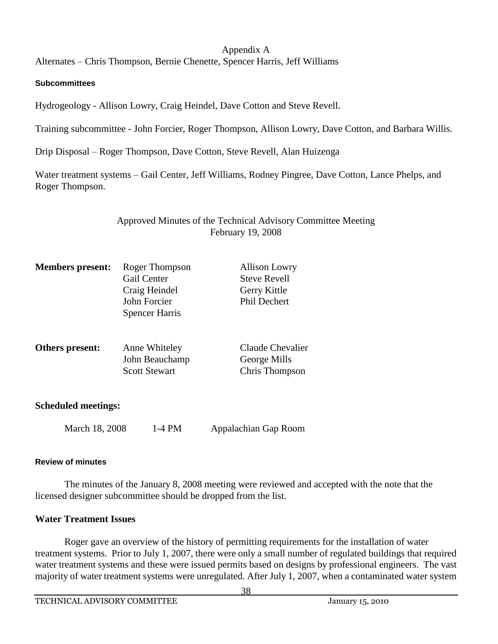Alternates – Chris Thompson, Bernie Chenette, Spencer Harris, Jeff Williams

#### **Subcommittees**

Hydrogeology - Allison Lowry, Craig Heindel, Dave Cotton and Steve Revell.

Training subcommittee - John Forcier, Roger Thompson, Allison Lowry, Dave Cotton, and Barbara Willis.

Drip Disposal – Roger Thompson, Dave Cotton, Steve Revell, Alan Huizenga

Water treatment systems – Gail Center, Jeff Williams, Rodney Pingree, Dave Cotton, Lance Phelps, and Roger Thompson.

# Approved Minutes of the Technical Advisory Committee Meeting February 19, 2008

| <b>Members present:</b> | Roger Thompson<br>Gail Center<br>Craig Heindel<br>John Forcier<br><b>Spencer Harris</b> | <b>Allison Lowry</b><br><b>Steve Revell</b><br>Gerry Kittle<br>Phil Dechert |
|-------------------------|-----------------------------------------------------------------------------------------|-----------------------------------------------------------------------------|
| Others present:         | Anne Whiteley<br>John Beauchamp<br><b>Scott Stewart</b>                                 | Claude Chevalier<br>George Mills<br>Chris Thompson                          |

#### **Scheduled meetings:**

March 18, 2008 1-4 PM Appalachian Gap Room

#### **Review of minutes**

The minutes of the January 8, 2008 meeting were reviewed and accepted with the note that the licensed designer subcommittee should be dropped from the list.

#### **Water Treatment Issues**

Roger gave an overview of the history of permitting requirements for the installation of water treatment systems. Prior to July 1, 2007, there were only a small number of regulated buildings that required water treatment systems and these were issued permits based on designs by professional engineers. The vast majority of water treatment systems were unregulated. After July 1, 2007, when a contaminated water system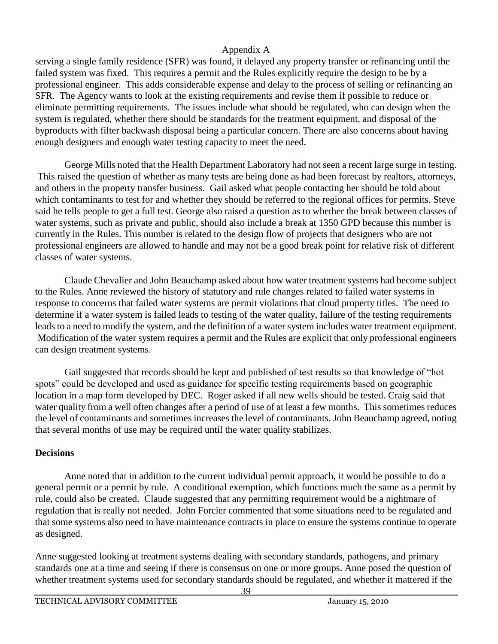serving a single family residence (SFR) was found, it delayed any property transfer or refinancing until the failed system was fixed. This requires a permit and the Rules explicitly require the design to be by a professional engineer. This adds considerable expense and delay to the process of selling or refinancing an SFR. The Agency wants to look at the existing requirements and revise them if possible to reduce or eliminate permitting requirements. The issues include what should be regulated, who can design when the system is regulated, whether there should be standards for the treatment equipment, and disposal of the byproducts with filter backwash disposal being a particular concern. There are also concerns about having enough designers and enough water testing capacity to meet the need.

George Mills noted that the Health Department Laboratory had not seen a recent large surge in testing. This raised the question of whether as many tests are being done as had been forecast by realtors, attorneys, and others in the property transfer business. Gail asked what people contacting her should be told about which contaminants to test for and whether they should be referred to the regional offices for permits. Steve said he tells people to get a full test. George also raised a question as to whether the break between classes of water systems, such as private and public, should also include a break at 1350 GPD because this number is currently in the Rules. This number is related to the design flow of projects that designers who are not professional engineers are allowed to handle and may not be a good break point for relative risk of different classes of water systems.

Claude Chevalier and John Beauchamp asked about how water treatment systems had become subject to the Rules. Anne reviewed the history of statutory and rule changes related to failed water systems in response to concerns that failed water systems are permit violations that cloud property titles. The need to determine if a water system is failed leads to testing of the water quality, failure of the testing requirements leads to a need to modify the system, and the definition of a water system includes water treatment equipment. Modification of the water system requires a permit and the Rules are explicit that only professional engineers can design treatment systems.

Gail suggested that records should be kept and published of test results so that knowledge of "hot spots" could be developed and used as guidance for specific testing requirements based on geographic location in a map form developed by DEC. Roger asked if all new wells should be tested. Craig said that water quality from a well often changes after a period of use of at least a few months. This sometimes reduces the level of contaminants and sometimes increases the level of contaminants. John Beauchamp agreed, noting that several months of use may be required until the water quality stabilizes.

# **Decisions**

Anne noted that in addition to the current individual permit approach, it would be possible to do a general permit or a permit by rule. A conditional exemption, which functions much the same as a permit by rule, could also be created. Claude suggested that any permitting requirement would be a nightmare of regulation that is really not needed. John Forcier commented that some situations need to be regulated and that some systems also need to have maintenance contracts in place to ensure the systems continue to operate as designed.

Anne suggested looking at treatment systems dealing with secondary standards, pathogens, and primary standards one at a time and seeing if there is consensus on one or more groups. Anne posed the question of whether treatment systems used for secondary standards should be regulated, and whether it mattered if the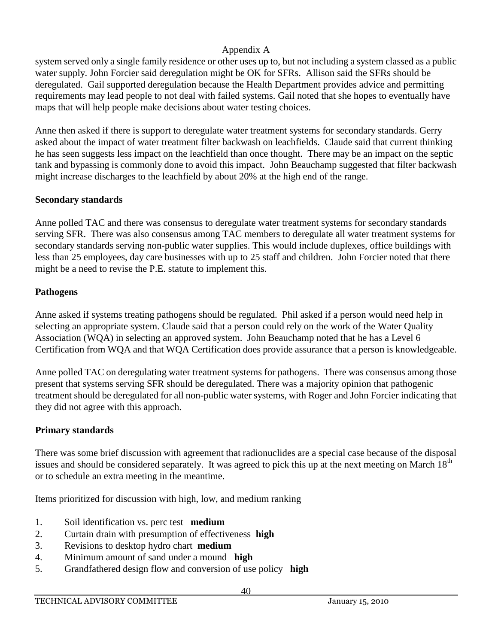system served only a single family residence or other uses up to, but not including a system classed as a public water supply. John Forcier said deregulation might be OK for SFRs. Allison said the SFRs should be deregulated. Gail supported deregulation because the Health Department provides advice and permitting requirements may lead people to not deal with failed systems. Gail noted that she hopes to eventually have maps that will help people make decisions about water testing choices.

Anne then asked if there is support to deregulate water treatment systems for secondary standards. Gerry asked about the impact of water treatment filter backwash on leachfields. Claude said that current thinking he has seen suggests less impact on the leachfield than once thought. There may be an impact on the septic tank and bypassing is commonly done to avoid this impact. John Beauchamp suggested that filter backwash might increase discharges to the leachfield by about 20% at the high end of the range.

# **Secondary standards**

Anne polled TAC and there was consensus to deregulate water treatment systems for secondary standards serving SFR. There was also consensus among TAC members to deregulate all water treatment systems for secondary standards serving non-public water supplies. This would include duplexes, office buildings with less than 25 employees, day care businesses with up to 25 staff and children. John Forcier noted that there might be a need to revise the P.E. statute to implement this.

# **Pathogens**

Anne asked if systems treating pathogens should be regulated. Phil asked if a person would need help in selecting an appropriate system. Claude said that a person could rely on the work of the Water Quality Association (WQA) in selecting an approved system. John Beauchamp noted that he has a Level 6 Certification from WQA and that WQA Certification does provide assurance that a person is knowledgeable.

Anne polled TAC on deregulating water treatment systems for pathogens. There was consensus among those present that systems serving SFR should be deregulated. There was a majority opinion that pathogenic treatment should be deregulated for all non-public water systems, with Roger and John Forcier indicating that they did not agree with this approach.

# **Primary standards**

There was some brief discussion with agreement that radionuclides are a special case because of the disposal issues and should be considered separately. It was agreed to pick this up at the next meeting on March 18<sup>th</sup> or to schedule an extra meeting in the meantime.

Items prioritized for discussion with high, low, and medium ranking

- 1. Soil identification vs. perc test **medium**
- 2. Curtain drain with presumption of effectiveness **high**
- 3. Revisions to desktop hydro chart **medium**
- 4. Minimum amount of sand under a mound **high**
- 5. Grandfathered design flow and conversion of use policy **high**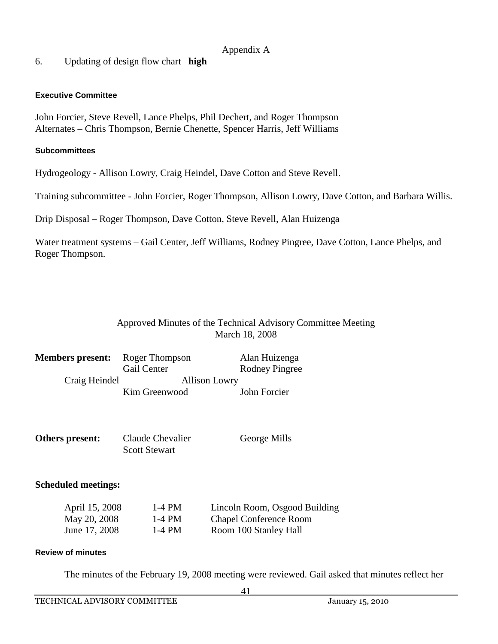# 6. Updating of design flow chart **high**

#### **Executive Committee**

John Forcier, Steve Revell, Lance Phelps, Phil Dechert, and Roger Thompson Alternates – Chris Thompson, Bernie Chenette, Spencer Harris, Jeff Williams

#### **Subcommittees**

Hydrogeology - Allison Lowry, Craig Heindel, Dave Cotton and Steve Revell.

Training subcommittee - John Forcier, Roger Thompson, Allison Lowry, Dave Cotton, and Barbara Willis.

Drip Disposal – Roger Thompson, Dave Cotton, Steve Revell, Alan Huizenga

Water treatment systems – Gail Center, Jeff Williams, Rodney Pingree, Dave Cotton, Lance Phelps, and Roger Thompson.

# Approved Minutes of the Technical Advisory Committee Meeting March 18, 2008

| <b>Members present:</b> | Roger Thompson       | Alan Huizenga         |
|-------------------------|----------------------|-----------------------|
|                         | Gail Center          | <b>Rodney Pingree</b> |
| Craig Heindel           | <b>Allison Lowry</b> |                       |
|                         | Kim Greenwood        | John Forcier          |

| Others present: | Claude Chevalier     | George Mills |
|-----------------|----------------------|--------------|
|                 | <b>Scott Stewart</b> |              |

#### **Scheduled meetings:**

| April 15, 2008 | 1-4 PM   | Lincoln Room, Osgood Building |
|----------------|----------|-------------------------------|
| May 20, 2008   | $1-4$ PM | <b>Chapel Conference Room</b> |
| June 17, 2008  | $1-4$ PM | Room 100 Stanley Hall         |

#### **Review of minutes**

The minutes of the February 19, 2008 meeting were reviewed. Gail asked that minutes reflect her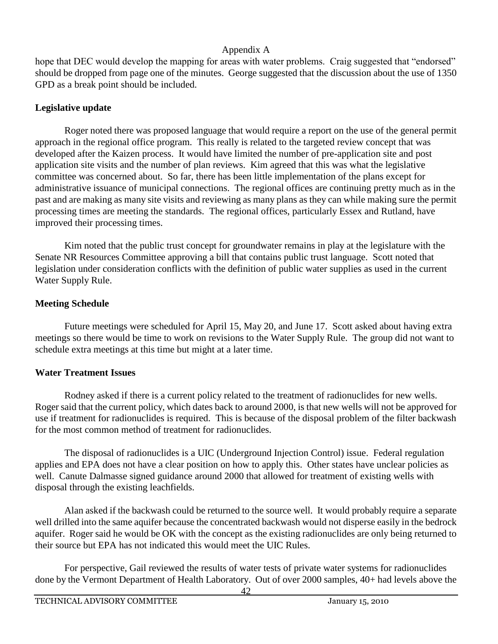hope that DEC would develop the mapping for areas with water problems. Craig suggested that "endorsed" should be dropped from page one of the minutes. George suggested that the discussion about the use of 1350 GPD as a break point should be included.

# **Legislative update**

Roger noted there was proposed language that would require a report on the use of the general permit approach in the regional office program. This really is related to the targeted review concept that was developed after the Kaizen process. It would have limited the number of pre-application site and post application site visits and the number of plan reviews. Kim agreed that this was what the legislative committee was concerned about. So far, there has been little implementation of the plans except for administrative issuance of municipal connections. The regional offices are continuing pretty much as in the past and are making as many site visits and reviewing as many plans as they can while making sure the permit processing times are meeting the standards. The regional offices, particularly Essex and Rutland, have improved their processing times.

Kim noted that the public trust concept for groundwater remains in play at the legislature with the Senate NR Resources Committee approving a bill that contains public trust language. Scott noted that legislation under consideration conflicts with the definition of public water supplies as used in the current Water Supply Rule.

# **Meeting Schedule**

Future meetings were scheduled for April 15, May 20, and June 17. Scott asked about having extra meetings so there would be time to work on revisions to the Water Supply Rule. The group did not want to schedule extra meetings at this time but might at a later time.

# **Water Treatment Issues**

Rodney asked if there is a current policy related to the treatment of radionuclides for new wells. Roger said that the current policy, which dates back to around 2000, is that new wells will not be approved for use if treatment for radionuclides is required. This is because of the disposal problem of the filter backwash for the most common method of treatment for radionuclides.

The disposal of radionuclides is a UIC (Underground Injection Control) issue. Federal regulation applies and EPA does not have a clear position on how to apply this. Other states have unclear policies as well. Canute Dalmasse signed guidance around 2000 that allowed for treatment of existing wells with disposal through the existing leachfields.

Alan asked if the backwash could be returned to the source well. It would probably require a separate well drilled into the same aquifer because the concentrated backwash would not disperse easily in the bedrock aquifer. Roger said he would be OK with the concept as the existing radionuclides are only being returned to their source but EPA has not indicated this would meet the UIC Rules.

For perspective, Gail reviewed the results of water tests of private water systems for radionuclides done by the Vermont Department of Health Laboratory. Out of over 2000 samples, 40+ had levels above the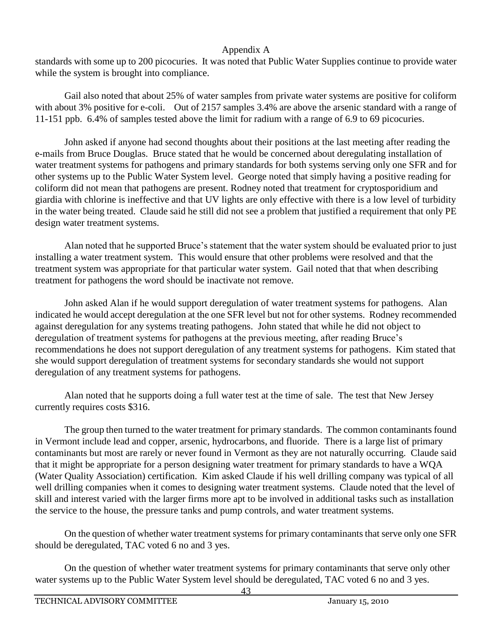standards with some up to 200 picocuries. It was noted that Public Water Supplies continue to provide water while the system is brought into compliance.

Gail also noted that about 25% of water samples from private water systems are positive for coliform with about 3% positive for e-coli. Out of 2157 samples 3.4% are above the arsenic standard with a range of 11-151 ppb. 6.4% of samples tested above the limit for radium with a range of 6.9 to 69 picocuries.

John asked if anyone had second thoughts about their positions at the last meeting after reading the e-mails from Bruce Douglas. Bruce stated that he would be concerned about deregulating installation of water treatment systems for pathogens and primary standards for both systems serving only one SFR and for other systems up to the Public Water System level. George noted that simply having a positive reading for coliform did not mean that pathogens are present. Rodney noted that treatment for cryptosporidium and giardia with chlorine is ineffective and that UV lights are only effective with there is a low level of turbidity in the water being treated. Claude said he still did not see a problem that justified a requirement that only PE design water treatment systems.

Alan noted that he supported Bruce's statement that the water system should be evaluated prior to just installing a water treatment system. This would ensure that other problems were resolved and that the treatment system was appropriate for that particular water system. Gail noted that that when describing treatment for pathogens the word should be inactivate not remove.

John asked Alan if he would support deregulation of water treatment systems for pathogens. Alan indicated he would accept deregulation at the one SFR level but not for other systems. Rodney recommended against deregulation for any systems treating pathogens. John stated that while he did not object to deregulation of treatment systems for pathogens at the previous meeting, after reading Bruce's recommendations he does not support deregulation of any treatment systems for pathogens. Kim stated that she would support deregulation of treatment systems for secondary standards she would not support deregulation of any treatment systems for pathogens.

Alan noted that he supports doing a full water test at the time of sale. The test that New Jersey currently requires costs \$316.

The group then turned to the water treatment for primary standards. The common contaminants found in Vermont include lead and copper, arsenic, hydrocarbons, and fluoride. There is a large list of primary contaminants but most are rarely or never found in Vermont as they are not naturally occurring. Claude said that it might be appropriate for a person designing water treatment for primary standards to have a WQA (Water Quality Association) certification. Kim asked Claude if his well drilling company was typical of all well drilling companies when it comes to designing water treatment systems. Claude noted that the level of skill and interest varied with the larger firms more apt to be involved in additional tasks such as installation the service to the house, the pressure tanks and pump controls, and water treatment systems.

On the question of whether water treatment systems for primary contaminants that serve only one SFR should be deregulated, TAC voted 6 no and 3 yes.

On the question of whether water treatment systems for primary contaminants that serve only other water systems up to the Public Water System level should be deregulated, TAC voted 6 no and 3 yes.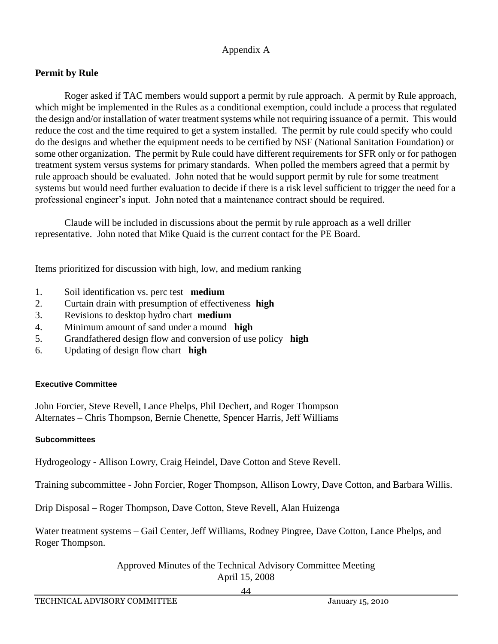# **Permit by Rule**

Roger asked if TAC members would support a permit by rule approach. A permit by Rule approach, which might be implemented in the Rules as a conditional exemption, could include a process that regulated the design and/or installation of water treatment systems while not requiring issuance of a permit. This would reduce the cost and the time required to get a system installed. The permit by rule could specify who could do the designs and whether the equipment needs to be certified by NSF (National Sanitation Foundation) or some other organization. The permit by Rule could have different requirements for SFR only or for pathogen treatment system versus systems for primary standards. When polled the members agreed that a permit by rule approach should be evaluated. John noted that he would support permit by rule for some treatment systems but would need further evaluation to decide if there is a risk level sufficient to trigger the need for a professional engineer's input. John noted that a maintenance contract should be required.

Claude will be included in discussions about the permit by rule approach as a well driller representative. John noted that Mike Quaid is the current contact for the PE Board.

Items prioritized for discussion with high, low, and medium ranking

- 1. Soil identification vs. perc test **medium**
- 2. Curtain drain with presumption of effectiveness **high**
- 3. Revisions to desktop hydro chart **medium**
- 4. Minimum amount of sand under a mound **high**
- 5. Grandfathered design flow and conversion of use policy **high**
- 6. Updating of design flow chart **high**

#### **Executive Committee**

John Forcier, Steve Revell, Lance Phelps, Phil Dechert, and Roger Thompson Alternates – Chris Thompson, Bernie Chenette, Spencer Harris, Jeff Williams

#### **Subcommittees**

Hydrogeology - Allison Lowry, Craig Heindel, Dave Cotton and Steve Revell.

Training subcommittee - John Forcier, Roger Thompson, Allison Lowry, Dave Cotton, and Barbara Willis.

Drip Disposal – Roger Thompson, Dave Cotton, Steve Revell, Alan Huizenga

Water treatment systems – Gail Center, Jeff Williams, Rodney Pingree, Dave Cotton, Lance Phelps, and Roger Thompson.

> Approved Minutes of the Technical Advisory Committee Meeting April 15, 2008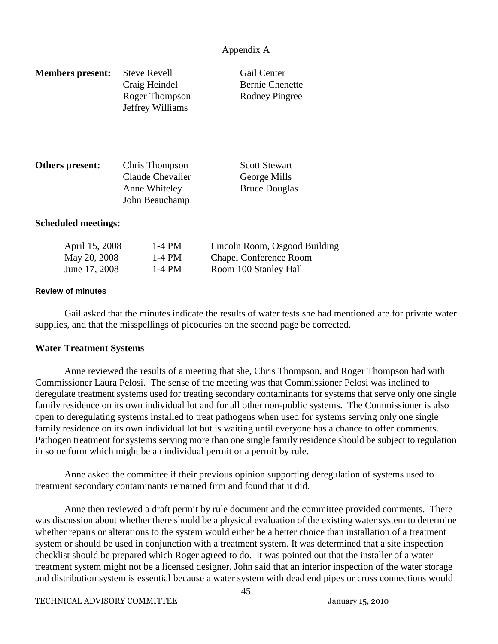| <b>Members present:</b> | <b>Steve Revell</b> | Gail Center            |
|-------------------------|---------------------|------------------------|
|                         | Craig Heindel       | <b>Bernie Chenette</b> |
|                         | Roger Thompson      | Rodney Pingree         |
|                         | Jeffrey Williams    |                        |
|                         |                     |                        |
|                         |                     |                        |

| Others present: | Chris Thompson   | <b>Scott Stewart</b> |
|-----------------|------------------|----------------------|
|                 | Claude Chevalier | George Mills         |
|                 | Anne Whiteley    | <b>Bruce Douglas</b> |
|                 | John Beauchamp   |                      |

#### **Scheduled meetings:**

| April 15, 2008 | 1-4 PM | Lincoln Room, Osgood Building |
|----------------|--------|-------------------------------|
| May 20, 2008   | 1-4 PM | <b>Chapel Conference Room</b> |
| June 17, 2008  | 1-4 PM | Room 100 Stanley Hall         |

#### **Review of minutes**

Gail asked that the minutes indicate the results of water tests she had mentioned are for private water supplies, and that the misspellings of picocuries on the second page be corrected.

#### **Water Treatment Systems**

Anne reviewed the results of a meeting that she, Chris Thompson, and Roger Thompson had with Commissioner Laura Pelosi. The sense of the meeting was that Commissioner Pelosi was inclined to deregulate treatment systems used for treating secondary contaminants for systems that serve only one single family residence on its own individual lot and for all other non-public systems. The Commissioner is also open to deregulating systems installed to treat pathogens when used for systems serving only one single family residence on its own individual lot but is waiting until everyone has a chance to offer comments. Pathogen treatment for systems serving more than one single family residence should be subject to regulation in some form which might be an individual permit or a permit by rule.

Anne asked the committee if their previous opinion supporting deregulation of systems used to treatment secondary contaminants remained firm and found that it did.

Anne then reviewed a draft permit by rule document and the committee provided comments. There was discussion about whether there should be a physical evaluation of the existing water system to determine whether repairs or alterations to the system would either be a better choice than installation of a treatment system or should be used in conjunction with a treatment system. It was determined that a site inspection checklist should be prepared which Roger agreed to do. It was pointed out that the installer of a water treatment system might not be a licensed designer. John said that an interior inspection of the water storage and distribution system is essential because a water system with dead end pipes or cross connections would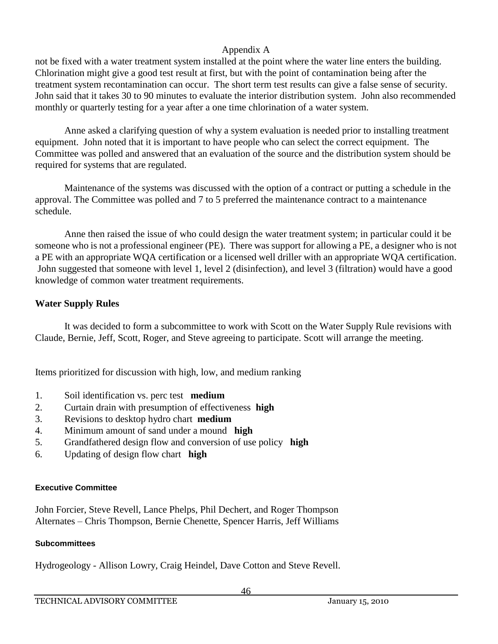not be fixed with a water treatment system installed at the point where the water line enters the building. Chlorination might give a good test result at first, but with the point of contamination being after the treatment system recontamination can occur. The short term test results can give a false sense of security. John said that it takes 30 to 90 minutes to evaluate the interior distribution system. John also recommended monthly or quarterly testing for a year after a one time chlorination of a water system.

Anne asked a clarifying question of why a system evaluation is needed prior to installing treatment equipment. John noted that it is important to have people who can select the correct equipment. The Committee was polled and answered that an evaluation of the source and the distribution system should be required for systems that are regulated.

Maintenance of the systems was discussed with the option of a contract or putting a schedule in the approval. The Committee was polled and 7 to 5 preferred the maintenance contract to a maintenance schedule.

Anne then raised the issue of who could design the water treatment system; in particular could it be someone who is not a professional engineer (PE). There was support for allowing a PE, a designer who is not a PE with an appropriate WQA certification or a licensed well driller with an appropriate WQA certification. John suggested that someone with level 1, level 2 (disinfection), and level 3 (filtration) would have a good knowledge of common water treatment requirements.

# **Water Supply Rules**

It was decided to form a subcommittee to work with Scott on the Water Supply Rule revisions with Claude, Bernie, Jeff, Scott, Roger, and Steve agreeing to participate. Scott will arrange the meeting.

Items prioritized for discussion with high, low, and medium ranking

- 1. Soil identification vs. perc test **medium**
- 2. Curtain drain with presumption of effectiveness **high**
- 3. Revisions to desktop hydro chart **medium**
- 4. Minimum amount of sand under a mound **high**
- 5. Grandfathered design flow and conversion of use policy **high**
- 6. Updating of design flow chart **high**

#### **Executive Committee**

John Forcier, Steve Revell, Lance Phelps, Phil Dechert, and Roger Thompson Alternates – Chris Thompson, Bernie Chenette, Spencer Harris, Jeff Williams

#### **Subcommittees**

Hydrogeology - Allison Lowry, Craig Heindel, Dave Cotton and Steve Revell.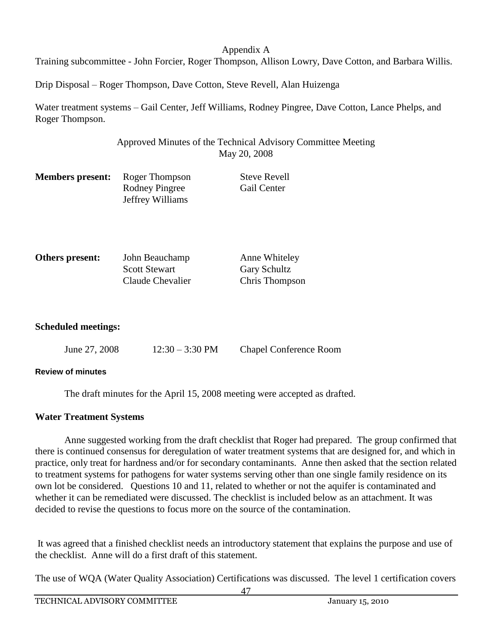Training subcommittee - John Forcier, Roger Thompson, Allison Lowry, Dave Cotton, and Barbara Willis.

Drip Disposal – Roger Thompson, Dave Cotton, Steve Revell, Alan Huizenga

Water treatment systems – Gail Center, Jeff Williams, Rodney Pingree, Dave Cotton, Lance Phelps, and Roger Thompson.

# Approved Minutes of the Technical Advisory Committee Meeting May 20, 2008

| <b>Members present:</b> Roger Thompson |                  | <b>Steve Revell</b> |
|----------------------------------------|------------------|---------------------|
|                                        | Rodney Pingree   | <b>Gail Center</b>  |
|                                        | Jeffrey Williams |                     |

| Others present: | John Beauchamp       | Anne Whiteley       |
|-----------------|----------------------|---------------------|
|                 | <b>Scott Stewart</b> | <b>Gary Schultz</b> |
|                 | Claude Chevalier     | Chris Thompson      |

#### **Scheduled meetings:**

| June 27, 2008 | $12:30 - 3:30 \text{ PM}$ | <b>Chapel Conference Room</b> |
|---------------|---------------------------|-------------------------------|
|               |                           |                               |

#### **Review of minutes**

The draft minutes for the April 15, 2008 meeting were accepted as drafted.

#### **Water Treatment Systems**

Anne suggested working from the draft checklist that Roger had prepared. The group confirmed that there is continued consensus for deregulation of water treatment systems that are designed for, and which in practice, only treat for hardness and/or for secondary contaminants. Anne then asked that the section related to treatment systems for pathogens for water systems serving other than one single family residence on its own lot be considered. Questions 10 and 11, related to whether or not the aquifer is contaminated and whether it can be remediated were discussed. The checklist is included below as an attachment. It was decided to revise the questions to focus more on the source of the contamination.

It was agreed that a finished checklist needs an introductory statement that explains the purpose and use of the checklist. Anne will do a first draft of this statement.

The use of WQA (Water Quality Association) Certifications was discussed. The level 1 certification covers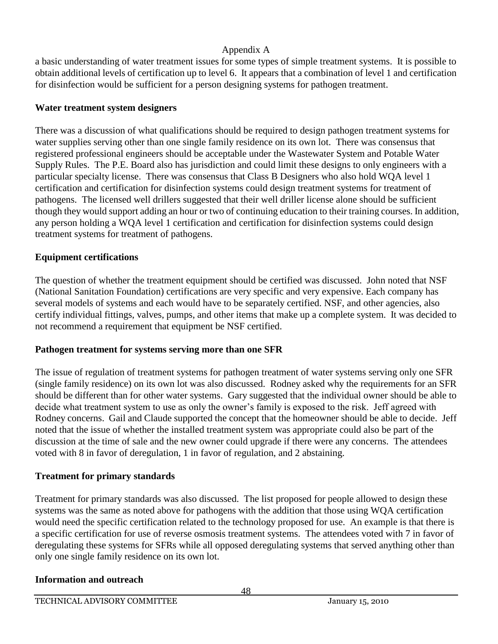a basic understanding of water treatment issues for some types of simple treatment systems. It is possible to obtain additional levels of certification up to level 6. It appears that a combination of level 1 and certification for disinfection would be sufficient for a person designing systems for pathogen treatment.

# **Water treatment system designers**

There was a discussion of what qualifications should be required to design pathogen treatment systems for water supplies serving other than one single family residence on its own lot. There was consensus that registered professional engineers should be acceptable under the Wastewater System and Potable Water Supply Rules. The P.E. Board also has jurisdiction and could limit these designs to only engineers with a particular specialty license. There was consensus that Class B Designers who also hold WQA level 1 certification and certification for disinfection systems could design treatment systems for treatment of pathogens. The licensed well drillers suggested that their well driller license alone should be sufficient though they would support adding an hour or two of continuing education to their training courses. In addition, any person holding a WQA level 1 certification and certification for disinfection systems could design treatment systems for treatment of pathogens.

# **Equipment certifications**

The question of whether the treatment equipment should be certified was discussed. John noted that NSF (National Sanitation Foundation) certifications are very specific and very expensive. Each company has several models of systems and each would have to be separately certified. NSF, and other agencies, also certify individual fittings, valves, pumps, and other items that make up a complete system. It was decided to not recommend a requirement that equipment be NSF certified.

# **Pathogen treatment for systems serving more than one SFR**

The issue of regulation of treatment systems for pathogen treatment of water systems serving only one SFR (single family residence) on its own lot was also discussed. Rodney asked why the requirements for an SFR should be different than for other water systems. Gary suggested that the individual owner should be able to decide what treatment system to use as only the owner's family is exposed to the risk. Jeff agreed with Rodney concerns. Gail and Claude supported the concept that the homeowner should be able to decide. Jeff noted that the issue of whether the installed treatment system was appropriate could also be part of the discussion at the time of sale and the new owner could upgrade if there were any concerns. The attendees voted with 8 in favor of deregulation, 1 in favor of regulation, and 2 abstaining.

# **Treatment for primary standards**

Treatment for primary standards was also discussed. The list proposed for people allowed to design these systems was the same as noted above for pathogens with the addition that those using WQA certification would need the specific certification related to the technology proposed for use. An example is that there is a specific certification for use of reverse osmosis treatment systems. The attendees voted with 7 in favor of deregulating these systems for SFRs while all opposed deregulating systems that served anything other than only one single family residence on its own lot.

#### **Information and outreach**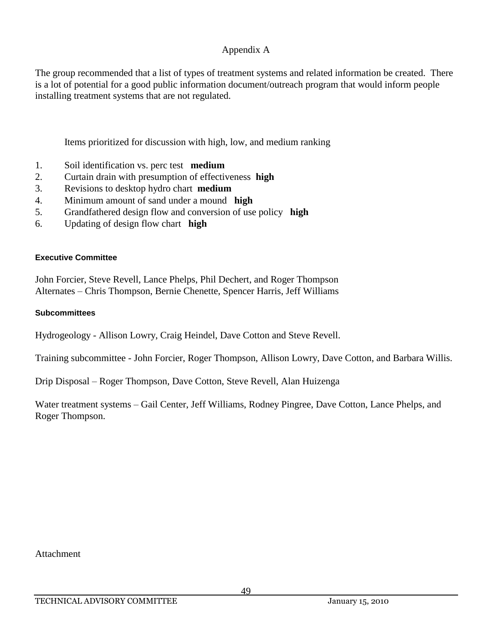The group recommended that a list of types of treatment systems and related information be created. There is a lot of potential for a good public information document/outreach program that would inform people installing treatment systems that are not regulated.

Items prioritized for discussion with high, low, and medium ranking

- 1. Soil identification vs. perc test **medium**
- 2. Curtain drain with presumption of effectiveness **high**
- 3. Revisions to desktop hydro chart **medium**
- 4. Minimum amount of sand under a mound **high**
- 5. Grandfathered design flow and conversion of use policy **high**
- 6. Updating of design flow chart **high**

#### **Executive Committee**

John Forcier, Steve Revell, Lance Phelps, Phil Dechert, and Roger Thompson Alternates – Chris Thompson, Bernie Chenette, Spencer Harris, Jeff Williams

#### **Subcommittees**

Hydrogeology - Allison Lowry, Craig Heindel, Dave Cotton and Steve Revell.

Training subcommittee - John Forcier, Roger Thompson, Allison Lowry, Dave Cotton, and Barbara Willis.

Drip Disposal – Roger Thompson, Dave Cotton, Steve Revell, Alan Huizenga

Water treatment systems – Gail Center, Jeff Williams, Rodney Pingree, Dave Cotton, Lance Phelps, and Roger Thompson.

Attachment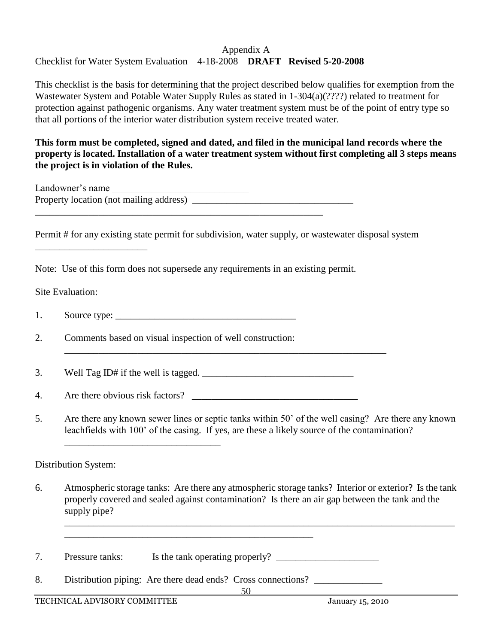# Checklist for Water System Evaluation 4-18-2008 **DRAFT Revised 5-20-2008**

This checklist is the basis for determining that the project described below qualifies for exemption from the Wastewater System and Potable Water Supply Rules as stated in 1-304(a)(????) related to treatment for protection against pathogenic organisms. Any water treatment system must be of the point of entry type so that all portions of the interior water distribution system receive treated water.

#### **This form must be completed, signed and dated, and filed in the municipal land records where the property is located. Installation of a water treatment system without first completing all 3 steps means the project is in violation of the Rules.**

| Landowner's name                        |  |
|-----------------------------------------|--|
| Property location (not mailing address) |  |
|                                         |  |

Permit # for any existing state permit for subdivision, water supply, or wastewater disposal system

\_\_\_\_\_\_\_\_\_\_\_\_\_\_\_\_\_\_\_\_\_\_\_\_\_\_\_\_\_\_\_\_\_\_\_\_\_\_\_\_\_\_\_\_\_\_\_\_\_\_\_\_\_\_\_\_\_\_\_\_\_\_\_\_\_\_

Note: Use of this form does not supersede any requirements in an existing permit.

# Site Evaluation:

\_\_\_\_\_\_\_\_\_\_\_\_\_\_\_\_\_\_\_\_\_\_\_

1. Source type: \_\_\_\_\_\_\_\_\_\_\_\_\_\_\_\_\_\_\_\_\_\_\_\_\_\_\_\_\_\_\_\_\_\_\_\_\_

2. Comments based on visual inspection of well construction:

3. Well Tag ID# if the well is tagged.  $\frac{1}{2}$   $\frac{1}{2}$   $\frac{1}{2}$   $\frac{1}{2}$   $\frac{1}{2}$   $\frac{1}{2}$   $\frac{1}{2}$   $\frac{1}{2}$   $\frac{1}{2}$   $\frac{1}{2}$   $\frac{1}{2}$   $\frac{1}{2}$   $\frac{1}{2}$   $\frac{1}{2}$   $\frac{1}{2}$   $\frac{1}{2}$   $\frac{1}{2}$   $\frac{1}{2}$   $\$ 

\_\_\_\_\_\_\_\_\_\_\_\_\_\_\_\_\_\_\_\_\_\_\_\_\_\_\_\_\_\_\_\_

4. Are there obvious risk factors? \_\_\_\_\_\_\_\_\_\_\_\_\_\_\_\_\_\_\_\_\_\_\_\_\_\_\_\_\_\_\_\_\_\_

5. Are there any known sewer lines or septic tanks within 50' of the well casing? Are there any known leachfields with 100' of the casing. If yes, are these a likely source of the contamination?

# Distribution System:

6. Atmospheric storage tanks: Are there any atmospheric storage tanks? Interior or exterior? Is the tank properly covered and sealed against contamination? Is there an air gap between the tank and the supply pipe?

\_\_\_\_\_\_\_\_\_\_\_\_\_\_\_\_\_\_\_\_\_\_\_\_\_\_\_\_\_\_\_\_\_\_\_\_\_\_\_\_\_\_\_\_\_\_\_\_\_\_\_\_\_\_\_\_\_\_\_\_\_\_\_\_\_\_\_\_\_\_\_\_\_\_\_\_\_\_\_\_

- 7. Pressure tanks: Is the tank operating properly? \_\_\_\_\_\_\_\_\_\_\_\_\_\_\_\_\_\_\_\_\_\_\_\_\_\_\_\_\_\_
- 8. Distribution piping: Are there dead ends? Cross connections? \_\_\_\_\_\_\_\_\_\_\_\_\_\_\_\_

\_\_\_\_\_\_\_\_\_\_\_\_\_\_\_\_\_\_\_\_\_\_\_\_\_\_\_\_\_\_\_\_\_\_\_\_\_\_\_\_\_\_\_\_\_\_\_\_\_\_\_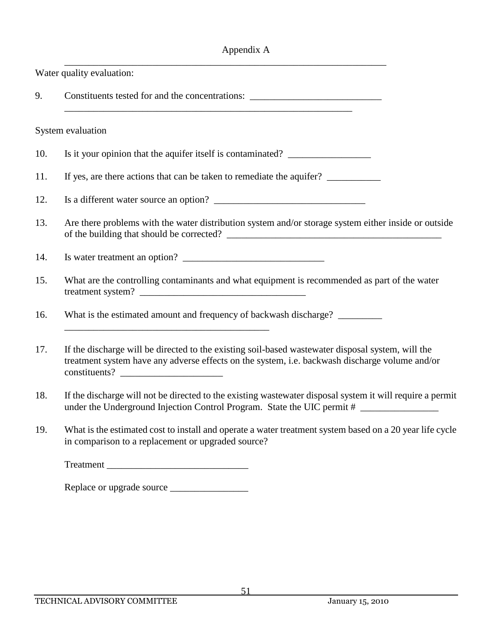|     | Water quality evaluation:                                                                                                                                                                            |
|-----|------------------------------------------------------------------------------------------------------------------------------------------------------------------------------------------------------|
| 9.  | Constituents tested for and the concentrations:                                                                                                                                                      |
|     | System evaluation                                                                                                                                                                                    |
| 10. | Is it your opinion that the aquifer itself is contaminated? ____________________                                                                                                                     |
| 11. | If yes, are there actions that can be taken to remediate the aquifer?                                                                                                                                |
| 12. |                                                                                                                                                                                                      |
| 13. | Are there problems with the water distribution system and/or storage system either inside or outside                                                                                                 |
| 14. |                                                                                                                                                                                                      |
| 15. | What are the controlling contaminants and what equipment is recommended as part of the water                                                                                                         |
| 16. | What is the estimated amount and frequency of backwash discharge? _______________                                                                                                                    |
| 17. | If the discharge will be directed to the existing soil-based was tewater disposal system, will the<br>treatment system have any adverse effects on the system, i.e. backwash discharge volume and/or |
| 18. | If the discharge will not be directed to the existing wastewater disposal system it will require a permit<br>under the Underground Injection Control Program. State the UIC permit #                 |
| 19. | What is the estimated cost to install and operate a water treatment system based on a 20 year life cycle<br>in comparison to a replacement or upgraded source?                                       |

Treatment \_\_\_\_\_\_\_\_\_\_\_\_\_\_\_\_\_\_\_\_\_\_\_\_\_\_\_\_\_

Replace or upgrade source \_\_\_\_\_\_\_\_\_\_\_\_\_\_\_\_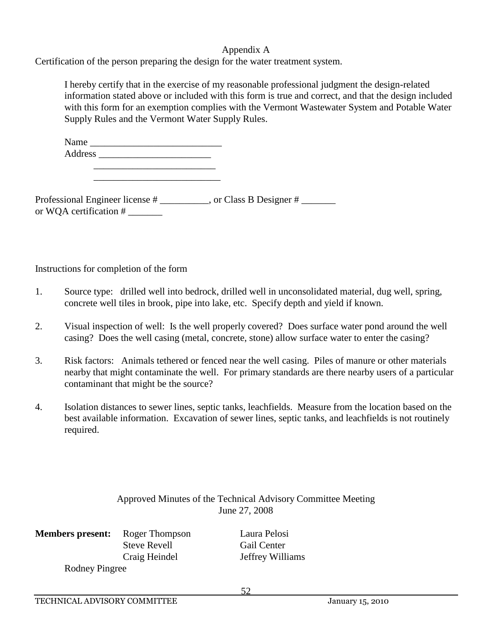Certification of the person preparing the design for the water treatment system.

I hereby certify that in the exercise of my reasonable professional judgment the design-related information stated above or included with this form is true and correct, and that the design included with this form for an exemption complies with the Vermont Wastewater System and Potable Water Supply Rules and the Vermont Water Supply Rules.

| Name    |  |  |  |
|---------|--|--|--|
| Address |  |  |  |
|         |  |  |  |

\_\_\_\_\_\_\_\_\_\_\_\_\_\_\_\_\_\_\_\_\_\_\_\_\_\_

Professional Engineer license # \_\_\_\_\_\_\_\_, or Class B Designer # \_\_\_\_\_\_\_ or WQA certification # \_\_\_\_\_\_\_

Instructions for completion of the form

- 1. Source type: drilled well into bedrock, drilled well in unconsolidated material, dug well, spring, concrete well tiles in brook, pipe into lake, etc. Specify depth and yield if known.
- 2. Visual inspection of well: Is the well properly covered? Does surface water pond around the well casing? Does the well casing (metal, concrete, stone) allow surface water to enter the casing?
- 3. Risk factors: Animals tethered or fenced near the well casing. Piles of manure or other materials nearby that might contaminate the well. For primary standards are there nearby users of a particular contaminant that might be the source?
- 4. Isolation distances to sewer lines, septic tanks, leachfields. Measure from the location based on the best available information. Excavation of sewer lines, septic tanks, and leachfields is not routinely required.

# Approved Minutes of the Technical Advisory Committee Meeting June 27, 2008

**Members present:** Roger Thompson Laura Pelosi Steve Revell Gail Center Rodney Pingree

Craig Heindel Jeffrey Williams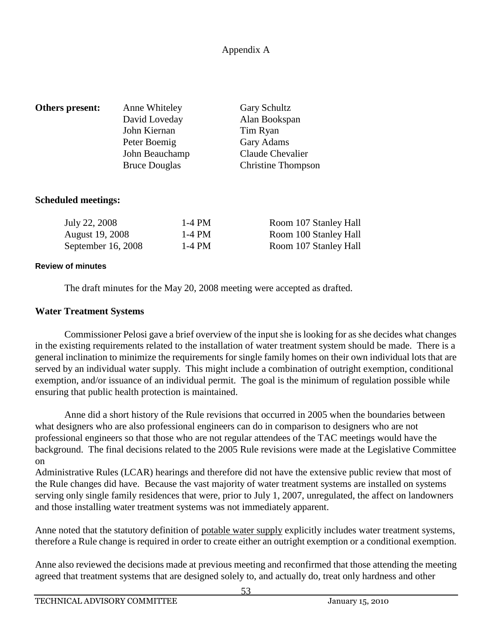| Others present: | Anne Whiteley<br>David Loveday | <b>Gary Schultz</b><br>Alan Bookspan |
|-----------------|--------------------------------|--------------------------------------|
|                 | John Kiernan                   | Tim Ryan                             |
|                 | Peter Boemig                   | Gary Adams                           |
|                 | John Beauchamp                 | Claude Chevalier                     |
|                 | <b>Bruce Douglas</b>           | <b>Christine Thompson</b>            |
|                 |                                |                                      |

#### **Scheduled meetings:**

| July 22, 2008          | 1-4 PM | Room 107 Stanley Hall |
|------------------------|--------|-----------------------|
| <b>August 19, 2008</b> | 1-4 PM | Room 100 Stanley Hall |
| September 16, 2008     | 1-4 PM | Room 107 Stanley Hall |

#### **Review of minutes**

The draft minutes for the May 20, 2008 meeting were accepted as drafted.

# **Water Treatment Systems**

Commissioner Pelosi gave a brief overview of the input she is looking for as she decides what changes in the existing requirements related to the installation of water treatment system should be made. There is a general inclination to minimize the requirements for single family homes on their own individual lots that are served by an individual water supply. This might include a combination of outright exemption, conditional exemption, and/or issuance of an individual permit. The goal is the minimum of regulation possible while ensuring that public health protection is maintained.

Anne did a short history of the Rule revisions that occurred in 2005 when the boundaries between what designers who are also professional engineers can do in comparison to designers who are not professional engineers so that those who are not regular attendees of the TAC meetings would have the background. The final decisions related to the 2005 Rule revisions were made at the Legislative Committee on

Administrative Rules (LCAR) hearings and therefore did not have the extensive public review that most of the Rule changes did have. Because the vast majority of water treatment systems are installed on systems serving only single family residences that were, prior to July 1, 2007, unregulated, the affect on landowners and those installing water treatment systems was not immediately apparent.

Anne noted that the statutory definition of potable water supply explicitly includes water treatment systems, therefore a Rule change is required in order to create either an outright exemption or a conditional exemption.

Anne also reviewed the decisions made at previous meeting and reconfirmed that those attending the meeting agreed that treatment systems that are designed solely to, and actually do, treat only hardness and other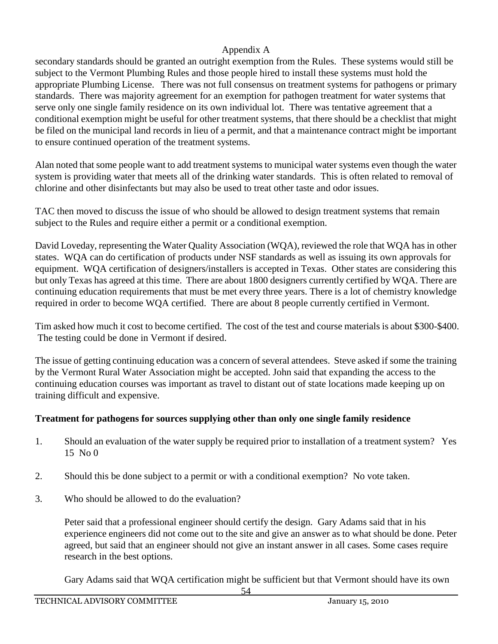secondary standards should be granted an outright exemption from the Rules. These systems would still be subject to the Vermont Plumbing Rules and those people hired to install these systems must hold the appropriate Plumbing License. There was not full consensus on treatment systems for pathogens or primary standards. There was majority agreement for an exemption for pathogen treatment for water systems that serve only one single family residence on its own individual lot. There was tentative agreement that a conditional exemption might be useful for other treatment systems, that there should be a checklist that might be filed on the municipal land records in lieu of a permit, and that a maintenance contract might be important to ensure continued operation of the treatment systems.

Alan noted that some people want to add treatment systems to municipal water systems even though the water system is providing water that meets all of the drinking water standards. This is often related to removal of chlorine and other disinfectants but may also be used to treat other taste and odor issues.

TAC then moved to discuss the issue of who should be allowed to design treatment systems that remain subject to the Rules and require either a permit or a conditional exemption.

David Loveday, representing the Water Quality Association (WQA), reviewed the role that WQA has in other states. WQA can do certification of products under NSF standards as well as issuing its own approvals for equipment. WQA certification of designers/installers is accepted in Texas. Other states are considering this but only Texas has agreed at this time. There are about 1800 designers currently certified by WQA. There are continuing education requirements that must be met every three years. There is a lot of chemistry knowledge required in order to become WQA certified. There are about 8 people currently certified in Vermont.

Tim asked how much it cost to become certified. The cost of the test and course materials is about \$300-\$400. The testing could be done in Vermont if desired.

The issue of getting continuing education was a concern of several attendees. Steve asked if some the training by the Vermont Rural Water Association might be accepted. John said that expanding the access to the continuing education courses was important as travel to distant out of state locations made keeping up on training difficult and expensive.

# **Treatment for pathogens for sources supplying other than only one single family residence**

- 1. Should an evaluation of the water supply be required prior to installation of a treatment system? Yes 15 No 0
- 2. Should this be done subject to a permit or with a conditional exemption? No vote taken.
- 3. Who should be allowed to do the evaluation?

Peter said that a professional engineer should certify the design. Gary Adams said that in his experience engineers did not come out to the site and give an answer as to what should be done. Peter agreed, but said that an engineer should not give an instant answer in all cases. Some cases require research in the best options.

Gary Adams said that WQA certification might be sufficient but that Vermont should have its own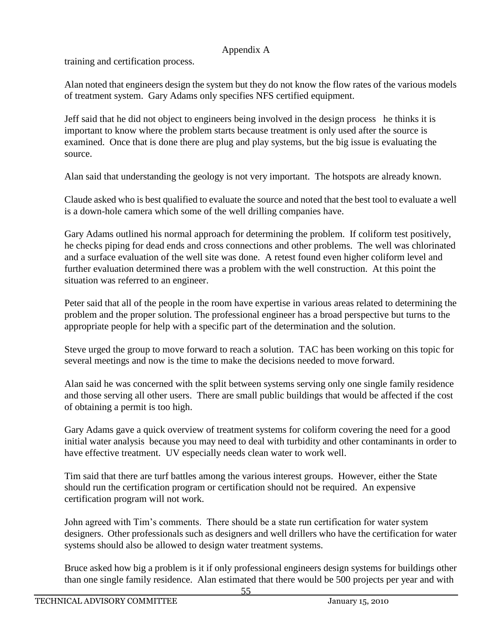training and certification process.

Alan noted that engineers design the system but they do not know the flow rates of the various models of treatment system. Gary Adams only specifies NFS certified equipment.

Jeff said that he did not object to engineers being involved in the design process he thinks it is important to know where the problem starts because treatment is only used after the source is examined. Once that is done there are plug and play systems, but the big issue is evaluating the source.

Alan said that understanding the geology is not very important. The hotspots are already known.

Claude asked who is best qualified to evaluate the source and noted that the best tool to evaluate a well is a down-hole camera which some of the well drilling companies have.

Gary Adams outlined his normal approach for determining the problem. If coliform test positively, he checks piping for dead ends and cross connections and other problems. The well was chlorinated and a surface evaluation of the well site was done. A retest found even higher coliform level and further evaluation determined there was a problem with the well construction. At this point the situation was referred to an engineer.

Peter said that all of the people in the room have expertise in various areas related to determining the problem and the proper solution. The professional engineer has a broad perspective but turns to the appropriate people for help with a specific part of the determination and the solution.

Steve urged the group to move forward to reach a solution. TAC has been working on this topic for several meetings and now is the time to make the decisions needed to move forward.

Alan said he was concerned with the split between systems serving only one single family residence and those serving all other users. There are small public buildings that would be affected if the cost of obtaining a permit is too high.

Gary Adams gave a quick overview of treatment systems for coliform covering the need for a good initial water analysis because you may need to deal with turbidity and other contaminants in order to have effective treatment. UV especially needs clean water to work well.

Tim said that there are turf battles among the various interest groups. However, either the State should run the certification program or certification should not be required. An expensive certification program will not work.

John agreed with Tim's comments. There should be a state run certification for water system designers. Other professionals such as designers and well drillers who have the certification for water systems should also be allowed to design water treatment systems.

Bruce asked how big a problem is it if only professional engineers design systems for buildings other than one single family residence. Alan estimated that there would be 500 projects per year and with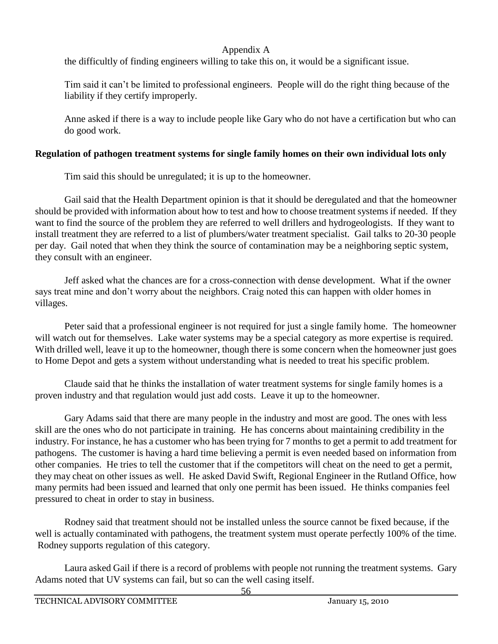the difficultly of finding engineers willing to take this on, it would be a significant issue.

Tim said it can't be limited to professional engineers. People will do the right thing because of the liability if they certify improperly.

Anne asked if there is a way to include people like Gary who do not have a certification but who can do good work.

# **Regulation of pathogen treatment systems for single family homes on their own individual lots only**

Tim said this should be unregulated; it is up to the homeowner.

Gail said that the Health Department opinion is that it should be deregulated and that the homeowner should be provided with information about how to test and how to choose treatment systems if needed. If they want to find the source of the problem they are referred to well drillers and hydrogeologists. If they want to install treatment they are referred to a list of plumbers/water treatment specialist. Gail talks to 20-30 people per day. Gail noted that when they think the source of contamination may be a neighboring septic system, they consult with an engineer.

Jeff asked what the chances are for a cross-connection with dense development. What if the owner says treat mine and don't worry about the neighbors. Craig noted this can happen with older homes in villages.

Peter said that a professional engineer is not required for just a single family home. The homeowner will watch out for themselves. Lake water systems may be a special category as more expertise is required. With drilled well, leave it up to the homeowner, though there is some concern when the homeowner just goes to Home Depot and gets a system without understanding what is needed to treat his specific problem.

Claude said that he thinks the installation of water treatment systems for single family homes is a proven industry and that regulation would just add costs. Leave it up to the homeowner.

Gary Adams said that there are many people in the industry and most are good. The ones with less skill are the ones who do not participate in training. He has concerns about maintaining credibility in the industry. For instance, he has a customer who has been trying for 7 months to get a permit to add treatment for pathogens. The customer is having a hard time believing a permit is even needed based on information from other companies. He tries to tell the customer that if the competitors will cheat on the need to get a permit, they may cheat on other issues as well. He asked David Swift, Regional Engineer in the Rutland Office, how many permits had been issued and learned that only one permit has been issued. He thinks companies feel pressured to cheat in order to stay in business.

Rodney said that treatment should not be installed unless the source cannot be fixed because, if the well is actually contaminated with pathogens, the treatment system must operate perfectly 100% of the time. Rodney supports regulation of this category.

Laura asked Gail if there is a record of problems with people not running the treatment systems. Gary Adams noted that UV systems can fail, but so can the well casing itself.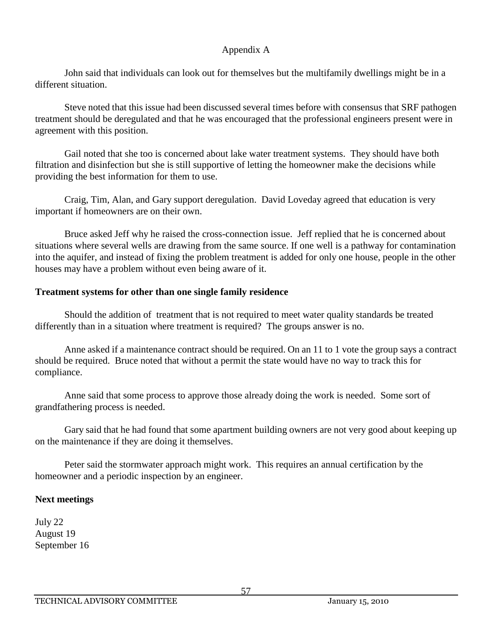John said that individuals can look out for themselves but the multifamily dwellings might be in a different situation.

Steve noted that this issue had been discussed several times before with consensus that SRF pathogen treatment should be deregulated and that he was encouraged that the professional engineers present were in agreement with this position.

Gail noted that she too is concerned about lake water treatment systems. They should have both filtration and disinfection but she is still supportive of letting the homeowner make the decisions while providing the best information for them to use.

Craig, Tim, Alan, and Gary support deregulation. David Loveday agreed that education is very important if homeowners are on their own.

Bruce asked Jeff why he raised the cross-connection issue. Jeff replied that he is concerned about situations where several wells are drawing from the same source. If one well is a pathway for contamination into the aquifer, and instead of fixing the problem treatment is added for only one house, people in the other houses may have a problem without even being aware of it.

# **Treatment systems for other than one single family residence**

Should the addition of treatment that is not required to meet water quality standards be treated differently than in a situation where treatment is required? The groups answer is no.

Anne asked if a maintenance contract should be required. On an 11 to 1 vote the group says a contract should be required. Bruce noted that without a permit the state would have no way to track this for compliance.

Anne said that some process to approve those already doing the work is needed. Some sort of grandfathering process is needed.

Gary said that he had found that some apartment building owners are not very good about keeping up on the maintenance if they are doing it themselves.

Peter said the stormwater approach might work. This requires an annual certification by the homeowner and a periodic inspection by an engineer.

#### **Next meetings**

July 22 August 19 September 16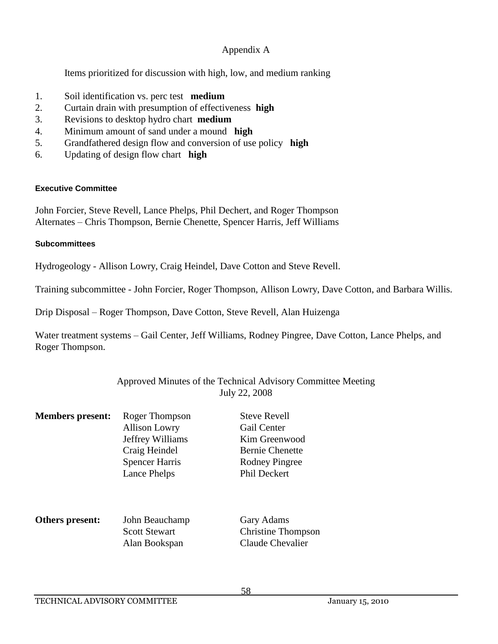Items prioritized for discussion with high, low, and medium ranking

- 1. Soil identification vs. perc test **medium**
- 2. Curtain drain with presumption of effectiveness **high**
- 3. Revisions to desktop hydro chart **medium**
- 4. Minimum amount of sand under a mound **high**
- 5. Grandfathered design flow and conversion of use policy **high**
- 6. Updating of design flow chart **high**

# **Executive Committee**

John Forcier, Steve Revell, Lance Phelps, Phil Dechert, and Roger Thompson Alternates – Chris Thompson, Bernie Chenette, Spencer Harris, Jeff Williams

# **Subcommittees**

Hydrogeology - Allison Lowry, Craig Heindel, Dave Cotton and Steve Revell.

Training subcommittee - John Forcier, Roger Thompson, Allison Lowry, Dave Cotton, and Barbara Willis.

Drip Disposal – Roger Thompson, Dave Cotton, Steve Revell, Alan Huizenga

Water treatment systems – Gail Center, Jeff Williams, Rodney Pingree, Dave Cotton, Lance Phelps, and Roger Thompson.

# Approved Minutes of the Technical Advisory Committee Meeting July 22, 2008

| <b>Members present:</b> | Roger Thompson<br><b>Allison Lowry</b><br>Jeffrey Williams<br>Craig Heindel<br><b>Spencer Harris</b><br>Lance Phelps | <b>Steve Revell</b><br>Gail Center<br>Kim Greenwood<br><b>Bernie Chenette</b><br><b>Rodney Pingree</b><br>Phil Deckert |
|-------------------------|----------------------------------------------------------------------------------------------------------------------|------------------------------------------------------------------------------------------------------------------------|
| Others present:         | John Beauchamp<br><b>Scott Stewart</b><br>Alan Bookspan                                                              | Gary Adams<br><b>Christine Thompson</b><br>Claude Chevalier                                                            |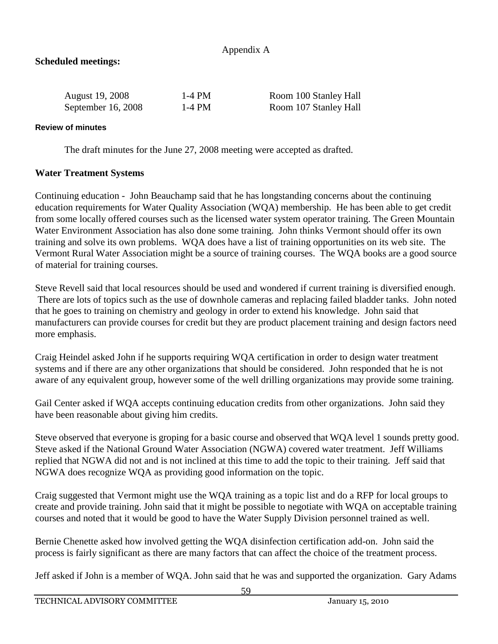# **Scheduled meetings:**

| <b>August</b> 19, 2008 | 1-4 PM | Room 100 Stanley Hall |
|------------------------|--------|-----------------------|
| September 16, 2008     | 1-4 PM | Room 107 Stanley Hall |

#### **Review of minutes**

The draft minutes for the June 27, 2008 meeting were accepted as drafted.

# **Water Treatment Systems**

Continuing education - John Beauchamp said that he has longstanding concerns about the continuing education requirements for Water Quality Association (WQA) membership. He has been able to get credit from some locally offered courses such as the licensed water system operator training. The Green Mountain Water Environment Association has also done some training. John thinks Vermont should offer its own training and solve its own problems. WQA does have a list of training opportunities on its web site. The Vermont Rural Water Association might be a source of training courses. The WQA books are a good source of material for training courses.

Steve Revell said that local resources should be used and wondered if current training is diversified enough. There are lots of topics such as the use of downhole cameras and replacing failed bladder tanks. John noted that he goes to training on chemistry and geology in order to extend his knowledge. John said that manufacturers can provide courses for credit but they are product placement training and design factors need more emphasis.

Craig Heindel asked John if he supports requiring WQA certification in order to design water treatment systems and if there are any other organizations that should be considered. John responded that he is not aware of any equivalent group, however some of the well drilling organizations may provide some training.

Gail Center asked if WQA accepts continuing education credits from other organizations. John said they have been reasonable about giving him credits.

Steve observed that everyone is groping for a basic course and observed that WQA level 1 sounds pretty good. Steve asked if the National Ground Water Association (NGWA) covered water treatment. Jeff Williams replied that NGWA did not and is not inclined at this time to add the topic to their training. Jeff said that NGWA does recognize WQA as providing good information on the topic.

Craig suggested that Vermont might use the WQA training as a topic list and do a RFP for local groups to create and provide training. John said that it might be possible to negotiate with WQA on acceptable training courses and noted that it would be good to have the Water Supply Division personnel trained as well.

Bernie Chenette asked how involved getting the WQA disinfection certification add-on. John said the process is fairly significant as there are many factors that can affect the choice of the treatment process.

Jeff asked if John is a member of WQA. John said that he was and supported the organization. Gary Adams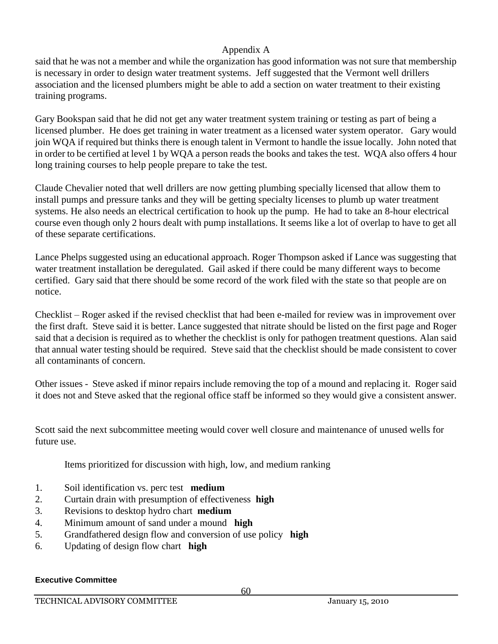said that he was not a member and while the organization has good information was not sure that membership is necessary in order to design water treatment systems. Jeff suggested that the Vermont well drillers association and the licensed plumbers might be able to add a section on water treatment to their existing training programs.

Gary Bookspan said that he did not get any water treatment system training or testing as part of being a licensed plumber. He does get training in water treatment as a licensed water system operator. Gary would join WQA if required but thinks there is enough talent in Vermont to handle the issue locally. John noted that in order to be certified at level 1 by WQA a person reads the books and takes the test. WQA also offers 4 hour long training courses to help people prepare to take the test.

Claude Chevalier noted that well drillers are now getting plumbing specially licensed that allow them to install pumps and pressure tanks and they will be getting specialty licenses to plumb up water treatment systems. He also needs an electrical certification to hook up the pump. He had to take an 8-hour electrical course even though only 2 hours dealt with pump installations. It seems like a lot of overlap to have to get all of these separate certifications.

Lance Phelps suggested using an educational approach. Roger Thompson asked if Lance was suggesting that water treatment installation be deregulated. Gail asked if there could be many different ways to become certified. Gary said that there should be some record of the work filed with the state so that people are on notice.

Checklist – Roger asked if the revised checklist that had been e-mailed for review was in improvement over the first draft. Steve said it is better. Lance suggested that nitrate should be listed on the first page and Roger said that a decision is required as to whether the checklist is only for pathogen treatment questions. Alan said that annual water testing should be required. Steve said that the checklist should be made consistent to cover all contaminants of concern.

Other issues - Steve asked if minor repairs include removing the top of a mound and replacing it. Roger said it does not and Steve asked that the regional office staff be informed so they would give a consistent answer.

Scott said the next subcommittee meeting would cover well closure and maintenance of unused wells for future use.

Items prioritized for discussion with high, low, and medium ranking

- 1. Soil identification vs. perc test **medium**
- 2. Curtain drain with presumption of effectiveness **high**
- 3. Revisions to desktop hydro chart **medium**
- 4. Minimum amount of sand under a mound **high**
- 5. Grandfathered design flow and conversion of use policy **high**
- 6. Updating of design flow chart **high**

#### **Executive Committee**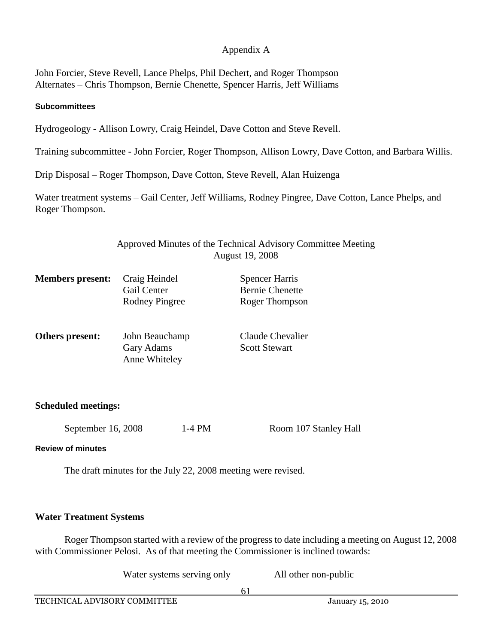John Forcier, Steve Revell, Lance Phelps, Phil Dechert, and Roger Thompson Alternates – Chris Thompson, Bernie Chenette, Spencer Harris, Jeff Williams

#### **Subcommittees**

Hydrogeology - Allison Lowry, Craig Heindel, Dave Cotton and Steve Revell.

Training subcommittee - John Forcier, Roger Thompson, Allison Lowry, Dave Cotton, and Barbara Willis.

Drip Disposal – Roger Thompson, Dave Cotton, Steve Revell, Alan Huizenga

Water treatment systems – Gail Center, Jeff Williams, Rodney Pingree, Dave Cotton, Lance Phelps, and Roger Thompson.

> Approved Minutes of the Technical Advisory Committee Meeting August 19, 2008

| <b>Members</b> present: | Craig Heindel<br><b>Gail Center</b><br>Rodney Pingree | <b>Spencer Harris</b><br><b>Bernie Chenette</b><br>Roger Thompson |
|-------------------------|-------------------------------------------------------|-------------------------------------------------------------------|
| Others present:         | John Beauchamp<br><b>Gary Adams</b><br>Anne Whiteley  | Claude Chevalier<br><b>Scott Stewart</b>                          |

#### **Scheduled meetings:**

September 16, 2008 1-4 PM Room 107 Stanley Hall

**Review of minutes**

The draft minutes for the July 22, 2008 meeting were revised.

#### **Water Treatment Systems**

Roger Thompson started with a review of the progress to date including a meeting on August 12, 2008 with Commissioner Pelosi. As of that meeting the Commissioner is inclined towards:

Water systems serving only All other non-public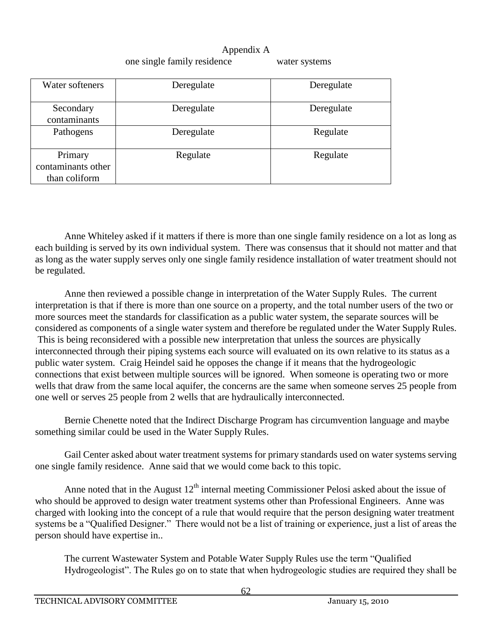# Appendix A one single family residence water systems

| Water softeners                                | Deregulate | Deregulate |
|------------------------------------------------|------------|------------|
| Secondary<br>contaminants                      | Deregulate | Deregulate |
| Pathogens                                      | Deregulate | Regulate   |
| Primary<br>contaminants other<br>than coliform | Regulate   | Regulate   |

Anne Whiteley asked if it matters if there is more than one single family residence on a lot as long as each building is served by its own individual system. There was consensus that it should not matter and that as long as the water supply serves only one single family residence installation of water treatment should not be regulated.

Anne then reviewed a possible change in interpretation of the Water Supply Rules. The current interpretation is that if there is more than one source on a property, and the total number users of the two or more sources meet the standards for classification as a public water system, the separate sources will be considered as components of a single water system and therefore be regulated under the Water Supply Rules. This is being reconsidered with a possible new interpretation that unless the sources are physically interconnected through their piping systems each source will evaluated on its own relative to its status as a public water system. Craig Heindel said he opposes the change if it means that the hydrogeologic connections that exist between multiple sources will be ignored. When someone is operating two or more wells that draw from the same local aquifer, the concerns are the same when someone serves 25 people from one well or serves 25 people from 2 wells that are hydraulically interconnected.

Bernie Chenette noted that the Indirect Discharge Program has circumvention language and maybe something similar could be used in the Water Supply Rules.

Gail Center asked about water treatment systems for primary standards used on water systems serving one single family residence. Anne said that we would come back to this topic.

Anne noted that in the August  $12<sup>th</sup>$  internal meeting Commissioner Pelosi asked about the issue of who should be approved to design water treatment systems other than Professional Engineers. Anne was charged with looking into the concept of a rule that would require that the person designing water treatment systems be a "Qualified Designer." There would not be a list of training or experience, just a list of areas the person should have expertise in..

The current Wastewater System and Potable Water Supply Rules use the term "Qualified Hydrogeologist". The Rules go on to state that when hydrogeologic studies are required they shall be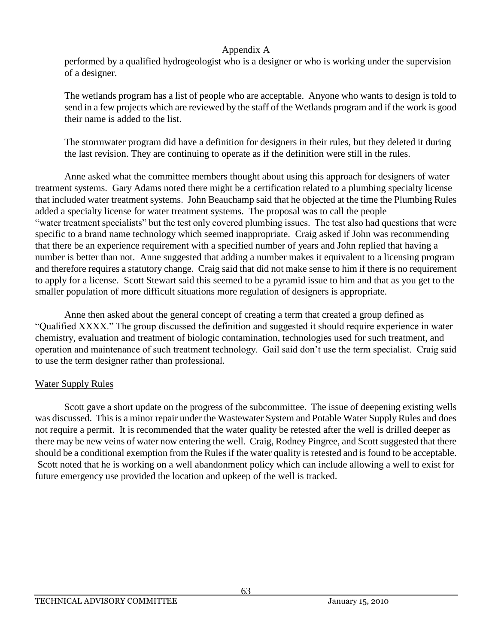performed by a qualified hydrogeologist who is a designer or who is working under the supervision of a designer.

The wetlands program has a list of people who are acceptable. Anyone who wants to design is told to send in a few projects which are reviewed by the staff of the Wetlands program and if the work is good their name is added to the list.

The stormwater program did have a definition for designers in their rules, but they deleted it during the last revision. They are continuing to operate as if the definition were still in the rules.

Anne asked what the committee members thought about using this approach for designers of water treatment systems. Gary Adams noted there might be a certification related to a plumbing specialty license that included water treatment systems. John Beauchamp said that he objected at the time the Plumbing Rules added a specialty license for water treatment systems. The proposal was to call the people "water treatment specialists" but the test only covered plumbing issues. The test also had questions that were specific to a brand name technology which seemed inappropriate. Craig asked if John was recommending that there be an experience requirement with a specified number of years and John replied that having a number is better than not. Anne suggested that adding a number makes it equivalent to a licensing program and therefore requires a statutory change. Craig said that did not make sense to him if there is no requirement to apply for a license. Scott Stewart said this seemed to be a pyramid issue to him and that as you get to the smaller population of more difficult situations more regulation of designers is appropriate.

Anne then asked about the general concept of creating a term that created a group defined as "Qualified XXXX." The group discussed the definition and suggested it should require experience in water chemistry, evaluation and treatment of biologic contamination, technologies used for such treatment, and operation and maintenance of such treatment technology. Gail said don't use the term specialist. Craig said to use the term designer rather than professional.

# Water Supply Rules

Scott gave a short update on the progress of the subcommittee. The issue of deepening existing wells was discussed. This is a minor repair under the Wastewater System and Potable Water Supply Rules and does not require a permit. It is recommended that the water quality be retested after the well is drilled deeper as there may be new veins of water now entering the well. Craig, Rodney Pingree, and Scott suggested that there should be a conditional exemption from the Rules if the water quality is retested and is found to be acceptable. Scott noted that he is working on a well abandonment policy which can include allowing a well to exist for future emergency use provided the location and upkeep of the well is tracked.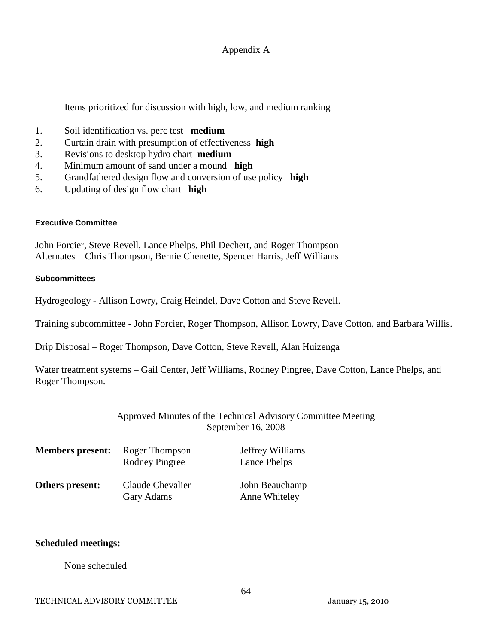Items prioritized for discussion with high, low, and medium ranking

- 1. Soil identification vs. perc test **medium**
- 2. Curtain drain with presumption of effectiveness **high**
- 3. Revisions to desktop hydro chart **medium**
- 4. Minimum amount of sand under a mound **high**
- 5. Grandfathered design flow and conversion of use policy **high**
- 6. Updating of design flow chart **high**

#### **Executive Committee**

John Forcier, Steve Revell, Lance Phelps, Phil Dechert, and Roger Thompson Alternates – Chris Thompson, Bernie Chenette, Spencer Harris, Jeff Williams

#### **Subcommittees**

Hydrogeology - Allison Lowry, Craig Heindel, Dave Cotton and Steve Revell.

Training subcommittee - John Forcier, Roger Thompson, Allison Lowry, Dave Cotton, and Barbara Willis.

Drip Disposal – Roger Thompson, Dave Cotton, Steve Revell, Alan Huizenga

Water treatment systems – Gail Center, Jeff Williams, Rodney Pingree, Dave Cotton, Lance Phelps, and Roger Thompson.

# Approved Minutes of the Technical Advisory Committee Meeting September 16, 2008

| <b>Members present:</b> | Roger Thompson<br>Rodney Pingree | Jeffrey Williams<br>Lance Phelps |
|-------------------------|----------------------------------|----------------------------------|
| Others present:         | Claude Chevalier<br>Gary Adams   | John Beauchamp<br>Anne Whiteley  |

#### **Scheduled meetings:**

None scheduled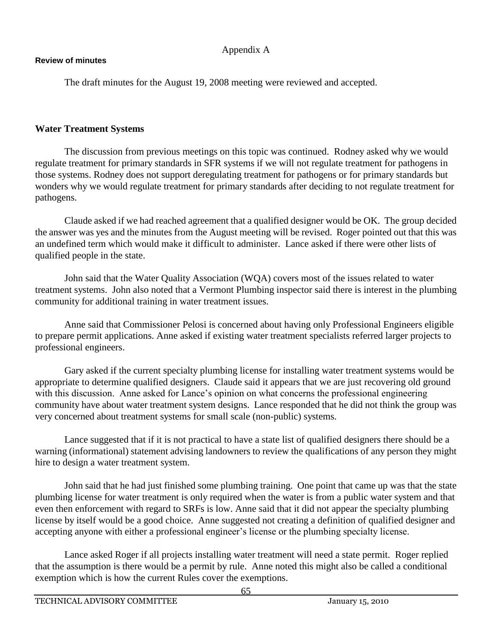#### **Review of minutes**

The draft minutes for the August 19, 2008 meeting were reviewed and accepted.

### **Water Treatment Systems**

The discussion from previous meetings on this topic was continued. Rodney asked why we would regulate treatment for primary standards in SFR systems if we will not regulate treatment for pathogens in those systems. Rodney does not support deregulating treatment for pathogens or for primary standards but wonders why we would regulate treatment for primary standards after deciding to not regulate treatment for pathogens.

Claude asked if we had reached agreement that a qualified designer would be OK. The group decided the answer was yes and the minutes from the August meeting will be revised. Roger pointed out that this was an undefined term which would make it difficult to administer. Lance asked if there were other lists of qualified people in the state.

John said that the Water Quality Association (WQA) covers most of the issues related to water treatment systems. John also noted that a Vermont Plumbing inspector said there is interest in the plumbing community for additional training in water treatment issues.

Anne said that Commissioner Pelosi is concerned about having only Professional Engineers eligible to prepare permit applications. Anne asked if existing water treatment specialists referred larger projects to professional engineers.

Gary asked if the current specialty plumbing license for installing water treatment systems would be appropriate to determine qualified designers. Claude said it appears that we are just recovering old ground with this discussion. Anne asked for Lance's opinion on what concerns the professional engineering community have about water treatment system designs. Lance responded that he did not think the group was very concerned about treatment systems for small scale (non-public) systems.

Lance suggested that if it is not practical to have a state list of qualified designers there should be a warning (informational) statement advising landowners to review the qualifications of any person they might hire to design a water treatment system.

John said that he had just finished some plumbing training. One point that came up was that the state plumbing license for water treatment is only required when the water is from a public water system and that even then enforcement with regard to SRFs is low. Anne said that it did not appear the specialty plumbing license by itself would be a good choice. Anne suggested not creating a definition of qualified designer and accepting anyone with either a professional engineer's license or the plumbing specialty license.

Lance asked Roger if all projects installing water treatment will need a state permit. Roger replied that the assumption is there would be a permit by rule. Anne noted this might also be called a conditional exemption which is how the current Rules cover the exemptions.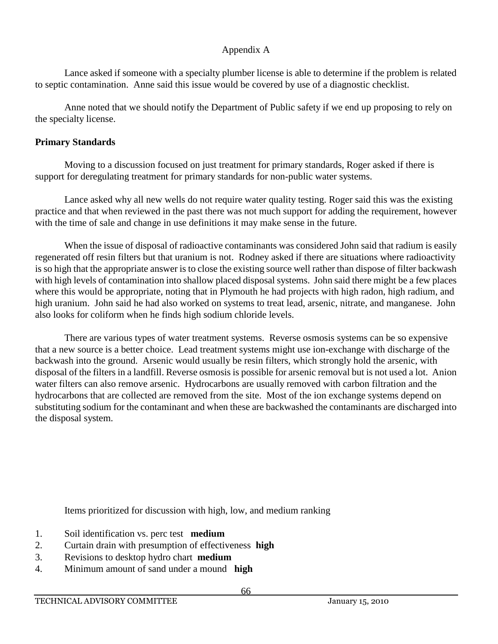Lance asked if someone with a specialty plumber license is able to determine if the problem is related to septic contamination. Anne said this issue would be covered by use of a diagnostic checklist.

Anne noted that we should notify the Department of Public safety if we end up proposing to rely on the specialty license.

# **Primary Standards**

Moving to a discussion focused on just treatment for primary standards, Roger asked if there is support for deregulating treatment for primary standards for non-public water systems.

Lance asked why all new wells do not require water quality testing. Roger said this was the existing practice and that when reviewed in the past there was not much support for adding the requirement, however with the time of sale and change in use definitions it may make sense in the future.

When the issue of disposal of radioactive contaminants was considered John said that radium is easily regenerated off resin filters but that uranium is not. Rodney asked if there are situations where radioactivity is so high that the appropriate answer is to close the existing source well rather than dispose of filter backwash with high levels of contamination into shallow placed disposal systems. John said there might be a few places where this would be appropriate, noting that in Plymouth he had projects with high radon, high radium, and high uranium. John said he had also worked on systems to treat lead, arsenic, nitrate, and manganese. John also looks for coliform when he finds high sodium chloride levels.

There are various types of water treatment systems. Reverse osmosis systems can be so expensive that a new source is a better choice. Lead treatment systems might use ion-exchange with discharge of the backwash into the ground. Arsenic would usually be resin filters, which strongly hold the arsenic, with disposal of the filters in a landfill. Reverse osmosis is possible for arsenic removal but is not used a lot. Anion water filters can also remove arsenic. Hydrocarbons are usually removed with carbon filtration and the hydrocarbons that are collected are removed from the site. Most of the ion exchange systems depend on substituting sodium for the contaminant and when these are backwashed the contaminants are discharged into the disposal system.

Items prioritized for discussion with high, low, and medium ranking

- 1. Soil identification vs. perc test **medium**
- 2. Curtain drain with presumption of effectiveness **high**
- 3. Revisions to desktop hydro chart **medium**
- 4. Minimum amount of sand under a mound **high**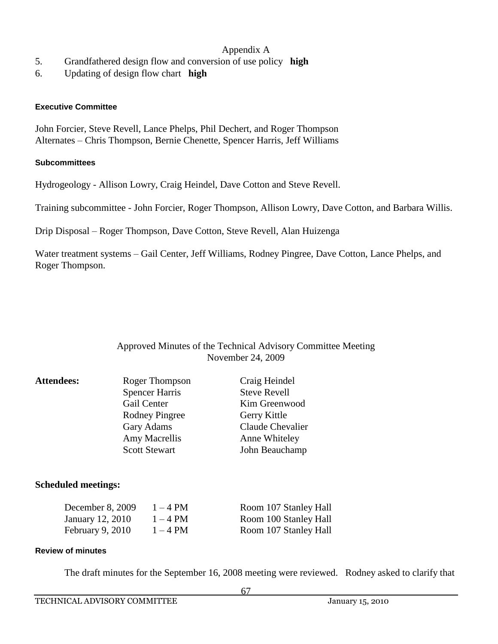- 5. Grandfathered design flow and conversion of use policy **high**
- 6. Updating of design flow chart **high**

#### **Executive Committee**

John Forcier, Steve Revell, Lance Phelps, Phil Dechert, and Roger Thompson Alternates – Chris Thompson, Bernie Chenette, Spencer Harris, Jeff Williams

#### **Subcommittees**

Hydrogeology - Allison Lowry, Craig Heindel, Dave Cotton and Steve Revell.

Training subcommittee - John Forcier, Roger Thompson, Allison Lowry, Dave Cotton, and Barbara Willis.

Drip Disposal – Roger Thompson, Dave Cotton, Steve Revell, Alan Huizenga

Water treatment systems – Gail Center, Jeff Williams, Rodney Pingree, Dave Cotton, Lance Phelps, and Roger Thompson.

#### Approved Minutes of the Technical Advisory Committee Meeting November 24, 2009

| <b>Attendees:</b> | Roger Thompson        | Craig Heindel       |
|-------------------|-----------------------|---------------------|
|                   | <b>Spencer Harris</b> | <b>Steve Revell</b> |
|                   | Gail Center           | Kim Greenwood       |
|                   | <b>Rodney Pingree</b> | Gerry Kittle        |
|                   | Gary Adams            | Claude Chevalier    |
|                   | Amy Macrellis         | Anne Whiteley       |
|                   | <b>Scott Stewart</b>  | John Beauchamp      |
|                   |                       |                     |

#### **Scheduled meetings:**

| December 8, 2009 | $1-4$ PM | Room 107 Stanley Hall |
|------------------|----------|-----------------------|
| January 12, 2010 | $1-4$ PM | Room 100 Stanley Hall |
| February 9, 2010 | $1-4$ PM | Room 107 Stanley Hall |

#### **Review of minutes**

The draft minutes for the September 16, 2008 meeting were reviewed. Rodney asked to clarify that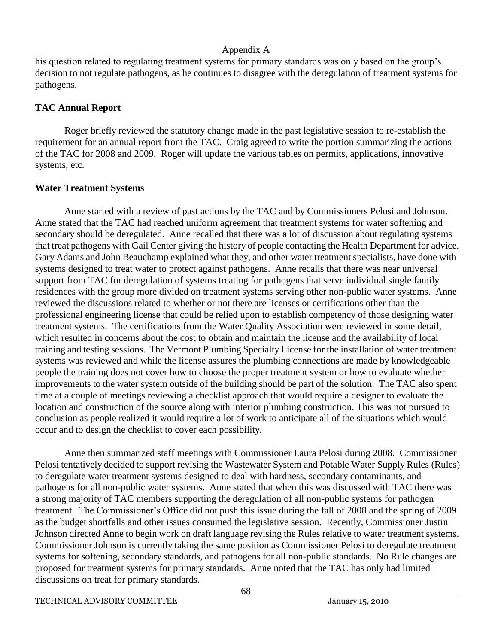his question related to regulating treatment systems for primary standards was only based on the group's decision to not regulate pathogens, as he continues to disagree with the deregulation of treatment systems for pathogens.

### **TAC Annual Report**

Roger briefly reviewed the statutory change made in the past legislative session to re-establish the requirement for an annual report from the TAC. Craig agreed to write the portion summarizing the actions of the TAC for 2008 and 2009. Roger will update the various tables on permits, applications, innovative systems, etc.

# **Water Treatment Systems**

Anne started with a review of past actions by the TAC and by Commissioners Pelosi and Johnson. Anne stated that the TAC had reached uniform agreement that treatment systems for water softening and secondary should be deregulated. Anne recalled that there was a lot of discussion about regulating systems that treat pathogens with Gail Center giving the history of people contacting the Health Department for advice. Gary Adams and John Beauchamp explained what they, and other water treatment specialists, have done with systems designed to treat water to protect against pathogens. Anne recalls that there was near universal support from TAC for deregulation of systems treating for pathogens that serve individual single family residences with the group more divided on treatment systems serving other non-public water systems. Anne reviewed the discussions related to whether or not there are licenses or certifications other than the professional engineering license that could be relied upon to establish competency of those designing water treatment systems. The certifications from the Water Quality Association were reviewed in some detail, which resulted in concerns about the cost to obtain and maintain the license and the availability of local training and testing sessions. The Vermont Plumbing Specialty License for the installation of water treatment systems was reviewed and while the license assures the plumbing connections are made by knowledgeable people the training does not cover how to choose the proper treatment system or how to evaluate whether improvements to the water system outside of the building should be part of the solution. The TAC also spent time at a couple of meetings reviewing a checklist approach that would require a designer to evaluate the location and construction of the source along with interior plumbing construction. This was not pursued to conclusion as people realized it would require a lot of work to anticipate all of the situations which would occur and to design the checklist to cover each possibility.

Anne then summarized staff meetings with Commissioner Laura Pelosi during 2008. Commissioner Pelosi tentatively decided to support revising the Wastewater System and Potable Water Supply Rules (Rules) to deregulate water treatment systems designed to deal with hardness, secondary contaminants, and pathogens for all non-public water systems. Anne stated that when this was discussed with TAC there was a strong majority of TAC members supporting the deregulation of all non-public systems for pathogen treatment. The Commissioner's Office did not push this issue during the fall of 2008 and the spring of 2009 as the budget shortfalls and other issues consumed the legislative session. Recently, Commissioner Justin Johnson directed Anne to begin work on draft language revising the Rules relative to water treatment systems. Commissioner Johnson is currently taking the same position as Commissioner Pelosi to deregulate treatment systems for softening, secondary standards, and pathogens for all non-public standards. No Rule changes are proposed for treatment systems for primary standards. Anne noted that the TAC has only had limited discussions on treat for primary standards.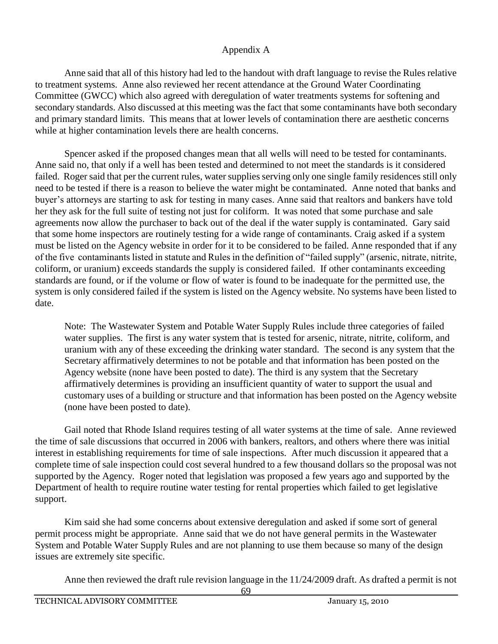Anne said that all of this history had led to the handout with draft language to revise the Rules relative to treatment systems. Anne also reviewed her recent attendance at the Ground Water Coordinating Committee (GWCC) which also agreed with deregulation of water treatments systems for softening and secondary standards. Also discussed at this meeting was the fact that some contaminants have both secondary and primary standard limits. This means that at lower levels of contamination there are aesthetic concerns while at higher contamination levels there are health concerns.

Spencer asked if the proposed changes mean that all wells will need to be tested for contaminants. Anne said no, that only if a well has been tested and determined to not meet the standards is it considered failed. Roger said that per the current rules, water supplies serving only one single family residences still only need to be tested if there is a reason to believe the water might be contaminated. Anne noted that banks and buyer's attorneys are starting to ask for testing in many cases. Anne said that realtors and bankers have told her they ask for the full suite of testing not just for coliform. It was noted that some purchase and sale agreements now allow the purchaser to back out of the deal if the water supply is contaminated. Gary said that some home inspectors are routinely testing for a wide range of contaminants. Craig asked if a system must be listed on the Agency website in order for it to be considered to be failed. Anne responded that if any of the five contaminants listed in statute and Rules in the definition of "failed supply" (arsenic, nitrate, nitrite, coliform, or uranium) exceeds standards the supply is considered failed. If other contaminants exceeding standards are found, or if the volume or flow of water is found to be inadequate for the permitted use, the system is only considered failed if the system is listed on the Agency website. No systems have been listed to date.

Note: The Wastewater System and Potable Water Supply Rules include three categories of failed water supplies. The first is any water system that is tested for arsenic, nitrate, nitrite, coliform, and uranium with any of these exceeding the drinking water standard. The second is any system that the Secretary affirmatively determines to not be potable and that information has been posted on the Agency website (none have been posted to date). The third is any system that the Secretary affirmatively determines is providing an insufficient quantity of water to support the usual and customary uses of a building or structure and that information has been posted on the Agency website (none have been posted to date).

Gail noted that Rhode Island requires testing of all water systems at the time of sale. Anne reviewed the time of sale discussions that occurred in 2006 with bankers, realtors, and others where there was initial interest in establishing requirements for time of sale inspections. After much discussion it appeared that a complete time of sale inspection could cost several hundred to a few thousand dollars so the proposal was not supported by the Agency. Roger noted that legislation was proposed a few years ago and supported by the Department of health to require routine water testing for rental properties which failed to get legislative support.

Kim said she had some concerns about extensive deregulation and asked if some sort of general permit process might be appropriate. Anne said that we do not have general permits in the Wastewater System and Potable Water Supply Rules and are not planning to use them because so many of the design issues are extremely site specific.

Anne then reviewed the draft rule revision language in the 11/24/2009 draft. As drafted a permit is not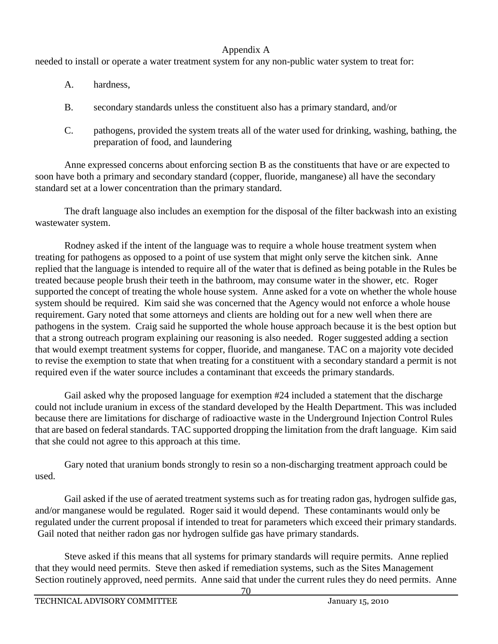needed to install or operate a water treatment system for any non-public water system to treat for:

- A. hardness,
- B. secondary standards unless the constituent also has a primary standard, and/or
- C. pathogens, provided the system treats all of the water used for drinking, washing, bathing, the preparation of food, and laundering

Anne expressed concerns about enforcing section B as the constituents that have or are expected to soon have both a primary and secondary standard (copper, fluoride, manganese) all have the secondary standard set at a lower concentration than the primary standard.

The draft language also includes an exemption for the disposal of the filter backwash into an existing wastewater system.

Rodney asked if the intent of the language was to require a whole house treatment system when treating for pathogens as opposed to a point of use system that might only serve the kitchen sink. Anne replied that the language is intended to require all of the water that is defined as being potable in the Rules be treated because people brush their teeth in the bathroom, may consume water in the shower, etc. Roger supported the concept of treating the whole house system. Anne asked for a vote on whether the whole house system should be required. Kim said she was concerned that the Agency would not enforce a whole house requirement. Gary noted that some attorneys and clients are holding out for a new well when there are pathogens in the system. Craig said he supported the whole house approach because it is the best option but that a strong outreach program explaining our reasoning is also needed. Roger suggested adding a section that would exempt treatment systems for copper, fluoride, and manganese. TAC on a majority vote decided to revise the exemption to state that when treating for a constituent with a secondary standard a permit is not required even if the water source includes a contaminant that exceeds the primary standards.

Gail asked why the proposed language for exemption #24 included a statement that the discharge could not include uranium in excess of the standard developed by the Health Department. This was included because there are limitations for discharge of radioactive waste in the Underground Injection Control Rules that are based on federal standards. TAC supported dropping the limitation from the draft language. Kim said that she could not agree to this approach at this time.

Gary noted that uranium bonds strongly to resin so a non-discharging treatment approach could be used.

Gail asked if the use of aerated treatment systems such as for treating radon gas, hydrogen sulfide gas, and/or manganese would be regulated. Roger said it would depend. These contaminants would only be regulated under the current proposal if intended to treat for parameters which exceed their primary standards. Gail noted that neither radon gas nor hydrogen sulfide gas have primary standards.

Steve asked if this means that all systems for primary standards will require permits. Anne replied that they would need permits. Steve then asked if remediation systems, such as the Sites Management Section routinely approved, need permits. Anne said that under the current rules they do need permits. Anne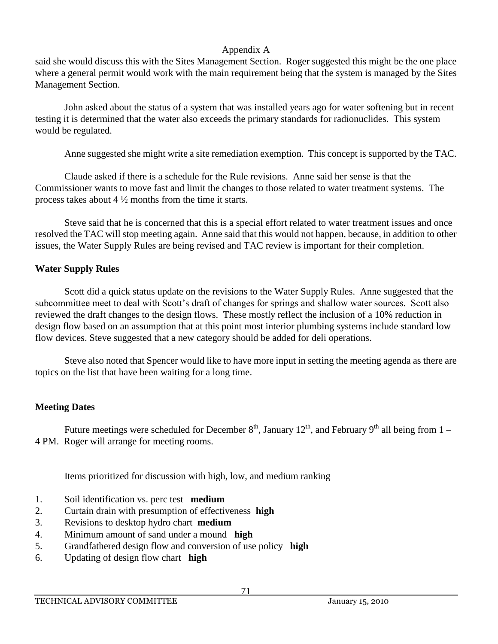said she would discuss this with the Sites Management Section. Roger suggested this might be the one place where a general permit would work with the main requirement being that the system is managed by the Sites Management Section.

John asked about the status of a system that was installed years ago for water softening but in recent testing it is determined that the water also exceeds the primary standards for radionuclides. This system would be regulated.

Anne suggested she might write a site remediation exemption. This concept is supported by the TAC.

Claude asked if there is a schedule for the Rule revisions. Anne said her sense is that the Commissioner wants to move fast and limit the changes to those related to water treatment systems. The process takes about  $4\frac{1}{2}$  months from the time it starts.

Steve said that he is concerned that this is a special effort related to water treatment issues and once resolved the TAC will stop meeting again. Anne said that this would not happen, because, in addition to other issues, the Water Supply Rules are being revised and TAC review is important for their completion.

# **Water Supply Rules**

Scott did a quick status update on the revisions to the Water Supply Rules. Anne suggested that the subcommittee meet to deal with Scott's draft of changes for springs and shallow water sources. Scott also reviewed the draft changes to the design flows. These mostly reflect the inclusion of a 10% reduction in design flow based on an assumption that at this point most interior plumbing systems include standard low flow devices. Steve suggested that a new category should be added for deli operations.

Steve also noted that Spencer would like to have more input in setting the meeting agenda as there are topics on the list that have been waiting for a long time.

# **Meeting Dates**

Future meetings were scheduled for December  $8<sup>th</sup>$ , January  $12<sup>th</sup>$ , and February  $9<sup>th</sup>$  all being from  $1-$ 4 PM. Roger will arrange for meeting rooms.

Items prioritized for discussion with high, low, and medium ranking

- 1. Soil identification vs. perc test **medium**
- 2. Curtain drain with presumption of effectiveness **high**
- 3. Revisions to desktop hydro chart **medium**
- 4. Minimum amount of sand under a mound **high**
- 5. Grandfathered design flow and conversion of use policy **high**
- 6. Updating of design flow chart **high**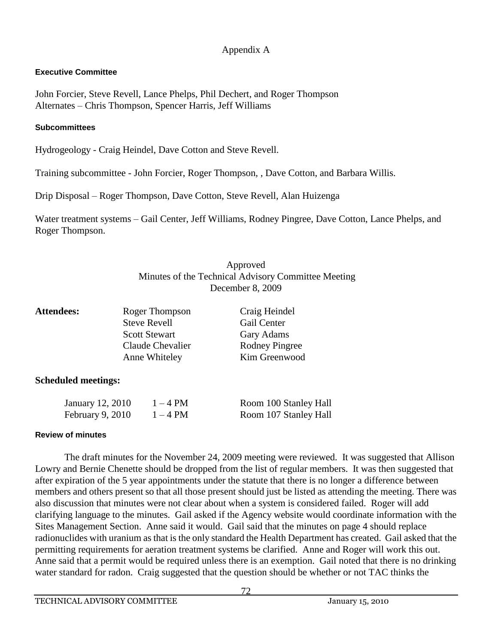## **Executive Committee**

John Forcier, Steve Revell, Lance Phelps, Phil Dechert, and Roger Thompson Alternates – Chris Thompson, Spencer Harris, Jeff Williams

#### **Subcommittees**

Hydrogeology - Craig Heindel, Dave Cotton and Steve Revell.

Training subcommittee - John Forcier, Roger Thompson, , Dave Cotton, and Barbara Willis.

Drip Disposal – Roger Thompson, Dave Cotton, Steve Revell, Alan Huizenga

Water treatment systems – Gail Center, Jeff Williams, Rodney Pingree, Dave Cotton, Lance Phelps, and Roger Thompson.

# Approved Minutes of the Technical Advisory Committee Meeting December 8, 2009

| <b>Attendees:</b> | Roger Thompson       | Craig Heindel         |
|-------------------|----------------------|-----------------------|
|                   | <b>Steve Revell</b>  | Gail Center           |
|                   | <b>Scott Stewart</b> | Gary Adams            |
|                   | Claude Chevalier     | <b>Rodney Pingree</b> |
|                   | Anne Whiteley        | Kim Greenwood         |
|                   |                      |                       |

## **Scheduled meetings:**

| January 12, 2010   | $1 - 4$ PM | Room 100 Stanley Hall |
|--------------------|------------|-----------------------|
| February $9, 2010$ | $1 - 4$ PM | Room 107 Stanley Hall |

## **Review of minutes**

The draft minutes for the November 24, 2009 meeting were reviewed. It was suggested that Allison Lowry and Bernie Chenette should be dropped from the list of regular members. It was then suggested that after expiration of the 5 year appointments under the statute that there is no longer a difference between members and others present so that all those present should just be listed as attending the meeting. There was also discussion that minutes were not clear about when a system is considered failed. Roger will add clarifying language to the minutes. Gail asked if the Agency website would coordinate information with the Sites Management Section. Anne said it would. Gail said that the minutes on page 4 should replace radionuclides with uranium as that is the only standard the Health Department has created. Gail asked that the permitting requirements for aeration treatment systems be clarified. Anne and Roger will work this out. Anne said that a permit would be required unless there is an exemption. Gail noted that there is no drinking water standard for radon. Craig suggested that the question should be whether or not TAC thinks the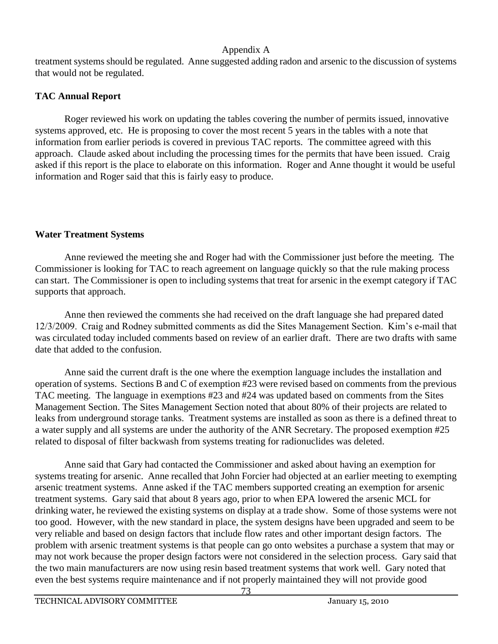treatment systems should be regulated. Anne suggested adding radon and arsenic to the discussion of systems that would not be regulated.

# **TAC Annual Report**

Roger reviewed his work on updating the tables covering the number of permits issued, innovative systems approved, etc. He is proposing to cover the most recent 5 years in the tables with a note that information from earlier periods is covered in previous TAC reports. The committee agreed with this approach. Claude asked about including the processing times for the permits that have been issued. Craig asked if this report is the place to elaborate on this information. Roger and Anne thought it would be useful information and Roger said that this is fairly easy to produce.

# **Water Treatment Systems**

Anne reviewed the meeting she and Roger had with the Commissioner just before the meeting. The Commissioner is looking for TAC to reach agreement on language quickly so that the rule making process can start. The Commissioner is open to including systems that treat for arsenic in the exempt category if TAC supports that approach.

Anne then reviewed the comments she had received on the draft language she had prepared dated 12/3/2009. Craig and Rodney submitted comments as did the Sites Management Section. Kim's e-mail that was circulated today included comments based on review of an earlier draft. There are two drafts with same date that added to the confusion.

Anne said the current draft is the one where the exemption language includes the installation and operation of systems. Sections B and C of exemption #23 were revised based on comments from the previous TAC meeting. The language in exemptions #23 and #24 was updated based on comments from the Sites Management Section. The Sites Management Section noted that about 80% of their projects are related to leaks from underground storage tanks. Treatment systems are installed as soon as there is a defined threat to a water supply and all systems are under the authority of the ANR Secretary. The proposed exemption #25 related to disposal of filter backwash from systems treating for radionuclides was deleted.

Anne said that Gary had contacted the Commissioner and asked about having an exemption for systems treating for arsenic. Anne recalled that John Forcier had objected at an earlier meeting to exempting arsenic treatment systems. Anne asked if the TAC members supported creating an exemption for arsenic treatment systems. Gary said that about 8 years ago, prior to when EPA lowered the arsenic MCL for drinking water, he reviewed the existing systems on display at a trade show. Some of those systems were not too good. However, with the new standard in place, the system designs have been upgraded and seem to be very reliable and based on design factors that include flow rates and other important design factors. The problem with arsenic treatment systems is that people can go onto websites a purchase a system that may or may not work because the proper design factors were not considered in the selection process. Gary said that the two main manufacturers are now using resin based treatment systems that work well. Gary noted that even the best systems require maintenance and if not properly maintained they will not provide good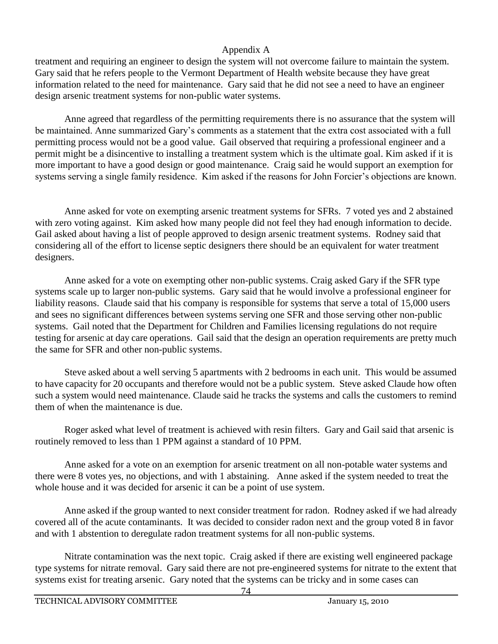treatment and requiring an engineer to design the system will not overcome failure to maintain the system. Gary said that he refers people to the Vermont Department of Health website because they have great information related to the need for maintenance. Gary said that he did not see a need to have an engineer design arsenic treatment systems for non-public water systems.

Anne agreed that regardless of the permitting requirements there is no assurance that the system will be maintained. Anne summarized Gary's comments as a statement that the extra cost associated with a full permitting process would not be a good value. Gail observed that requiring a professional engineer and a permit might be a disincentive to installing a treatment system which is the ultimate goal. Kim asked if it is more important to have a good design or good maintenance. Craig said he would support an exemption for systems serving a single family residence. Kim asked if the reasons for John Forcier's objections are known.

Anne asked for vote on exempting arsenic treatment systems for SFRs. 7 voted yes and 2 abstained with zero voting against. Kim asked how many people did not feel they had enough information to decide. Gail asked about having a list of people approved to design arsenic treatment systems. Rodney said that considering all of the effort to license septic designers there should be an equivalent for water treatment designers.

Anne asked for a vote on exempting other non-public systems. Craig asked Gary if the SFR type systems scale up to larger non-public systems. Gary said that he would involve a professional engineer for liability reasons. Claude said that his company is responsible for systems that serve a total of 15,000 users and sees no significant differences between systems serving one SFR and those serving other non-public systems. Gail noted that the Department for Children and Families licensing regulations do not require testing for arsenic at day care operations. Gail said that the design an operation requirements are pretty much the same for SFR and other non-public systems.

Steve asked about a well serving 5 apartments with 2 bedrooms in each unit. This would be assumed to have capacity for 20 occupants and therefore would not be a public system. Steve asked Claude how often such a system would need maintenance. Claude said he tracks the systems and calls the customers to remind them of when the maintenance is due.

Roger asked what level of treatment is achieved with resin filters. Gary and Gail said that arsenic is routinely removed to less than 1 PPM against a standard of 10 PPM.

Anne asked for a vote on an exemption for arsenic treatment on all non-potable water systems and there were 8 votes yes, no objections, and with 1 abstaining. Anne asked if the system needed to treat the whole house and it was decided for arsenic it can be a point of use system.

Anne asked if the group wanted to next consider treatment for radon. Rodney asked if we had already covered all of the acute contaminants. It was decided to consider radon next and the group voted 8 in favor and with 1 abstention to deregulate radon treatment systems for all non-public systems.

Nitrate contamination was the next topic. Craig asked if there are existing well engineered package type systems for nitrate removal. Gary said there are not pre-engineered systems for nitrate to the extent that systems exist for treating arsenic. Gary noted that the systems can be tricky and in some cases can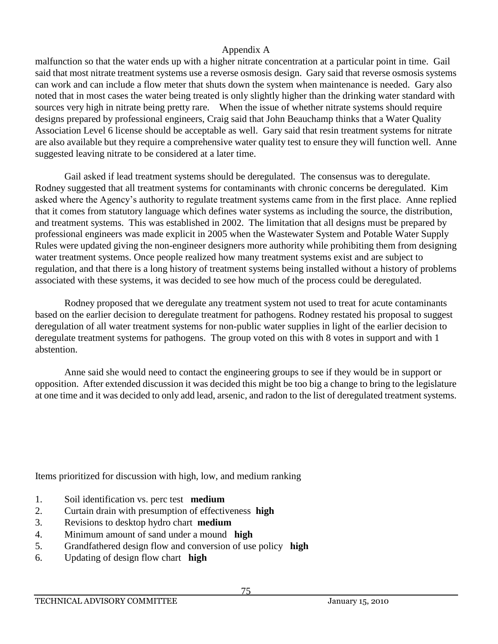malfunction so that the water ends up with a higher nitrate concentration at a particular point in time. Gail said that most nitrate treatment systems use a reverse osmosis design. Gary said that reverse osmosis systems can work and can include a flow meter that shuts down the system when maintenance is needed. Gary also noted that in most cases the water being treated is only slightly higher than the drinking water standard with sources very high in nitrate being pretty rare. When the issue of whether nitrate systems should require designs prepared by professional engineers, Craig said that John Beauchamp thinks that a Water Quality Association Level 6 license should be acceptable as well. Gary said that resin treatment systems for nitrate are also available but they require a comprehensive water quality test to ensure they will function well. Anne suggested leaving nitrate to be considered at a later time.

Gail asked if lead treatment systems should be deregulated. The consensus was to deregulate. Rodney suggested that all treatment systems for contaminants with chronic concerns be deregulated. Kim asked where the Agency's authority to regulate treatment systems came from in the first place. Anne replied that it comes from statutory language which defines water systems as including the source, the distribution, and treatment systems. This was established in 2002. The limitation that all designs must be prepared by professional engineers was made explicit in 2005 when the Wastewater System and Potable Water Supply Rules were updated giving the non-engineer designers more authority while prohibiting them from designing water treatment systems. Once people realized how many treatment systems exist and are subject to regulation, and that there is a long history of treatment systems being installed without a history of problems associated with these systems, it was decided to see how much of the process could be deregulated.

Rodney proposed that we deregulate any treatment system not used to treat for acute contaminants based on the earlier decision to deregulate treatment for pathogens. Rodney restated his proposal to suggest deregulation of all water treatment systems for non-public water supplies in light of the earlier decision to deregulate treatment systems for pathogens. The group voted on this with 8 votes in support and with 1 abstention.

Anne said she would need to contact the engineering groups to see if they would be in support or opposition. After extended discussion it was decided this might be too big a change to bring to the legislature at one time and it was decided to only add lead, arsenic, and radon to the list of deregulated treatment systems.

Items prioritized for discussion with high, low, and medium ranking

- 1. Soil identification vs. perc test **medium**
- 2. Curtain drain with presumption of effectiveness **high**
- 3. Revisions to desktop hydro chart **medium**
- 4. Minimum amount of sand under a mound **high**
- 5. Grandfathered design flow and conversion of use policy **high**
- 6. Updating of design flow chart **high**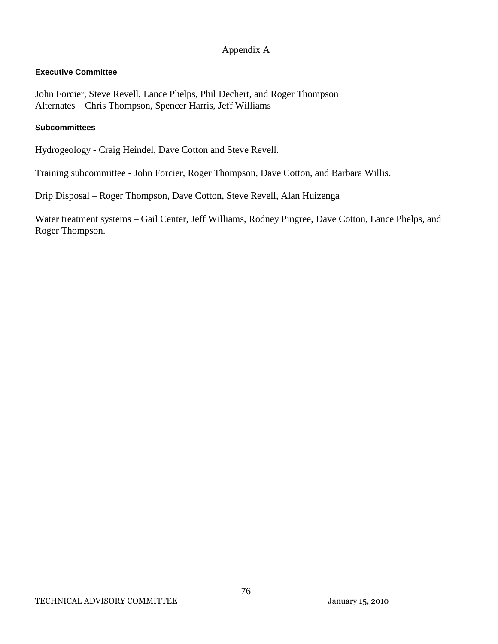## **Executive Committee**

John Forcier, Steve Revell, Lance Phelps, Phil Dechert, and Roger Thompson Alternates – Chris Thompson, Spencer Harris, Jeff Williams

#### **Subcommittees**

Hydrogeology - Craig Heindel, Dave Cotton and Steve Revell.

Training subcommittee - John Forcier, Roger Thompson, Dave Cotton, and Barbara Willis.

Drip Disposal – Roger Thompson, Dave Cotton, Steve Revell, Alan Huizenga

Water treatment systems – Gail Center, Jeff Williams, Rodney Pingree, Dave Cotton, Lance Phelps, and Roger Thompson.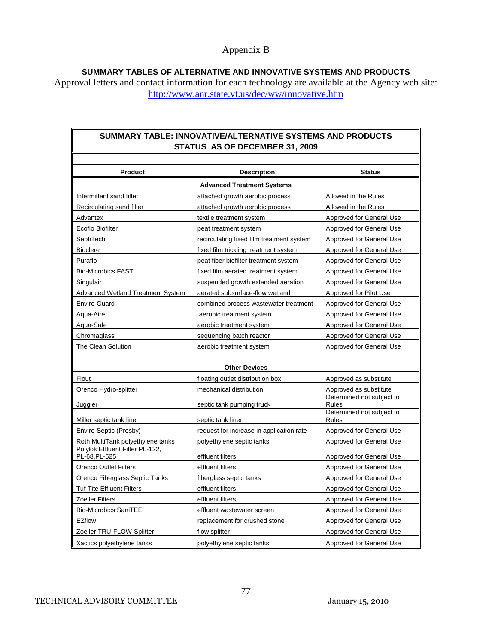#### Appendix B

**SUMMARY TABLES OF ALTERNATIVE AND INNOVATIVE SYSTEMS AND PRODUCTS**

Approval letters and contact information for each technology are available at the Agency web site: <http://www.anr.state.vt.us/dec/ww/innovative.htm>

#### **SUMMARY TABLE: INNOVATIVE/ALTERNATIVE SYSTEMS AND PRODUCTS STATUS AS OF DECEMBER 31, 2009**

| <b>Product</b>                                   | <b>Description</b>                        | <b>Status</b>                      |  |
|--------------------------------------------------|-------------------------------------------|------------------------------------|--|
| <b>Advanced Treatment Systems</b>                |                                           |                                    |  |
| Intermittent sand filter                         | attached growth aerobic process           | Allowed in the Rules               |  |
| Recirculating sand filter                        | attached growth aerobic process           | Allowed in the Rules               |  |
| Advantex                                         | textile treatment system                  | Approved for General Use           |  |
| Ecoflo Biofilter                                 | peat treatment system                     | Approved for General Use           |  |
| SeptiTech                                        | recirculating fixed film treatment system | Approved for General Use           |  |
| <b>Bioclere</b>                                  | fixed film trickling treatment system     | Approved for General Use           |  |
| Puraflo                                          | peat fiber biofilter treatment system     | Approved for General Use           |  |
| <b>Bio-Microbics FAST</b>                        | fixed film aerated treatment system       | Approved for General Use           |  |
| Singulair                                        | suspended growth extended aeration        | Approved for General Use           |  |
| <b>Advanced Wetland Treatment System</b>         | aerated subsurface-flow wetland           | Approved for Pilot Use             |  |
| Enviro-Guard                                     | combined process wastewater treatment     | Approved for General Use           |  |
| Aqua-Aire                                        | aerobic treatment system                  | Approved for General Use           |  |
| Aqua-Safe                                        | aerobic treatment system                  | Approved for General Use           |  |
| Chromaglass                                      | sequencing batch reactor                  | Approved for General Use           |  |
| The Clean Solution                               | aerobic treatment system                  | Approved for General Use           |  |
|                                                  |                                           |                                    |  |
|                                                  | <b>Other Devices</b>                      |                                    |  |
| Flout                                            | floating outlet distribution box          | Approved as substitute             |  |
| Orenco Hydro-splitter                            | mechanical distribution                   | Approved as substitute             |  |
| Juggler                                          | septic tank pumping truck                 | Determined not subject to<br>Rules |  |
| Miller septic tank liner                         | septic tank liner                         | Determined not subject to<br>Rules |  |
| Enviro-Septic (Presby)                           | request for increase in application rate  | Approved for General Use           |  |
| Roth MultiTank polyethylene tanks                | polyethylene septic tanks                 | Approved for General Use           |  |
| Polylok Effluent Filter PL-122,<br>PL-68, PL-525 | effluent filters                          | Approved for General Use           |  |
| <b>Orenco Outlet Filters</b>                     | effluent filters                          | Approved for General Use           |  |
| Orenco Fiberglass Septic Tanks                   | fiberglass septic tanks                   | Approved for General Use           |  |
| <b>Tuf-Tite Effluent Filters</b>                 | effluent filters                          | Approved for General Use           |  |
| <b>Zoeller Filters</b>                           | effluent filters                          | Approved for General Use           |  |
| <b>Bio-Microbics SaniTEE</b>                     | effluent wastewater screen                | Approved for General Use           |  |
| EZflow                                           | replacement for crushed stone             | Approved for General Use           |  |
| Zoeller TRU-FLOW Splitter                        | flow splitter                             | Approved for General Use           |  |
| Xactics polyethylene tanks                       | polyethylene septic tanks                 | Approved for General Use           |  |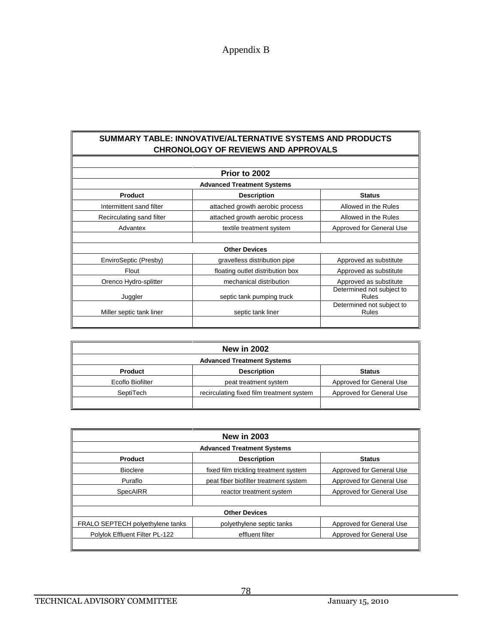#### **SUMMARY TABLE: INNOVATIVE/ALTERNATIVE SYSTEMS AND PRODUCTS CHRONOLOGY OF REVIEWS AND APPROVALS**

|                                   | Prior to 2002                    |                                    |  |
|-----------------------------------|----------------------------------|------------------------------------|--|
| <b>Advanced Treatment Systems</b> |                                  |                                    |  |
| Product                           | <b>Description</b>               | <b>Status</b>                      |  |
| Intermittent sand filter          | attached growth aerobic process  | Allowed in the Rules               |  |
| Recirculating sand filter         | attached growth aerobic process  | Allowed in the Rules               |  |
| Advantex                          | textile treatment system         | Approved for General Use           |  |
|                                   |                                  |                                    |  |
|                                   | <b>Other Devices</b>             |                                    |  |
| EnviroSeptic (Presby)             | gravelless distribution pipe     | Approved as substitute             |  |
| Flout                             | floating outlet distribution box | Approved as substitute             |  |
| Orenco Hydro-splitter             | mechanical distribution          | Approved as substitute             |  |
| Juggler                           | septic tank pumping truck        | Determined not subject to<br>Rules |  |
| Miller septic tank liner          | septic tank liner                | Determined not subject to<br>Rules |  |
|                                   |                                  |                                    |  |

| <b>New in 2002</b>                |                                           |                          |  |
|-----------------------------------|-------------------------------------------|--------------------------|--|
| <b>Advanced Treatment Systems</b> |                                           |                          |  |
| <b>Product</b>                    | <b>Description</b>                        | <b>Status</b>            |  |
| Ecoflo Biofilter                  | peat treatment system                     | Approved for General Use |  |
| SeptiTech                         | recirculating fixed film treatment system | Approved for General Use |  |
|                                   |                                           |                          |  |

| <b>New in 2003</b>                |                                       |                          |  |
|-----------------------------------|---------------------------------------|--------------------------|--|
| <b>Advanced Treatment Systems</b> |                                       |                          |  |
| Product                           | <b>Description</b>                    | <b>Status</b>            |  |
| <b>Bioclere</b>                   | fixed film trickling treatment system | Approved for General Use |  |
| Puraflo                           | peat fiber biofilter treatment system | Approved for General Use |  |
| SpecAIRR                          | reactor treatment system              | Approved for General Use |  |
|                                   |                                       |                          |  |
|                                   | <b>Other Devices</b>                  |                          |  |
| FRALO SEPTECH polyethylene tanks  | polyethylene septic tanks             | Approved for General Use |  |
| Polylok Effluent Filter PL-122    | effluent filter                       | Approved for General Use |  |
|                                   |                                       |                          |  |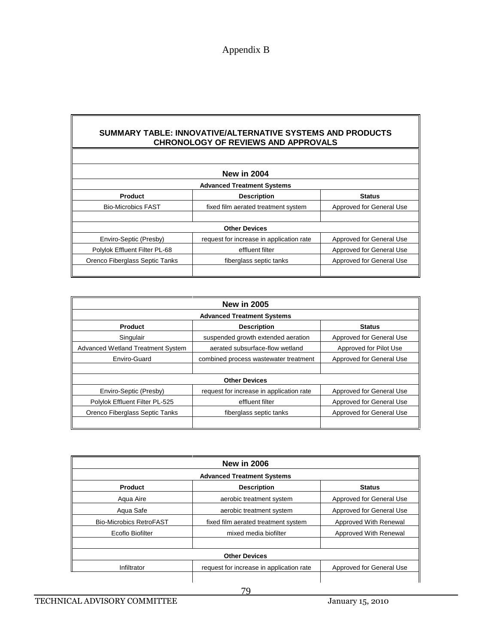#### **SUMMARY TABLE: INNOVATIVE/ALTERNATIVE SYSTEMS AND PRODUCTS CHRONOLOGY OF REVIEWS AND APPROVALS**

| <b>New in 2004</b>                |                                          |                          |  |
|-----------------------------------|------------------------------------------|--------------------------|--|
| <b>Advanced Treatment Systems</b> |                                          |                          |  |
| <b>Product</b>                    | <b>Description</b>                       | <b>Status</b>            |  |
| <b>Bio-Microbics FAST</b>         | fixed film aerated treatment system      | Approved for General Use |  |
|                                   |                                          |                          |  |
| <b>Other Devices</b>              |                                          |                          |  |
| Enviro-Septic (Presby)            | request for increase in application rate | Approved for General Use |  |
| Polylok Effluent Filter PL-68     | effluent filter                          | Approved for General Use |  |
| Orenco Fiberglass Septic Tanks    | fiberglass septic tanks                  | Approved for General Use |  |
|                                   |                                          |                          |  |

| <b>New in 2005</b>                       |                                          |                          |  |
|------------------------------------------|------------------------------------------|--------------------------|--|
| <b>Advanced Treatment Systems</b>        |                                          |                          |  |
| <b>Product</b>                           | <b>Description</b>                       | <b>Status</b>            |  |
| Singulair                                | suspended growth extended aeration       | Approved for General Use |  |
| <b>Advanced Wetland Treatment System</b> | aerated subsurface-flow wetland          | Approved for Pilot Use   |  |
| Enviro-Guard                             | combined process wastewater treatment    | Approved for General Use |  |
|                                          |                                          |                          |  |
|                                          | <b>Other Devices</b>                     |                          |  |
| Enviro-Septic (Presby)                   | request for increase in application rate | Approved for General Use |  |
| Polylok Effluent Filter PL-525           | effluent filter                          | Approved for General Use |  |
| Orenco Fiberglass Septic Tanks           | fiberglass septic tanks                  | Approved for General Use |  |
|                                          |                                          |                          |  |

| <b>New in 2006</b>                |                                          |                          |  |
|-----------------------------------|------------------------------------------|--------------------------|--|
| <b>Advanced Treatment Systems</b> |                                          |                          |  |
| Product                           | <b>Description</b>                       | <b>Status</b>            |  |
| Agua Aire                         | aerobic treatment system                 | Approved for General Use |  |
| Aqua Safe                         | aerobic treatment system                 | Approved for General Use |  |
| <b>Bio-Microbics RetroFAST</b>    | fixed film aerated treatment system      | Approved With Renewal    |  |
| Ecoflo Biofilter                  | mixed media biofilter                    | Approved With Renewal    |  |
|                                   |                                          |                          |  |
| <b>Other Devices</b>              |                                          |                          |  |
| Infiltrator                       | request for increase in application rate | Approved for General Use |  |
|                                   |                                          |                          |  |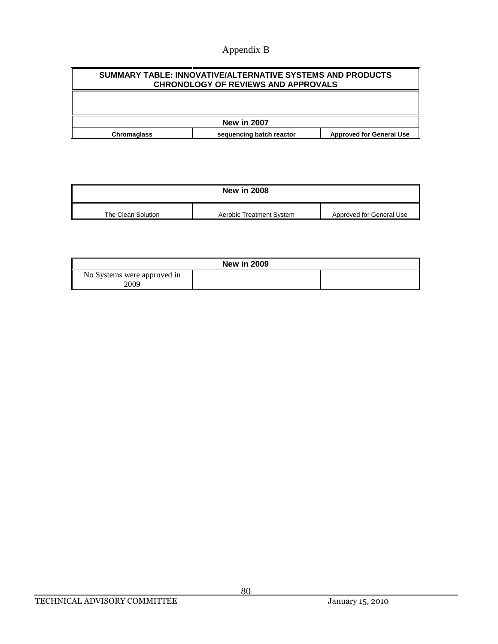# Appendix B

| SUMMARY TABLE: INNOVATIVE/ALTERNATIVE SYSTEMS AND PRODUCTS<br><b>CHRONOLOGY OF REVIEWS AND APPROVALS</b> |                          |                                 |  |
|----------------------------------------------------------------------------------------------------------|--------------------------|---------------------------------|--|
|                                                                                                          |                          |                                 |  |
| <b>New in 2007</b>                                                                                       |                          |                                 |  |
| <b>Chromaglass</b>                                                                                       | sequencing batch reactor | <b>Approved for General Use</b> |  |

| <b>New in 2008</b> |                          |                          |
|--------------------|--------------------------|--------------------------|
| The Clean Solution | Aerobic Treatment System | Approved for General Use |

| <b>New in 2009</b>          |  |  |
|-----------------------------|--|--|
| No Systems were approved in |  |  |
| 2009                        |  |  |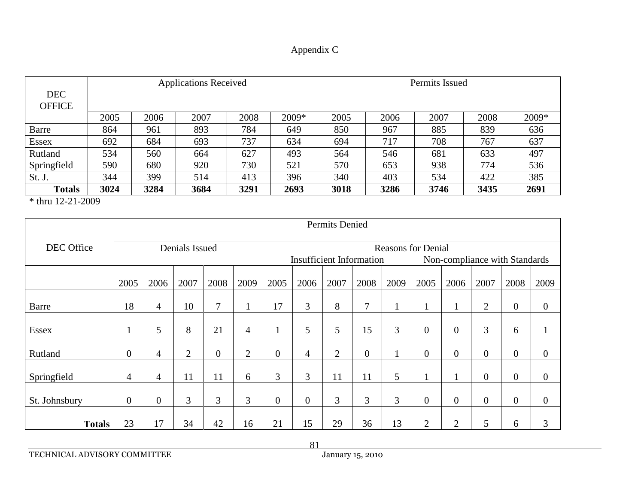| Appendix C |  |
|------------|--|
|------------|--|

| <b>DEC</b><br><b>OFFICE</b> |      |      | <b>Applications Received</b> |      |       | Permits Issued |      |      |      |       |  |
|-----------------------------|------|------|------------------------------|------|-------|----------------|------|------|------|-------|--|
|                             | 2005 | 2006 | 2007                         | 2008 | 2009* | 2005           | 2006 | 2007 | 2008 | 2009* |  |
| <b>Barre</b>                | 864  | 961  | 893                          | 784  | 649   | 850            | 967  | 885  | 839  | 636   |  |
| <b>Essex</b>                | 692  | 684  | 693                          | 737  | 634   | 694            | 717  | 708  | 767  | 637   |  |
| Rutland                     | 534  | 560  | 664                          | 627  | 493   | 564            | 546  | 681  | 633  | 497   |  |
| Springfield                 | 590  | 680  | 920                          | 730  | 521   | 570            | 653  | 938  | 774  | 536   |  |
| St. J.                      | 344  | 399  | 514                          | 413  | 396   | 340            | 403  | 534  | 422  | 385   |  |
| <b>Totals</b>               | 3024 | 3284 | 3684                         | 3291 | 2693  | 3018           | 3286 | 3746 | 3435 | 2691  |  |

\* thru 12-21-2009

|               | <b>Permits Denied</b>                       |                |                |                |                                 |                |                |                |                               |      |                |                |                  |                  |                  |
|---------------|---------------------------------------------|----------------|----------------|----------------|---------------------------------|----------------|----------------|----------------|-------------------------------|------|----------------|----------------|------------------|------------------|------------------|
| DEC Office    | Denials Issued<br><b>Reasons for Denial</b> |                |                |                |                                 |                |                |                |                               |      |                |                |                  |                  |                  |
|               |                                             |                |                |                | <b>Insufficient Information</b> |                |                |                | Non-compliance with Standards |      |                |                |                  |                  |                  |
|               | 2005                                        | 2006           | 2007           | 2008           | 2009                            | 2005           | 2006           | 2007           | 2008                          | 2009 | 2005           | 2006           | 2007             | 2008             | 2009             |
| <b>Barre</b>  | 18                                          | 4              | 10             | 7              |                                 | 17             | 3              | 8              | $\tau$                        |      |                |                | 2                | $\boldsymbol{0}$ | $\boldsymbol{0}$ |
| <b>Essex</b>  | $\mathbf 1$                                 | 5              | 8              | 21             | 4                               | 1              | 5              | 5              | 15                            | 3    | $\overline{0}$ | $\overline{0}$ | 3                | 6                | $\mathbf{1}$     |
| Rutland       | $\boldsymbol{0}$                            | $\overline{4}$ | $\overline{2}$ | $\overline{0}$ | 2                               | $\overline{0}$ | 4              | $\overline{2}$ | $\overline{0}$                |      | $\overline{0}$ | $\overline{0}$ | $\boldsymbol{0}$ | $\overline{0}$   | $\boldsymbol{0}$ |
| Springfield   | $\overline{4}$                              | 4              | 11             | 11             | 6                               | 3              | 3              | 11             | 11                            | 5    |                |                | $\boldsymbol{0}$ | $\overline{0}$   | $\overline{0}$   |
| St. Johnsbury | $\overline{0}$                              | $\mathbf{0}$   | 3              | 3              | 3                               | $\overline{0}$ | $\overline{0}$ | 3              | 3                             | 3    | $\overline{0}$ | $\overline{0}$ | $\overline{0}$   | $\overline{0}$   | $\overline{0}$   |
| <b>Totals</b> | 23                                          | 17             | 34             | 42             | 16                              | 21             | 15             | 29             | 36                            | 13   | $\overline{2}$ | $\overline{2}$ | 5                | 6                | 3                |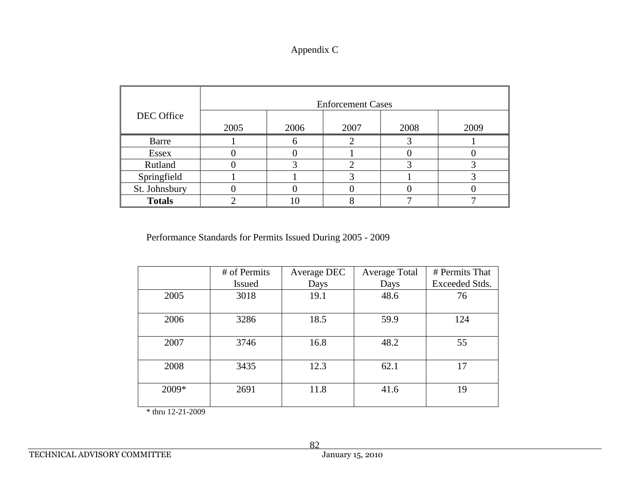# Appendix C

|               | <b>Enforcement Cases</b> |      |      |      |      |  |  |  |
|---------------|--------------------------|------|------|------|------|--|--|--|
| DEC Office    | 2005                     | 2006 | 2007 | 2008 | 2009 |  |  |  |
| Barre         |                          |      |      |      |      |  |  |  |
| <b>Essex</b>  |                          |      |      |      |      |  |  |  |
| Rutland       |                          |      |      |      |      |  |  |  |
| Springfield   |                          |      |      |      |      |  |  |  |
| St. Johnsbury |                          |      |      |      |      |  |  |  |
| <b>Totals</b> |                          |      |      |      |      |  |  |  |

Performance Standards for Permits Issued During 2005 - 2009

|       | # of Permits  | Average DEC | <b>Average Total</b> | # Permits That |
|-------|---------------|-------------|----------------------|----------------|
|       | <b>Issued</b> | Days        | Days                 | Exceeded Stds. |
| 2005  | 3018          | 19.1        | 48.6                 | 76             |
| 2006  | 3286          | 18.5        | 59.9                 | 124            |
| 2007  | 3746          | 16.8        | 48.2                 | 55             |
| 2008  | 3435          | 12.3        | 62.1                 | 17             |
| 2009* | 2691          | 11.8        | 41.6                 | 19             |

\* thru 12-21-2009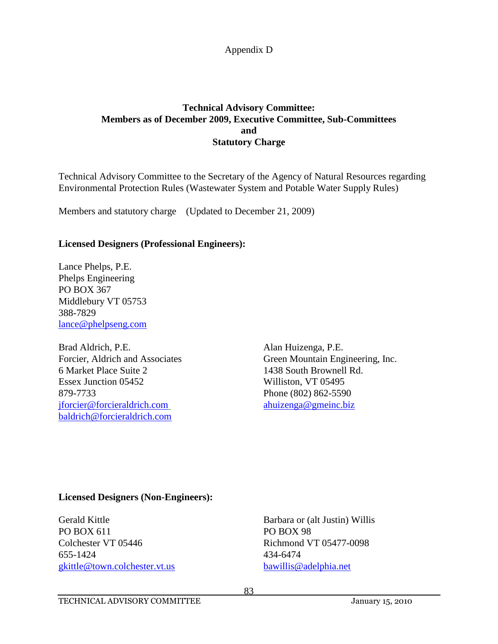# **Technical Advisory Committee: Members as of December 2009, Executive Committee, Sub-Committees and Statutory Charge**

Technical Advisory Committee to the Secretary of the Agency of Natural Resources regarding Environmental Protection Rules (Wastewater System and Potable Water Supply Rules)

Members and statutory charge (Updated to December 21, 2009)

# **Licensed Designers (Professional Engineers):**

Lance Phelps, P.E. Phelps Engineering PO BOX 367 Middlebury VT 05753 388-7829 [lance@phelpseng.com](mailto:lphelps@phelpseng.com)

Brad Aldrich, P.E. Alan Huizenga, P.E. 6 Market Place Suite 2 1438 South Brownell Rd. Essex Junction 05452 Williston, VT 05495 879-7733 Phone (802) 862-5590 [jforcier@forcieraldrich.com](mailto:jforcier@forcieraldrich.com) [ahuizenga@gmeinc.biz](mailto:ahuizenga@gmeinc.biz) [baldrich@forcieraldrich.com](mailto:baldrich@forcieraldrich.com)

Forcier, Aldrich and Associates Green Mountain Engineering, Inc.

## **Licensed Designers (Non-Engineers):**

Gerald Kittle Barbara or (alt Justin) Willis PO BOX 611 PO BOX 98 Colchester VT 05446 Richmond VT 05477-0098 655-1424 434-6474 [gkittle@town.colchester.vt.us](mailto:gkittle@town.colchester.vt.us) [bawillis@adelphia.net](mailto:bawillis@adelphia.net)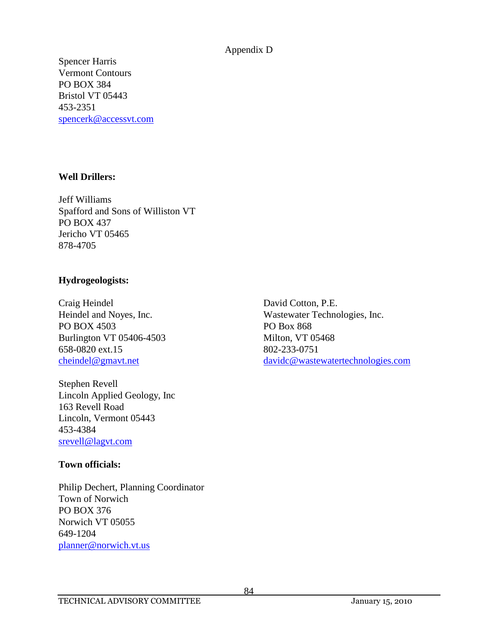Spencer Harris Vermont Contours PO BOX 384 Bristol VT 05443 453-2351 [spencerk@accessvt.com](mailto:spencerj@accessvt.com)

## **Well Drillers:**

Jeff Williams Spafford and Sons of Williston VT PO BOX 437 Jericho VT 05465 878-4705

## **Hydrogeologists:**

Craig Heindel David Cotton, P.E. PO BOX 4503 PO Box 868 Burlington VT 05406-4503 Milton, VT 05468 658-0820 ext.15 802-233-0751

Stephen Revell Lincoln Applied Geology, Inc 163 Revell Road Lincoln, Vermont 05443 453-4384 [srevell@lagvt.com](mailto:srevell@lagvt.com)

## **Town officials:**

Philip Dechert, Planning Coordinator Town of Norwich PO BOX 376 Norwich VT 05055 649-1204 [planner@norwich.vt.us](mailto:planner@norwich.vt.us)

Heindel and Noyes, Inc. Wastewater Technologies, Inc. [cheindel@gmavt.net](mailto:cheindel@gmavt.net) [davidc@wastewatertechnologies.com](mailto:davidc@wastewatertechnologies.com)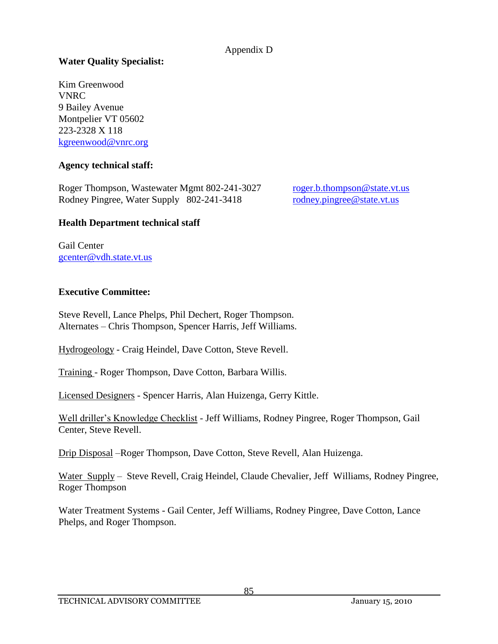# **Water Quality Specialist:**

Kim Greenwood VNRC 9 Bailey Avenue Montpelier VT 05602 223-2328 X 118 [kgreenwood@vnrc.org](mailto:kkendall@vnrc.org)

## **Agency technical staff:**

Roger Thompson, Wastewater Mgmt 802-241-3027 [roger.b.thompson@state.vt.us](mailto:roger.b.thompson@state.vt.us) Rodney Pingree, Water Supply 802-241-3418 [rodney.pingree@state.vt.us](mailto:rodney.pingree@state.vt.us)

## **Health Department technical staff**

Gail Center [gcenter@vdh.state.vt.us](mailto:gcenter@vdh.state.vt.us)

## **Executive Committee:**

Steve Revell, Lance Phelps, Phil Dechert, Roger Thompson. Alternates – Chris Thompson, Spencer Harris, Jeff Williams.

Hydrogeology - Craig Heindel, Dave Cotton, Steve Revell.

Training - Roger Thompson, Dave Cotton, Barbara Willis.

Licensed Designers - Spencer Harris, Alan Huizenga, Gerry Kittle.

Well driller's Knowledge Checklist - Jeff Williams, Rodney Pingree, Roger Thompson, Gail Center, Steve Revell.

Drip Disposal –Roger Thompson, Dave Cotton, Steve Revell, Alan Huizenga.

Water Supply – Steve Revell, Craig Heindel, Claude Chevalier, Jeff Williams, Rodney Pingree, Roger Thompson

Water Treatment Systems - Gail Center, Jeff Williams, Rodney Pingree, Dave Cotton, Lance Phelps, and Roger Thompson.